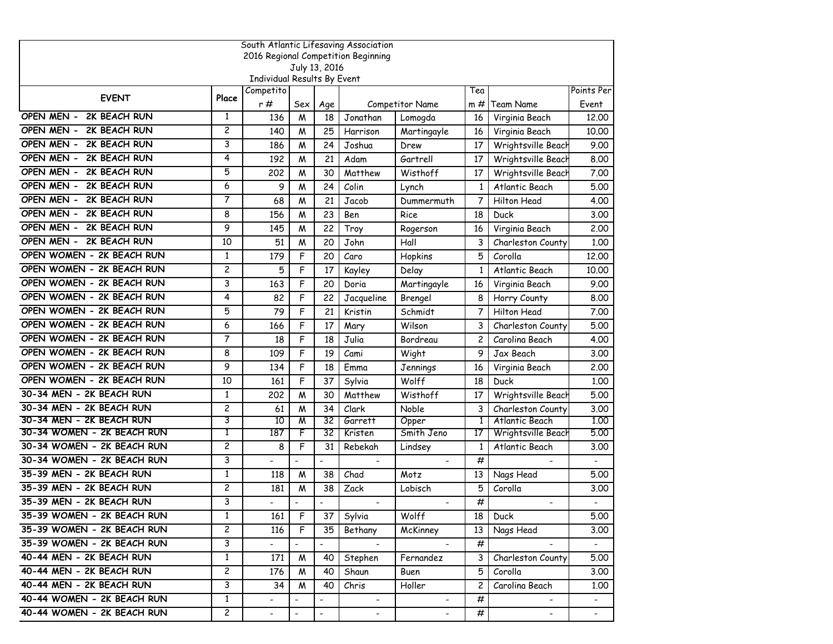| South Atlantic Lifesaving Association |                         |                             |                          |                              |                                     |                 |                |                    |                |  |  |
|---------------------------------------|-------------------------|-----------------------------|--------------------------|------------------------------|-------------------------------------|-----------------|----------------|--------------------|----------------|--|--|
|                                       |                         |                             |                          |                              | 2016 Regional Competition Beginning |                 |                |                    |                |  |  |
|                                       |                         | Individual Results By Event |                          | July 13, 2016                |                                     |                 |                |                    |                |  |  |
|                                       |                         | Competito                   |                          |                              |                                     |                 | Tea            |                    | Points Per     |  |  |
| <b>EVENT</b>                          | Place                   | r#                          | Sex                      | Age                          |                                     | Competitor Name | m #            | <b>Team Name</b>   | Event          |  |  |
| OPEN MEN - 2K BEACH RUN               | $\mathbf{1}$            | 136                         | W                        | 18                           | Jonathan                            | Lomogda         | 16             | Virginia Beach     | 12.00          |  |  |
| OPEN MEN -<br>2K BEACH RUN            | $\overline{c}$          | 140                         | W                        | 25                           | Harrison                            | Martingayle     | 16             | Virginia Beach     | 10.00          |  |  |
| OPEN MEN -<br>2K BEACH RUN            | 3                       | 186                         | М                        | 24                           | Joshua                              | Drew            | 17             | Wrightsville Beach | 9.00           |  |  |
| OPEN MEN -<br>2K BEACH RUN            | 4                       | 192                         | M                        | 21                           | Adam                                | Gartrell        | 17             | Wrightsville Beach | 8.00           |  |  |
| OPEN MEN -<br>2K BEACH RUN            | 5                       | 202                         | W                        | 30                           | Matthew                             | Wisthoff        | 17             | Wrightsville Beach | 7.00           |  |  |
| OPEN MEN -<br>2K BEACH RUN            | 6                       | 9                           | W                        | 24                           | Colin                               | Lynch           | 1              | Atlantic Beach     | 5.00           |  |  |
| OPEN MEN -<br>2K BEACH RUN            | 7                       | 68                          | M                        | 21                           | Jacob                               | Dummermuth      | 7              | Hilton Head        | 4.00           |  |  |
| OPEN MEN - 2K BEACH RUN               | 8                       | 156                         | W                        | 23                           | Ben                                 | Rice            | 18             | Duck               | 3.00           |  |  |
| OPEN MEN - 2K BEACH RUN               | 9                       | 145                         | M                        | 22                           | Troy                                | Rogerson        | 16             | Virginia Beach     | 2.00           |  |  |
| OPEN MEN - 2K BEACH RUN               | 10                      | 51                          | М                        | 20                           | John                                | Hall            | 3              | Charleston County  | 1.00           |  |  |
| OPEN WOMEN - 2K BEACH RUN             | $\mathbf{1}$            | 179                         | F                        | 20                           | Caro                                | Hopkins         | 5              | Corolla            | 12.00          |  |  |
| OPEN WOMEN - 2K BEACH RUN             | $\overline{c}$          | 5                           | F                        | 17                           | Kayley                              | Delay           | 1              | Atlantic Beach     | 10.00          |  |  |
| OPEN WOMEN - 2K BEACH RUN             | 3                       | 163                         | F                        | 20                           | Doria                               | Martingayle     | 16             | Virginia Beach     | 9.00           |  |  |
| OPEN WOMEN - 2K BEACH RUN             | 4                       | 82                          | F                        | 22                           | Jacqueline                          | Brengel         | 8              | Horry County       | 8.00           |  |  |
| OPEN WOMEN - 2K BEACH RUN             | 5                       | 79                          | F                        | 21                           | Kristin                             | Schmidt         | 7              | Hilton Head        | 7.00           |  |  |
| OPEN WOMEN - 2K BEACH RUN             | 6                       | 166                         | F                        | 17                           | Mary                                | Wilson          | 3              | Charleston County  | 5.00           |  |  |
| OPEN WOMEN - 2K BEACH RUN             | 7                       | 18                          | F                        | 18                           | Julia                               | Bordreau        | $\overline{c}$ | Carolina Beach     | 4.00           |  |  |
| OPEN WOMEN - 2K BEACH RUN             | 8                       | 109                         | F                        | 19                           | Cami                                | Wight           | 9              | Jax Beach          | 3.00           |  |  |
| OPEN WOMEN - 2K BEACH RUN             | 9                       | 134                         | F                        | 18                           | Emma                                | Jennings        | 16             | Virginia Beach     | 2,00           |  |  |
| OPEN WOMEN - 2K BEACH RUN             | 10                      | 161                         | F                        | 37                           | Sylvia                              | Wolff           | 18             | Duck               | 1.00           |  |  |
| 30-34 MEN - 2K BEACH RUN              | $\mathbf{1}$            | 202                         | W                        | 30                           | Matthew                             | Wisthoff        | 17             | Wrightsville Beach | 5.00           |  |  |
| 30-34 MEN - 2K BEACH RUN              | $\overline{c}$          | 61                          | M                        | 34                           | Clark                               | Noble           | 3              | Charleston County  | 3.00           |  |  |
| 30-34 MEN - 2K BEACH RUN              | 3                       | 10                          | W                        | 32                           | Garrett                             | Opper           | 1              | Atlantic Beach     | 1.00           |  |  |
| 30-34 WOMEN - 2K BEACH RUN            | 1                       | 187                         | F                        | 32                           | Kristen                             | Smith Jeno      | 17             | Wrightsville Beach | 5.00           |  |  |
| 30-34 WOMEN - 2K BEACH RUN            | 2                       | 8                           | F                        | 31                           | Rebekah                             | Lindsey         | 1              | Atlantic Beach     | 3.00           |  |  |
| 30-34 WOMEN - 2K BEACH RUN            | 3                       |                             | $\blacksquare$           | $\overline{\phantom{a}}$     | $\blacksquare$                      |                 | #              |                    |                |  |  |
| 35-39 MEN - 2K BEACH RUN              | $\mathbf{1}$            | 118                         | M                        | 38                           | Chad                                | Motz            | 13             | Nags Head          | 5.00           |  |  |
| 35-39 MEN - 2K BEACH RUN              | $\overline{\mathbf{c}}$ | 181                         | М                        | 38                           | Zack                                | Lobisch         | 5              | Corolla            | 3.00           |  |  |
| 35-39 MEN - 2K BEACH RUN              | 3                       |                             | $\blacksquare$           |                              | $\blacksquare$                      | $\blacksquare$  | #              | $\blacksquare$     |                |  |  |
| 35-39 WOMEN - 2K BEACH RUN            | $\mathbf{1}$            | 161                         | F                        | 37                           | Sylvia                              | Wolff           | 18             | Duck               | 5.00           |  |  |
| 35-39 WOMEN - 2K BEACH RUN            | $\overline{c}$          | 116                         | F                        | 35                           | Bethany                             | McKinney        | 13             | Nags Head          | 3.00           |  |  |
| 35-39 WOMEN - 2K BEACH RUN            | 3                       |                             | $\blacksquare$           | $\qquad \qquad \blacksquare$ |                                     |                 | #              |                    |                |  |  |
| 40-44 MEN - 2K BEACH RUN              | $\mathbf{1}$            | 171                         | M                        | 40                           | Stephen                             | Fernandez       | 3              | Charleston County  | 5.00           |  |  |
| 40-44 MEN - 2K BEACH RUN              | $\overline{2}$          | 176                         | M                        | 40                           | Shaun                               | Buen            | 5              | Corolla            | 3.00           |  |  |
| 40-44 MEN - 2K BEACH RUN              | 3                       | 34                          | M                        | 40                           | Chris                               | Holler          | $\mathbf{2}$   | Carolina Beach     | 1.00           |  |  |
| 40-44 WOMEN - 2K BEACH RUN            | $\mathbf{1}$            | $\overline{\phantom{0}}$    | $\blacksquare$           | $\qquad \qquad \blacksquare$ | $\blacksquare$                      |                 | #              | $\blacksquare$     | $\sim$         |  |  |
| 40-44 WOMEN - 2K BEACH RUN            | $\overline{c}$          | $\blacksquare$              | $\overline{\phantom{a}}$ | $\overline{\phantom{0}}$     | $\blacksquare$                      | $\blacksquare$  | #              | $\blacksquare$     | $\blacksquare$ |  |  |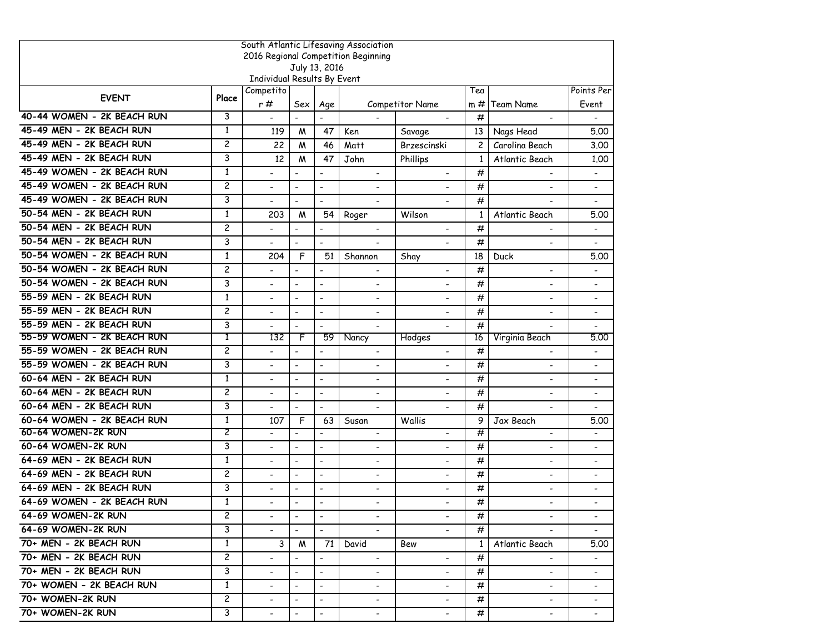|                            | South Atlantic Lifesaving Association |                             |                          |                          |                                     |                          |                |                          |                              |  |  |  |
|----------------------------|---------------------------------------|-----------------------------|--------------------------|--------------------------|-------------------------------------|--------------------------|----------------|--------------------------|------------------------------|--|--|--|
|                            |                                       |                             |                          |                          | 2016 Regional Competition Beginning |                          |                |                          |                              |  |  |  |
|                            |                                       | Individual Results By Event |                          | July 13, 2016            |                                     |                          |                |                          |                              |  |  |  |
|                            |                                       | Competito                   |                          |                          |                                     |                          | Tea            |                          | Points Per                   |  |  |  |
| <b>EVENT</b>               | Place                                 | r#                          | Sex                      | Age                      |                                     | <b>Competitor Name</b>   | $m \#$         | Team Name                | Event                        |  |  |  |
| 40-44 WOMEN - 2K BEACH RUN | 3                                     | $\blacksquare$              | $\mathbb{Z}^2$           | $\overline{a}$           |                                     |                          | #              |                          |                              |  |  |  |
| 45-49 MEN - 2K BEACH RUN   | $\mathbf{1}$                          | 119                         | M                        | 47                       | Ken                                 | Savage                   | 13             | Nags Head                | 5.00                         |  |  |  |
| 45-49 MEN - 2K BEACH RUN   | $\overline{c}$                        | 22                          | M                        | 46                       | Matt                                | Brzescinski              | $\overline{c}$ | Carolina Beach           | 3.00                         |  |  |  |
| 45-49 MEN - 2K BEACH RUN   | 3                                     | 12                          | M                        | 47                       | John                                | Phillips                 | $\mathbf{1}$   | Atlantic Beach           | 1.00                         |  |  |  |
| 45-49 WOMEN - 2K BEACH RUN | $\mathbf{1}$                          |                             | $\blacksquare$           | $\overline{a}$           | $\blacksquare$                      | $\overline{a}$           | #              |                          |                              |  |  |  |
| 45-49 WOMEN - 2K BEACH RUN | $\overline{c}$                        | $\blacksquare$              | $\blacksquare$           | $\overline{a}$           | $\overline{\phantom{a}}$            |                          | #              |                          | $\overline{\phantom{0}}$     |  |  |  |
| 45-49 WOMEN - 2K BEACH RUN | 3                                     |                             | $\blacksquare$           | $\overline{a}$           | $\overline{\phantom{a}}$            |                          | #              |                          |                              |  |  |  |
| 50-54 MEN - 2K BEACH RUN   | 1                                     | 203                         | M                        | 54                       | Roger                               | Wilson                   | 1              | Atlantic Beach           | 5.00                         |  |  |  |
| 50-54 MEN - 2K BEACH RUN   | $\overline{c}$                        |                             | $\overline{\phantom{a}}$ | $\overline{a}$           | $\overline{\phantom{a}}$            | $\overline{\phantom{a}}$ | #              | $\overline{\phantom{a}}$ | $\qquad \qquad \blacksquare$ |  |  |  |
| 50-54 MEN - 2K BEACH RUN   | 3                                     |                             | $\blacksquare$           | $\overline{a}$           |                                     |                          | #              | $\overline{\phantom{0}}$ |                              |  |  |  |
| 50-54 WOMEN - 2K BEACH RUN | $\mathbf{1}$                          | 204                         | F                        | 51                       | Shannon                             | Shay                     | 18             | Duck                     | 5.00                         |  |  |  |
| 50-54 WOMEN - 2K BEACH RUN | $\overline{c}$                        |                             | $\overline{a}$           | $\overline{a}$           | $\blacksquare$                      |                          | #              | ÷                        |                              |  |  |  |
| 50-54 WOMEN - 2K BEACH RUN | 3                                     |                             | $\overline{\phantom{a}}$ | $\overline{\phantom{0}}$ |                                     |                          | #              |                          |                              |  |  |  |
| 55-59 MEN - 2K BEACH RUN   | $\mathbf{1}$                          |                             | $\overline{\phantom{a}}$ | $\overline{\phantom{0}}$ | $\overline{\phantom{a}}$            |                          | #              | $\overline{\phantom{a}}$ | $\qquad \qquad \blacksquare$ |  |  |  |
| 55-59 MEN - 2K BEACH RUN   | $\overline{c}$                        |                             | $\blacksquare$           | $\blacksquare$           | $\overline{\phantom{a}}$            | $\overline{\phantom{a}}$ | #              | $\blacksquare$           |                              |  |  |  |
| 55-59 MEN - 2K BEACH RUN   | 3                                     |                             | $\blacksquare$           | $\overline{a}$           |                                     |                          | #              |                          |                              |  |  |  |
| 55-59 WOMEN - 2K BEACH RUN | T                                     | 132                         | F                        | 59                       | Nancy                               | Hodges                   | 16             | Virginia Beach           | 5.00                         |  |  |  |
| 55-59 WOMEN - 2K BEACH RUN | $\overline{c}$                        |                             | $\blacksquare$           | $\overline{a}$           | $\blacksquare$                      |                          | #              | $\blacksquare$           | $\blacksquare$               |  |  |  |
| 55-59 WOMEN - 2K BEACH RUN | 3                                     |                             | $\overline{\phantom{a}}$ | $\overline{\phantom{a}}$ | $\blacksquare$                      |                          | #              | $\overline{\phantom{a}}$ | $\qquad \qquad \blacksquare$ |  |  |  |
| 60-64 MEN - 2K BEACH RUN   | 1                                     |                             | $\overline{\phantom{a}}$ | $\overline{a}$           | $\blacksquare$                      |                          | #              | $\overline{\phantom{a}}$ | $\qquad \qquad \blacksquare$ |  |  |  |
| 60-64 MEN - 2K BEACH RUN   | $\overline{\mathbf{c}}$               | $\overline{a}$              | $\blacksquare$           | $\overline{a}$           | $\blacksquare$                      | $\overline{\phantom{a}}$ | #              | $\blacksquare$           | $\overline{\phantom{0}}$     |  |  |  |
| 60-64 MEN - 2K BEACH RUN   | 3                                     |                             | $\blacksquare$           | $\overline{\phantom{a}}$ |                                     |                          | #              |                          |                              |  |  |  |
| 60-64 WOMEN - 2K BEACH RUN | 1                                     | 107                         | F                        | 63                       | Susan                               | Wallis                   | 9              | Jax Beach                | 5.00                         |  |  |  |
| 60-64 WOMEN-2K RUN         | 2                                     | $\overline{a}$              |                          | $\overline{a}$           | $\overline{\phantom{a}}$            |                          | #              | $\overline{a}$           |                              |  |  |  |
| 60-64 WOMEN-2K RUN         | 3                                     |                             | $\sim$                   | $\overline{a}$           | $\blacksquare$                      | $\overline{a}$           | #              | $\overline{\phantom{a}}$ | $\blacksquare$               |  |  |  |
| 64-69 MEN - 2K BEACH RUN   | 1                                     |                             | $\blacksquare$           | $\overline{a}$           |                                     |                          | #              | $\overline{\phantom{0}}$ |                              |  |  |  |
| 64-69 MEN - 2K BEACH RUN   | $\overline{c}$                        |                             | $\sim$                   | $\overline{a}$           | $\blacksquare$                      | $\overline{\phantom{a}}$ | #              | $\overline{\phantom{0}}$ | $\overline{\phantom{0}}$     |  |  |  |
| 64-69 MEN - 2K BEACH RUN   | 3                                     |                             | $\blacksquare$           | $\overline{\phantom{a}}$ | $\overline{\phantom{a}}$            | $\blacksquare$           | #              | $\overline{\phantom{a}}$ |                              |  |  |  |
| 64-69 WOMEN - 2K BEACH RUN | 1                                     |                             | $\overline{\phantom{a}}$ | $\overline{\phantom{0}}$ |                                     |                          | #              |                          |                              |  |  |  |
| 64-69 WOMEN-2K RUN         | $\mathsf{2}$                          | $\overline{\phantom{0}}$    | $\blacksquare$           | $\overline{\phantom{a}}$ | $\blacksquare$                      | $\blacksquare$           | #              | $\overline{\phantom{a}}$ | $\qquad \qquad \blacksquare$ |  |  |  |
| 64-69 WOMEN-2K RUN         | 3                                     |                             | $\blacksquare$           | $\omega$                 |                                     |                          | #              |                          | $\blacksquare$               |  |  |  |
| 70+ MEN - 2K BEACH RUN     | $\mathbf{1}$                          | 3                           | M                        | 71                       | David                               | Bew                      | 1              | Atlantic Beach           | 5.00                         |  |  |  |
| 70+ MEN - 2K BEACH RUN     | $\overline{c}$                        | $\overline{\phantom{a}}$    | $\blacksquare$           | $\blacksquare$           | $\blacksquare$                      | $\blacksquare$           | #              |                          |                              |  |  |  |
| 70+ MEN - 2K BEACH RUN     | 3                                     | $\overline{\phantom{0}}$    | $\blacksquare$           | $\blacksquare$           | $\blacksquare$                      | $\overline{\phantom{0}}$ | #              | $\blacksquare$           |                              |  |  |  |
| 70+ WOMEN - 2K BEACH RUN   | $\mathbf{1}$                          | $\overline{\phantom{a}}$    | $\overline{\phantom{a}}$ | $\blacksquare$           | $\overline{\phantom{a}}$            | $\overline{\phantom{a}}$ | #              | $\overline{\phantom{a}}$ | $\overline{\phantom{a}}$     |  |  |  |
| 70+ WOMEN-2K RUN           | $\overline{\mathbf{c}}$               | $\sim$                      | $\blacksquare$           | $\blacksquare$           | $\blacksquare$                      | $\blacksquare$           | #              | $\blacksquare$           | $\blacksquare$               |  |  |  |
| 70+ WOMEN-2K RUN           | 3                                     | $\overline{\phantom{0}}$    | $\blacksquare$           | $\blacksquare$           | $\blacksquare$                      | $\blacksquare$           | #              | $\overline{\phantom{a}}$ | $\blacksquare$               |  |  |  |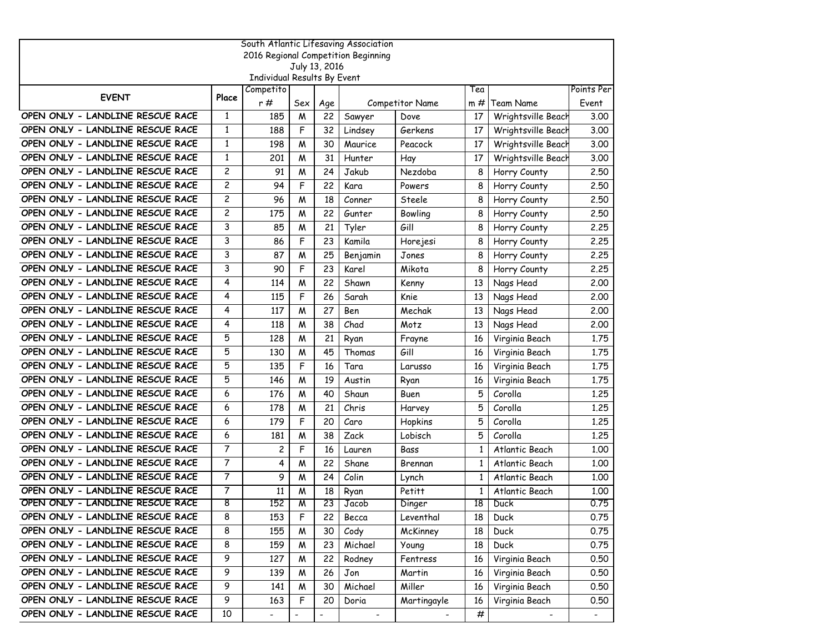| South Atlantic Lifesaving Association |                |                             |                         |                          |                |                        |                 |                    |                |  |  |
|---------------------------------------|----------------|-----------------------------|-------------------------|--------------------------|----------------|------------------------|-----------------|--------------------|----------------|--|--|
| 2016 Regional Competition Beginning   |                |                             |                         |                          |                |                        |                 |                    |                |  |  |
|                                       |                | Individual Results By Event |                         | July 13, 2016            |                |                        |                 |                    |                |  |  |
|                                       |                | Competito                   |                         |                          |                |                        | Tea             |                    | Points Per     |  |  |
| <b>EVENT</b>                          | Place          | r#                          | Sex                     | Age                      |                | <b>Competitor Name</b> | m #             | Team Name          | Event          |  |  |
| OPEN ONLY - LANDLINE RESCUE RACE      | 1              | 185                         | M                       | 22                       | Sawyer         | Dove                   | 17              | Wrightsville Beach | 3.00           |  |  |
| OPEN ONLY - LANDLINE RESCUE RACE      | 1              | 188                         | F                       | 32                       | Lindsey        | Gerkens                | 17              | Wrightsville Beach | 3.00           |  |  |
| OPEN ONLY - LANDLINE RESCUE RACE      | $\mathbf{1}$   | 198                         | W                       | 30                       | Maurice        | Peacock                | 17              | Wrightsville Beach | 3.00           |  |  |
| OPEN ONLY - LANDLINE RESCUE RACE      | $\mathbf{1}$   | 201                         | M                       | 31                       | Hunter         | Hay                    | 17              | Wrightsville Beach | 3.00           |  |  |
| OPEN ONLY - LANDLINE RESCUE RACE      | $\mathbf{2}$   | 91                          | M                       | 24                       | Jakub          | Nezdoba                | 8               | Horry County       | 2.50           |  |  |
| OPEN ONLY - LANDLINE RESCUE RACE      | $\overline{c}$ | 94                          | F                       | 22                       | Kara           | Powers                 | 8               | Horry County       | 2.50           |  |  |
| OPEN ONLY - LANDLINE RESCUE RACE      | 2              | 96                          | M                       | 18                       | Conner         | Steele                 | 8               | Horry County       | 2.50           |  |  |
| OPEN ONLY - LANDLINE RESCUE RACE      | $\overline{c}$ | 175                         | W                       | 22                       | Gunter         | Bowling                | 8               | Horry County       | 2.50           |  |  |
| OPEN ONLY - LANDLINE RESCUE RACE      | 3              | 85                          | M                       | 21                       | Tyler          | Gill                   | 8               | Horry County       | 2.25           |  |  |
| OPEN ONLY - LANDLINE RESCUE RACE      | 3              | 86                          | F                       | 23                       | Kamila         | Horejesi               | 8               | Horry County       | 2,25           |  |  |
| OPEN ONLY - LANDLINE RESCUE RACE      | 3              | 87                          | M                       | 25                       | Benjamin       | Jones                  | 8               | Horry County       | 2.25           |  |  |
| OPEN ONLY - LANDLINE RESCUE RACE      | 3              | 90                          | F                       | 23                       | Karel          | Mikota                 | 8               | Horry County       | 2.25           |  |  |
| OPEN ONLY - LANDLINE RESCUE RACE      | 4              | 114                         | M                       | 22                       | Shawn          | Kenny                  | 13              | Nags Head          | 2,00           |  |  |
| OPEN ONLY - LANDLINE RESCUE RACE      | 4              | 115                         | F                       | 26                       | Sarah          | Knie                   | 13              | Nags Head          | 2,00           |  |  |
| OPEN ONLY - LANDLINE RESCUE RACE      | 4              | 117                         | M                       | 27                       | Ben            | Mechak                 | 13              | Nags Head          | 2,00           |  |  |
| OPEN ONLY - LANDLINE RESCUE RACE      | 4              | 118                         | M                       | 38                       | Chad           | Motz                   | 13              | Nags Head          | 2,00           |  |  |
| OPEN ONLY - LANDLINE RESCUE RACE      | 5              | 128                         | М                       | 21                       | Ryan           | Frayne                 | 16              | Virginia Beach     | 1.75           |  |  |
| OPEN ONLY - LANDLINE RESCUE RACE      | 5              | 130                         | M                       | 45                       | Thomas         | Gill                   | 16              | Virginia Beach     | 1.75           |  |  |
| OPEN ONLY - LANDLINE RESCUE RACE      | 5              | 135                         | F                       | 16                       | Tara           | Larusso                | 16              | Virginia Beach     | 1,75           |  |  |
| OPEN ONLY - LANDLINE RESCUE RACE      | 5              | 146                         | М                       | 19                       | Austin         | Ryan                   | 16              | Virginia Beach     | 1.75           |  |  |
| OPEN ONLY - LANDLINE RESCUE RACE      | 6              | 176                         | M                       | 40                       | Shaun          | Buen                   | 5               | Corolla            | 1.25           |  |  |
| OPEN ONLY - LANDLINE RESCUE RACE      | 6              | 178                         | M                       | 21                       | Chris          | Harvey                 | 5               | Corolla            | 1,25           |  |  |
| OPEN ONLY - LANDLINE RESCUE RACE      | 6              | 179                         | F                       | 20                       | Caro           | Hopkins                | 5               | Corolla            | 1,25           |  |  |
| OPEN ONLY - LANDLINE RESCUE RACE      | 6              | 181                         | М                       | 38                       | Zack           | Lobisch                | 5               | Corolla            | 1,25           |  |  |
| OPEN ONLY - LANDLINE RESCUE RACE      | 7              | 2                           | F                       | 16                       | Lauren         | Bass                   | $\mathbf{1}$    | Atlantic Beach     | 1.00           |  |  |
| OPEN ONLY - LANDLINE RESCUE RACE      | $\overline{7}$ | 4                           | M                       | 22                       | Shane          | Brennan                | 1               | Atlantic Beach     | 1.00           |  |  |
| OPEN ONLY - LANDLINE RESCUE RACE      | $\overline{7}$ | 9                           | M                       | 24                       | Colin          | Lynch                  | 1               | Atlantic Beach     | 1.00           |  |  |
| OPEN ONLY - LANDLINE RESCUE RACE      | 7              | 11                          | M                       | 18                       | Ryan           | Petitt                 | 1               | Atlantic Beach     | 1.00           |  |  |
| OPEN ONLY - LANDLINE RESCUE RACE      | 8              | 152                         | $\overline{\mathsf{M}}$ | 23                       | Jacob          | Dinger                 | $\overline{18}$ | Duck               | 0.75           |  |  |
| OPEN ONLY - LANDLINE RESCUE RACE      | 8              | 153                         | F                       | 22                       | Becca          | Leventhal              | 18              | Duck               | 0.75           |  |  |
| OPEN ONLY - LANDLINE RESCUE RACE      | 8              | 155                         | M                       | 30                       | Cody           | McKinney               | 18              | Duck               | 0.75           |  |  |
| OPEN ONLY - LANDLINE RESCUE RACE      | 8              | 159                         | M                       | 23                       | Michael        | Young                  | 18              | Duck               | 0.75           |  |  |
| OPEN ONLY - LANDLINE RESCUE RACE      | 9              | 127                         | M                       | 22                       | Rodney         | Fentress               | 16              | Virginia Beach     | 0.50           |  |  |
| OPEN ONLY - LANDLINE RESCUE RACE      | 9              | 139                         | W                       | 26                       | Jon            | Martin                 | 16              | Virginia Beach     | 0.50           |  |  |
| OPEN ONLY - LANDLINE RESCUE RACE      | ୭              | 141                         | M                       | 30                       | Michael        | Miller                 | 16              | Virginia Beach     | 0.50           |  |  |
| OPEN ONLY - LANDLINE RESCUE RACE      | 9              | 163                         | F                       | 20                       | Doria          | Martingayle            | 16              | Virginia Beach     | 0.50           |  |  |
| OPEN ONLY - LANDLINE RESCUE RACE      | 10             | $\overline{a}$              | $\blacksquare$          | $\overline{\phantom{a}}$ | $\blacksquare$ |                        | #               |                    | $\blacksquare$ |  |  |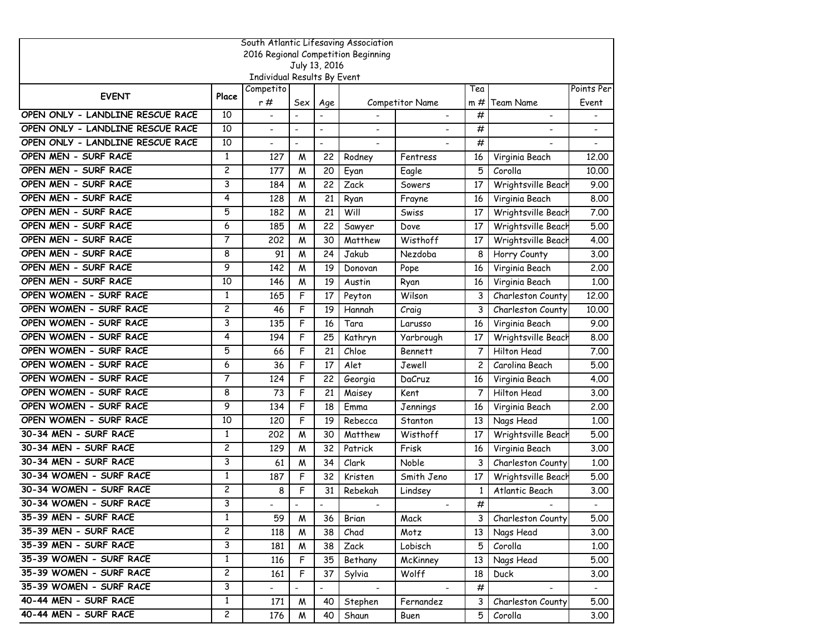| South Atlantic Lifesaving Association |                |                             |                          |                          |                                     |                        |                 |                    |            |  |  |
|---------------------------------------|----------------|-----------------------------|--------------------------|--------------------------|-------------------------------------|------------------------|-----------------|--------------------|------------|--|--|
|                                       |                |                             |                          |                          | 2016 Regional Competition Beginning |                        |                 |                    |            |  |  |
|                                       |                | Individual Results By Event |                          | July 13, 2016            |                                     |                        |                 |                    |            |  |  |
|                                       |                | Competito                   |                          |                          |                                     |                        | Tea             |                    | Points Per |  |  |
| <b>EVENT</b>                          | Place          | r#                          | Sex                      | Age                      |                                     | <b>Competitor Name</b> | $m \#$          | Team Name          | Event      |  |  |
| OPEN ONLY - LANDLINE RESCUE RACE      | 10             | $\blacksquare$              | $\blacksquare$           | $\overline{a}$           |                                     |                        | #               | ٠                  |            |  |  |
| OPEN ONLY - LANDLINE RESCUE RACE      | 10             | $\blacksquare$              | $\blacksquare$           | $\overline{\phantom{a}}$ |                                     |                        | #               |                    |            |  |  |
| OPEN ONLY - LANDLINE RESCUE RACE      | 10             |                             | $\overline{\phantom{a}}$ | $\overline{a}$           |                                     |                        | #               |                    |            |  |  |
| OPEN MEN - SURF RACE                  | 1              | 127                         | M                        | 22                       | Rodney                              | Fentress               | 16              | Virginia Beach     | 12.00      |  |  |
| OPEN MEN - SURF RACE                  | $\overline{c}$ | 177                         | W                        | 20                       | Eyan                                | Eagle                  | 5               | Corolla            | 10.00      |  |  |
| OPEN MEN - SURF RACE                  | 3              | 184                         | M                        | 22                       | Zack                                | Sowers                 | 17              | Wrightsville Beach | 9.00       |  |  |
| OPEN MEN - SURF RACE                  | 4              | 128                         | M                        | 21                       | Ryan                                | Frayne                 | 16              | Virginia Beach     | 8.00       |  |  |
| OPEN MEN - SURF RACE                  | 5              | 182                         | W                        | 21                       | Will                                | Swiss                  | 17              | Wrightsville Beach | 7.00       |  |  |
| OPEN MEN - SURF RACE                  | 6              | 185                         | M                        | 22                       | Sawyer                              | Dove                   | 17              | Wrightsville Beach | 5.00       |  |  |
| OPEN MEN - SURF RACE                  | 7              | 202                         | М                        | 30                       | Matthew                             | Wisthoff               | 17              | Wrightsville Beach | 4.00       |  |  |
| OPEN MEN - SURF RACE                  | 8              | 91                          | M                        | 24                       | Jakub                               | Nezdoba                | 8               | Horry County       | 3.00       |  |  |
| OPEN MEN - SURF RACE                  | 9              | 142                         | M                        | 19                       | Donovan                             | Pope                   | 16              | Virginia Beach     | 2.00       |  |  |
| OPEN MEN - SURF RACE                  | 10             | 146                         | M                        | 19                       | Austin                              | Ryan                   | 16              | Virginia Beach     | 1.00       |  |  |
| OPEN WOMEN - SURF RACE                | 1              | 165                         | F                        | 17                       | Peyton                              | Wilson                 | 3               | Charleston County  | 12.00      |  |  |
| OPEN WOMEN - SURF RACE                | $\overline{c}$ | 46                          | F                        | 19                       | Hannah                              | Craig                  | 3               | Charleston County  | 10.00      |  |  |
| OPEN WOMEN - SURF RACE                | 3              | 135                         | F                        | 16                       | Tara                                | Larusso                | 16              | Virginia Beach     | 9.00       |  |  |
| OPEN WOMEN - SURF RACE                | 4              | 194                         | F                        | 25                       | Kathryn                             | Yarbrough              | 17              | Wrightsville Beach | 8.00       |  |  |
| OPEN WOMEN - SURF RACE                | 5              | 66                          | F                        | 21                       | Chloe                               | <b>Bennett</b>         | 7               | Hilton Head        | 7.00       |  |  |
| OPEN WOMEN - SURF RACE                | 6              | 36                          | F                        | 17                       | Alet                                | Jewell                 | 2               | Carolina Beach     | 5.00       |  |  |
| OPEN WOMEN - SURF RACE                | 7              | 124                         | F                        | 22                       | Georgia                             | DaCruz                 | 16              | Virginia Beach     | 4.00       |  |  |
| OPEN WOMEN - SURF RACE                | 8              | 73                          | F                        | 21                       | Maisey                              | Kent                   | $\overline{7}$  | Hilton Head        | 3.00       |  |  |
| OPEN WOMEN - SURF RACE                | 9              | 134                         | F                        | 18                       | Emma                                | Jennings               | 16              | Virginia Beach     | 2.00       |  |  |
| OPEN WOMEN - SURF RACE                | 10             | 120                         | F                        | 19                       | Rebecca                             | Stanton                | 13              | Nags Head          | 1.00       |  |  |
| 30-34 MEN - SURF RACE                 | 1              | 202                         | M                        | 30                       | Matthew                             | Wisthoff               | 17              | Wrightsville Beach | 5.00       |  |  |
| 30-34 MEN - SURF RACE                 | 2              | 129                         | W                        | 32                       | Patrick                             | Frisk                  | 16              | Virginia Beach     | 3.00       |  |  |
| 30-34 MEN - SURF RACE                 | 3              | 61                          | M                        | 34                       | Clark                               | Noble                  | 3               | Charleston County  | 1.00       |  |  |
| 30-34 WOMEN - SURF RACE               | 1              | 187                         | F                        | 32                       | Kristen                             | Smith Jeno             | 17              | Wrightsville Beach | 5.00       |  |  |
| 30-34 WOMEN - SURF RACE               | 2              | 8                           | F                        | 31                       | Rebekah                             | Lindsey                | 1               | Atlantic Beach     | 3.00       |  |  |
| 30-34 WOMEN - SURF RACE               | 3              |                             | $\blacksquare$           | $\overline{a}$           |                                     |                        | #               |                    | -          |  |  |
| 35-39 MEN - SURF RACE                 | $\mathbf{1}$   | 59                          | W                        | 36                       | Brian                               | Mack                   | 3 I             | Charleston County  | 5.00       |  |  |
| 35-39 MEN - SURF RACE                 | $\overline{2}$ | 118                         | W                        | 38                       | Chad                                | Motz                   | 13 <sup>1</sup> | Nags Head          | 3.00       |  |  |
| 35-39 MEN - SURF RACE                 | 3              | 181                         | W                        | 38                       | Zack                                | Lobisch                | 5               | Corolla            | 1.00       |  |  |
| 35-39 WOMEN - SURF RACE               | $\mathbf{1}$   | 116                         | F                        | 35                       | Bethany                             | McKinney               | 13              | Nags Head          | 5.00       |  |  |
| 35-39 WOMEN - SURF RACE               | $\overline{c}$ | 161                         | F                        | 37                       | Sylvia                              | Wolff                  | 18              | Duck               | 3.00       |  |  |
| 35-39 WOMEN - SURF RACE               | 3              | $\overline{\phantom{0}}$    | $\Box$                   | $\blacksquare$           | $\blacksquare$                      | $\sim$                 | #               | $\blacksquare$     | $\sim$     |  |  |
| 40-44 MEN - SURF RACE                 | $\mathbf{1}$   | 171                         | M                        | 40                       | Stephen                             | Fernandez              | 3               | Charleston County  | 5.00       |  |  |
| 40-44 MEN - SURF RACE                 | $\overline{c}$ | 176                         | W                        | 40                       | Shaun                               | Buen                   | 5               | Corolla            | 3.00       |  |  |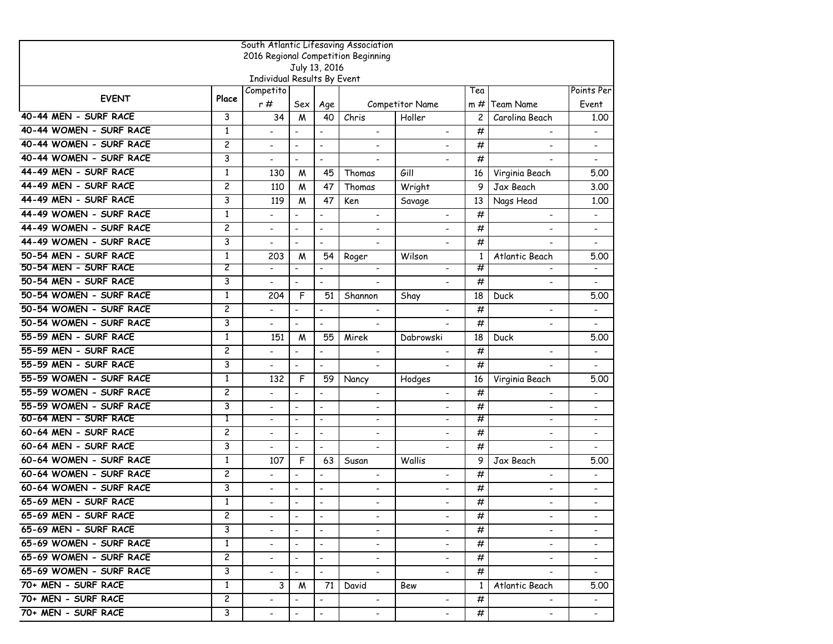|                         | South Atlantic Lifesaving Association                |                             |                          |                              |                          |                          |                |                              |                              |  |  |  |  |
|-------------------------|------------------------------------------------------|-----------------------------|--------------------------|------------------------------|--------------------------|--------------------------|----------------|------------------------------|------------------------------|--|--|--|--|
|                         | 2016 Regional Competition Beginning<br>July 13, 2016 |                             |                          |                              |                          |                          |                |                              |                              |  |  |  |  |
|                         |                                                      | Individual Results By Event |                          |                              |                          |                          |                |                              |                              |  |  |  |  |
|                         |                                                      | Competito                   |                          |                              |                          |                          | Tea            |                              | Points Per                   |  |  |  |  |
| <b>EVENT</b>            | Place                                                | r#                          | Sex                      | Age                          |                          | <b>Competitor Name</b>   | $m \#$         | Team Name                    | Event                        |  |  |  |  |
| 40-44 MEN - SURF RACE   | 3                                                    | 34                          | M                        | 40                           | Chris                    | Holler                   | $\overline{c}$ | Carolina Beach               | 1.00                         |  |  |  |  |
| 40-44 WOMEN - SURF RACE | $\mathbf{1}$                                         |                             | $\overline{a}$           | $\overline{\phantom{a}}$     | $\overline{\phantom{a}}$ |                          | #              |                              | $\qquad \qquad \blacksquare$ |  |  |  |  |
| 40-44 WOMEN - SURF RACE | $\overline{\mathbf{c}}$                              |                             | $\overline{\phantom{a}}$ | $\overline{\phantom{a}}$     |                          |                          | #              | $\overline{\phantom{a}}$     |                              |  |  |  |  |
| 40-44 WOMEN - SURF RACE | 3                                                    |                             | $\blacksquare$           | $\frac{1}{2}$                | $\overline{\phantom{a}}$ |                          | #              |                              | $\qquad \qquad \blacksquare$ |  |  |  |  |
| 44-49 MEN - SURF RACE   | $\mathbf{1}$                                         | 130                         | M                        | 45                           | Thomas                   | Gill                     | 16             | Virginia Beach               | 5.00                         |  |  |  |  |
| 44-49 MEN - SURF RACE   | $\overline{c}$                                       | 110                         | M                        | 47                           | Thomas                   | Wright                   | 9              | Jax Beach                    | 3.00                         |  |  |  |  |
| 44-49 MEN - SURF RACE   | 3                                                    | 119                         | M                        | 47                           | Ken                      | Savage                   | 13             | Nags Head                    | 1.00                         |  |  |  |  |
| 44-49 WOMEN - SURF RACE | $\mathbf{1}$                                         |                             | $\overline{\phantom{a}}$ | $\qquad \qquad \blacksquare$ | $\blacksquare$           |                          | #              | $\hbox{\small -}$            | $\overline{\phantom{a}}$     |  |  |  |  |
| 44-49 WOMEN - SURF RACE | $\overline{c}$                                       |                             | $\overline{\phantom{a}}$ | $\overline{\phantom{a}}$     | $\overline{\phantom{a}}$ |                          | #              | $\overline{\phantom{a}}$     | $\overline{a}$               |  |  |  |  |
| 44-49 WOMEN - SURF RACE | 3                                                    | $\overline{a}$              | $\blacksquare$           | $\overline{a}$               | $\blacksquare$           |                          | #              | $\overline{\phantom{0}}$     | $\overline{\phantom{0}}$     |  |  |  |  |
| 50-54 MEN - SURF RACE   | $\mathbf{1}$                                         | 203                         | M                        | 54                           | Roger                    | Wilson                   | $\mathbf{1}$   | Atlantic Beach               | 5.00                         |  |  |  |  |
| 50-54 MEN - SURF RACE   | 2                                                    | $\overline{\phantom{a}}$    | $\overline{\phantom{a}}$ | $\frac{1}{2}$                | $\blacksquare$           | $\blacksquare$           | #              |                              |                              |  |  |  |  |
| 50-54 MEN - SURF RACE   | 3                                                    |                             | $\blacksquare$           | $\overline{a}$               |                          |                          | #              |                              |                              |  |  |  |  |
| 50-54 WOMEN - SURF RACE | $\mathbf{1}$                                         | 204                         | F                        | 51                           | Shannon                  | Shay                     | 18             | Duck                         | 5.00                         |  |  |  |  |
| 50-54 WOMEN - SURF RACE | $\overline{c}$                                       |                             | $\blacksquare$           | $\overline{a}$               | $\overline{\phantom{a}}$ |                          | #              | $\blacksquare$               | $\overline{a}$               |  |  |  |  |
| 50-54 WOMEN - SURF RACE | 3                                                    | $\overline{\phantom{a}}$    | $\blacksquare$           | $\overline{\phantom{a}}$     | $\blacksquare$           |                          | #              | $\blacksquare$               | $\overline{\phantom{0}}$     |  |  |  |  |
| 55-59 MEN - SURF RACE   | $\mathbf{1}$                                         | 151                         | M                        | 55                           | Mirek                    | Dabrowski                | 18             | Duck                         | 5.00                         |  |  |  |  |
| 55-59 MEN - SURF RACE   | $\overline{c}$                                       |                             | $\overline{\phantom{a}}$ | $\overline{a}$               | $\hbox{\small -}$        |                          | #              |                              | $\qquad \qquad \blacksquare$ |  |  |  |  |
| 55-59 MEN - SURF RACE   | 3                                                    |                             | $\blacksquare$           | $\overline{\phantom{a}}$     | $\blacksquare$           |                          | #              |                              |                              |  |  |  |  |
| 55-59 WOMEN - SURF RACE | $\mathbf{1}$                                         | 132                         | F                        | 59                           | Nancy                    | Hodges                   | 16             | Virginia Beach               | 5.00                         |  |  |  |  |
| 55-59 WOMEN - SURF RACE | $\overline{c}$                                       | $\overline{\phantom{0}}$    | $\overline{a}$           | $\ddot{\phantom{a}}$         | $\blacksquare$           | $\overline{\phantom{a}}$ | #              | $\overline{\phantom{0}}$     | $\overline{\phantom{0}}$     |  |  |  |  |
| 55-59 WOMEN - SURF RACE | 3                                                    |                             | $\overline{\phantom{a}}$ | $\ddot{\phantom{a}}$         |                          |                          | #              | $\qquad \qquad \blacksquare$ | $\qquad \qquad \blacksquare$ |  |  |  |  |
| 60-64 MEN - SURF RACE   | Τ                                                    | $\blacksquare$              | $\blacksquare$           | $\blacksquare$               | $\blacksquare$           | $\overline{\phantom{a}}$ | #              | $\blacksquare$               | $\overline{\phantom{0}}$     |  |  |  |  |
| 60-64 MEN - SURF RACE   | $\overline{c}$                                       | $\blacksquare$              | $\blacksquare$           | $\blacksquare$               | $\blacksquare$           | $\blacksquare$           | #              | $\blacksquare$               | $\overline{a}$               |  |  |  |  |
| 60-64 MEN - SURF RACE   | 3                                                    |                             | $\blacksquare$           | $\blacksquare$               | $\overline{\phantom{a}}$ |                          | #              |                              |                              |  |  |  |  |
| 60-64 WOMEN - SURF RACE | $\mathbf{1}$                                         | 107                         | F                        | 63                           | Susan                    | Wallis                   | 9              | Jax Beach                    | 5.00                         |  |  |  |  |
| 60-64 WOMEN - SURF RACE | $\overline{c}$                                       |                             | $\overline{\phantom{a}}$ | $\ddot{\phantom{a}}$         | $\blacksquare$           | $\overline{\phantom{a}}$ | #              | $\overline{\phantom{a}}$     | $\overline{a}$               |  |  |  |  |
| 60-64 WOMEN - SURF RACE | 3                                                    |                             | $\blacksquare$           | $\overline{\phantom{a}}$     | $\overline{\phantom{0}}$ | $\overline{\phantom{0}}$ | #              | $\qquad \qquad \blacksquare$ | $\overline{\phantom{0}}$     |  |  |  |  |
| 65-69 MEN - SURF RACE   | $\mathbf{1}$                                         |                             | $\blacksquare$           | $\overline{\phantom{a}}$     |                          |                          | #              | $\blacksquare$               |                              |  |  |  |  |
| 65-69 MEN - SURF RACE   | $\mathbf{2}$                                         |                             |                          |                              | $\overline{\phantom{a}}$ |                          | #              |                              |                              |  |  |  |  |
| 65-69 MEN - SURF RACE   | 3                                                    |                             | $\overline{\phantom{a}}$ |                              | $\blacksquare$           |                          | #              | ۰.                           | $\qquad \qquad \blacksquare$ |  |  |  |  |
| 65-69 WOMEN - SURF RACE | 1                                                    | $\blacksquare$              | $\hbox{\small -}$        | $\blacksquare$               | $\blacksquare$           |                          | #              | $\blacksquare$               | $\overline{\phantom{a}}$     |  |  |  |  |
| 65-69 WOMEN - SURF RACE | $\overline{c}$                                       | $\overline{\phantom{0}}$    | $\blacksquare$           | $\blacksquare$               | $\blacksquare$           | $\blacksquare$           | #              | $\blacksquare$               | $\overline{\phantom{a}}$     |  |  |  |  |
| 65-69 WOMEN - SURF RACE | 3                                                    | $\overline{\phantom{0}}$    | $\blacksquare$           | $\blacksquare$               |                          | $\blacksquare$           | #              |                              |                              |  |  |  |  |
| 70+ MEN - SURF RACE     | 1                                                    | 3                           | M                        | 71                           | David                    | Bew                      | $\mathbf{1}$   | Atlantic Beach               | 5.00                         |  |  |  |  |
| 70+ MEN - SURF RACE     | $\overline{c}$                                       |                             |                          | $\overline{\phantom{a}}$     | $\blacksquare$           |                          | #              |                              | $\blacksquare$               |  |  |  |  |
| 70+ MEN - SURF RACE     | 3                                                    | $\blacksquare$              | $\hbox{\small -}$        | $\qquad \qquad \blacksquare$ | $\blacksquare$           | $\blacksquare$           | #              | $\blacksquare$               | $ \,$                        |  |  |  |  |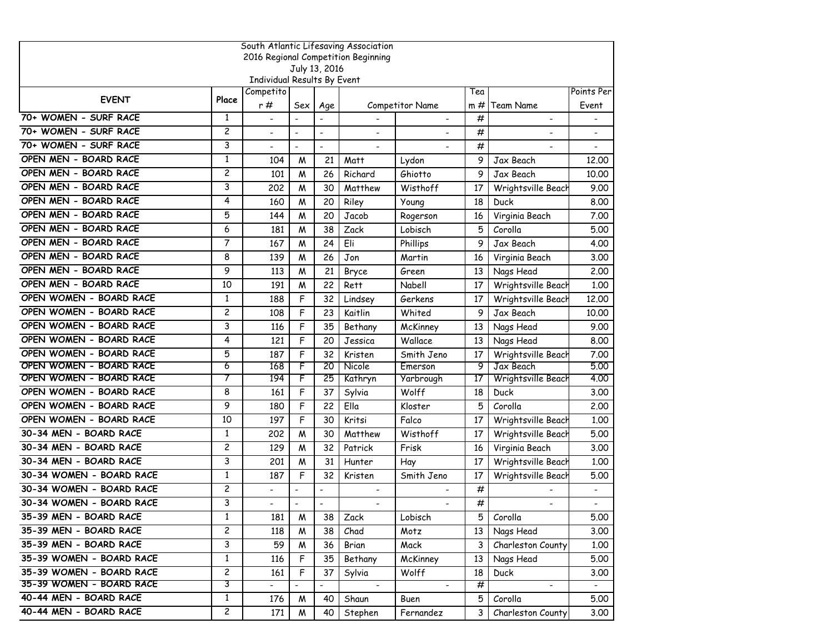| South Atlantic Lifesaving Association |                |                                          |                          |                          |                                     |                        |        |                    |                |  |  |
|---------------------------------------|----------------|------------------------------------------|--------------------------|--------------------------|-------------------------------------|------------------------|--------|--------------------|----------------|--|--|
|                                       |                |                                          |                          |                          | 2016 Regional Competition Beginning |                        |        |                    |                |  |  |
|                                       |                |                                          |                          | July 13, 2016            |                                     |                        |        |                    |                |  |  |
|                                       |                | Individual Results By Event<br>Competito |                          |                          |                                     |                        | Tea    |                    | Points Per     |  |  |
| <b>EVENT</b>                          | Place          | r #                                      | Sex                      | Age                      |                                     | <b>Competitor Name</b> | $m \#$ | <b>Team Name</b>   | Event          |  |  |
| 70+ WOMEN - SURF RACE                 | $\mathbf{1}$   | $\blacksquare$                           | $\blacksquare$           | $\overline{a}$           |                                     |                        | #      | $\blacksquare$     |                |  |  |
| 70+ WOMEN - SURF RACE                 | $\overline{c}$ | $\blacksquare$                           | $\blacksquare$           | $\overline{\phantom{a}}$ |                                     |                        | #      |                    |                |  |  |
| 70+ WOMEN - SURF RACE                 | 3              |                                          | $\overline{\phantom{a}}$ | $\overline{\phantom{a}}$ |                                     |                        | #      |                    |                |  |  |
| OPEN MEN - BOARD RACE                 | $\mathbf{1}$   | 104                                      | M                        | 21                       | Matt                                | Lydon                  | 9      | Jax Beach          | 12.00          |  |  |
| OPEN MEN - BOARD RACE                 | $\overline{c}$ | 101                                      | M                        | 26                       | Richard                             | Ghiotto                | 9      | Jax Beach          | 10.00          |  |  |
| OPEN MEN - BOARD RACE                 | 3              | 202                                      | M                        | 30                       | Matthew                             | Wisthoff               | 17     | Wrightsville Beach | 9.00           |  |  |
| OPEN MEN - BOARD RACE                 | 4              | 160                                      | M                        | 20                       | Riley                               | Young                  | 18     | Duck               | 8.00           |  |  |
| OPEN MEN - BOARD RACE                 | 5              | 144                                      | W                        | 20                       | Jacob                               | Rogerson               | 16     | Virginia Beach     | 7.00           |  |  |
| OPEN MEN - BOARD RACE                 | 6              | 181                                      | М                        | 38                       | Zack                                | Lobisch                | 5      | Corolla            | 5.00           |  |  |
| OPEN MEN - BOARD RACE                 | $\overline{7}$ | 167                                      | M                        | 24                       | Eli                                 | Phillips               | 9      | Jax Beach          | 4.00           |  |  |
| OPEN MEN - BOARD RACE                 | 8              | 139                                      | M                        | 26                       | Jon                                 | Martin                 | 16     | Virginia Beach     | 3.00           |  |  |
| OPEN MEN - BOARD RACE                 | 9              | 113                                      | M                        | 21                       | Bryce                               | Green                  | 13     | Nags Head          | 2.00           |  |  |
| OPEN MEN - BOARD RACE                 | 10             | 191                                      | M                        | 22                       | Rett                                | Nabell                 | 17     | Wrightsville Beach | 1.00           |  |  |
| OPEN WOMEN - BOARD RACE               | 1              | 188                                      | F                        | 32                       | Lindsey                             | Gerkens                | 17     | Wrightsville Beach | 12.00          |  |  |
| OPEN WOMEN - BOARD RACE               | $\overline{c}$ | 108                                      | F                        | 23                       | Kaitlin                             | Whited                 | 9      | Jax Beach          | 10.00          |  |  |
| OPEN WOMEN - BOARD RACE               | 3              | 116                                      | F                        | 35                       | Bethany                             | McKinney               | 13     | Nags Head          | 9.00           |  |  |
| OPEN WOMEN - BOARD RACE               | 4              | 121                                      | F                        | 20                       | Jessica                             | Wallace                | 13     | Nags Head          | 8.00           |  |  |
| OPEN WOMEN - BOARD RACE               | 5              | 187                                      | F                        | 32                       | Kristen                             | Smith Jeno             | 17     | Wrightsville Beach | 7.00           |  |  |
| OPEN WOMEN - BOARD RACE               | 6              | 168                                      | F                        | 20                       | Nicole                              | Emerson                | 9      | Jax Beach          | 5.00           |  |  |
| OPEN WOMEN - BOARD RACE               | 7              | 194                                      | F                        | 25                       | Kathryn                             | Yarbrough              | 17     | Wrightsville Beach | 4.00           |  |  |
| OPEN WOMEN - BOARD RACE               | 8              | 161                                      | F                        | 37                       | Sylvia                              | Wolff                  | 18     | Duck               | 3.00           |  |  |
| OPEN WOMEN - BOARD RACE               | 9              | 180                                      | F                        | 22                       | Ella                                | Kloster                | 5      | Corolla            | 2.00           |  |  |
| OPEN WOMEN - BOARD RACE               | 10             | 197                                      | F                        | 30                       | Kritsi                              | Falco                  | 17     | Wrightsville Beach | 1.00           |  |  |
| 30-34 MEN - BOARD RACE                | $\mathbf{1}$   | 202                                      | W                        | 30                       | Matthew                             | Wisthoff               | 17     | Wrightsville Beach | 5.00           |  |  |
| 30-34 MEN - BOARD RACE                | $\overline{c}$ | 129                                      | M                        | 32                       | Patrick                             | Frisk                  | 16     | Virginia Beach     | 3.00           |  |  |
| 30-34 MEN - BOARD RACE                | 3              | 201                                      | M                        | 31                       | Hunter                              | Hay                    | 17     | Wrightsville Beach | 1.00           |  |  |
| 30-34 WOMEN - BOARD RACE              | $\mathbf{1}$   | 187                                      | F                        | 32                       | Kristen                             | Smith Jeno             | 17     | Wrightsville Beach | 5.00           |  |  |
| 30-34 WOMEN - BOARD RACE              | $\overline{c}$ |                                          |                          | $\ddot{\phantom{a}}$     | $\blacksquare$                      |                        | #      |                    | $\overline{a}$ |  |  |
| 30-34 WOMEN - BOARD RACE              | 3              |                                          | $\overline{\phantom{a}}$ | $\overline{a}$           |                                     |                        | #      |                    |                |  |  |
| 35-39 MEN - BOARD RACE                | 1              | 181                                      | M                        | 38                       | Zack                                | Lobisch                | 5.     | Corolla            | 5.00           |  |  |
| 35-39 MEN - BOARD RACE                | $\overline{c}$ | 118                                      | W                        | 38                       | Chad                                | Motz                   | 13     | Nags Head          | 3.00           |  |  |
| 35-39 MEN - BOARD RACE                | $\overline{3}$ | 59                                       | W                        | 36                       | Brian                               | Mack                   | 3      | Charleston County  | 1.00           |  |  |
| 35-39 WOMEN - BOARD RACE              | $\mathbf{1}$   | 116                                      | F                        | 35                       | Bethany                             | McKinney               | 13     | Nags Head          | 5.00           |  |  |
| 35-39 WOMEN - BOARD RACE              | $\overline{c}$ | 161                                      | F                        | 37                       | Sylvia                              | Wolff                  | 18     | Duck               | 3.00           |  |  |
| 35-39 WOMEN - BOARD RACE              | 3              | $\blacksquare$                           |                          | $\blacksquare$           | $\blacksquare$                      | $\blacksquare$         | #      | $\blacksquare$     |                |  |  |
| 40-44 MEN - BOARD RACE                | $\mathbf{1}$   | 176                                      | W                        | 40                       | Shaun                               | Buen                   | 5      | Corolla            | 5.00           |  |  |
| 40-44 MEN - BOARD RACE                | $\overline{c}$ | 171                                      | W                        | 40                       | Stephen                             | Fernandez              | 3      | Charleston County  | 3.00           |  |  |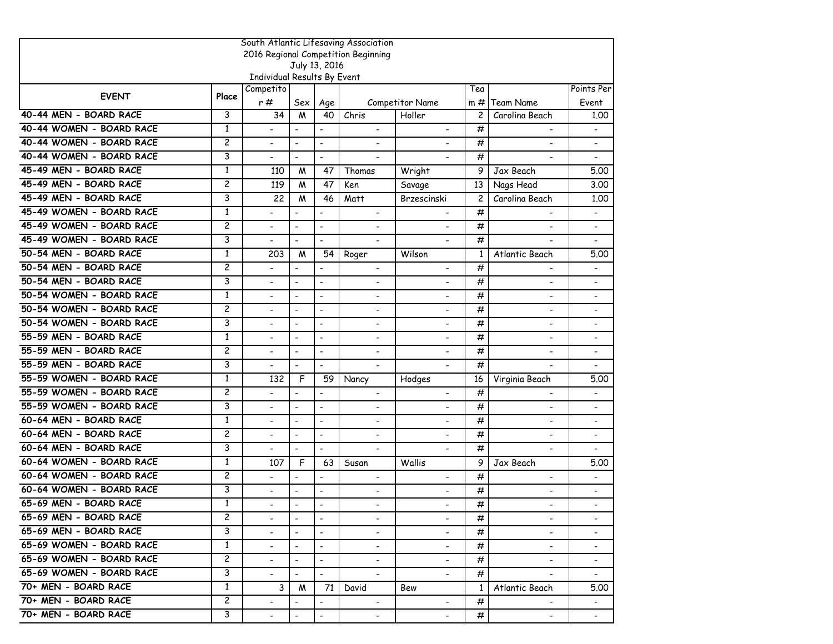| South Atlantic Lifesaving Association |                |                             |                          |                          |                                     |                          |                |                              |                              |  |  |
|---------------------------------------|----------------|-----------------------------|--------------------------|--------------------------|-------------------------------------|--------------------------|----------------|------------------------------|------------------------------|--|--|
|                                       |                |                             |                          |                          | 2016 Regional Competition Beginning |                          |                |                              |                              |  |  |
|                                       |                | Individual Results By Event |                          | July 13, 2016            |                                     |                          |                |                              |                              |  |  |
|                                       |                | Competito                   |                          |                          |                                     |                          | Tea            |                              | Points Per                   |  |  |
| <b>EVENT</b>                          | Place          | r#                          | Sex                      | Age                      |                                     | Competitor Name          | $m \#$         | <b>Team Name</b>             | Event                        |  |  |
| 40-44 MEN - BOARD RACE                | 3              | 34                          | M                        | 40                       | Chris                               | Holler                   | $\overline{c}$ | Carolina Beach               | 1,00                         |  |  |
| 40-44 WOMEN - BOARD RACE              | 1              |                             | $\blacksquare$           | $\blacksquare$           |                                     |                          | #              |                              |                              |  |  |
| 40-44 WOMEN - BOARD RACE              | $\overline{c}$ |                             | $\blacksquare$           | $\blacksquare$           |                                     |                          | #              | $\overline{\phantom{a}}$     | $\overline{\phantom{0}}$     |  |  |
| 40-44 WOMEN - BOARD RACE              | 3              |                             | $\overline{\phantom{a}}$ | $\frac{1}{2}$            |                                     |                          | #              | $\overline{\phantom{a}}$     | $\qquad \qquad \blacksquare$ |  |  |
| 45-49 MEN - BOARD RACE                | 1              | 110                         | M                        | 47                       | Thomas                              | Wright                   | 9              | Jax Beach                    | 5.00                         |  |  |
| 45-49 MEN - BOARD RACE                | $\overline{c}$ | 119                         | M                        | 47                       | Ken                                 | Savage                   | 13             | Nags Head                    | 3.00                         |  |  |
| 45-49 MEN - BOARD RACE                | 3              | 22                          | M                        | 46                       | Matt                                | Brzescinski              | $\overline{c}$ | Carolina Beach               | 1.00                         |  |  |
| 45-49 WOMEN - BOARD RACE              | $\mathbf{1}$   |                             |                          | $\overline{a}$           | $\overline{\phantom{a}}$            |                          | #              |                              | $\overline{\phantom{0}}$     |  |  |
| 45-49 WOMEN - BOARD RACE              | 2              | $\overline{\phantom{0}}$    | $\overline{\phantom{a}}$ | $\overline{\phantom{a}}$ | $\overline{\phantom{a}}$            | $\overline{\phantom{a}}$ | #              | $\overline{\phantom{a}}$     | $\qquad \qquad \blacksquare$ |  |  |
| 45-49 WOMEN - BOARD RACE              | 3              |                             | $\blacksquare$           | $\overline{a}$           | $\blacksquare$                      |                          | #              |                              | $\overline{\phantom{0}}$     |  |  |
| 50-54 MEN - BOARD RACE                | $\mathbf{1}$   | 203                         | M                        | 54                       | Roger                               | Wilson                   | $\mathbf{1}$   | Atlantic Beach               | 5.00                         |  |  |
| 50-54 MEN - BOARD RACE                | $\overline{c}$ |                             | $\blacksquare$           | $\blacksquare$           | $\blacksquare$                      |                          | #              |                              |                              |  |  |
| 50-54 MEN - BOARD RACE                | 3              |                             | $\overline{\phantom{a}}$ | $\overline{\phantom{a}}$ |                                     |                          | #              | $\overline{a}$               | $\qquad \qquad \blacksquare$ |  |  |
| 50-54 WOMEN - BOARD RACE              | $\mathbf{1}$   |                             | $\overline{\phantom{a}}$ | $\overline{\phantom{a}}$ | $\qquad \qquad \blacksquare$        |                          | #              | $\qquad \qquad \blacksquare$ | $\qquad \qquad \blacksquare$ |  |  |
| 50-54 WOMEN - BOARD RACE              | 2              | $\overline{a}$              | $\blacksquare$           | $\blacksquare$           | $\blacksquare$                      | $\sim$                   | #              | $\overline{\phantom{0}}$     | $\qquad \qquad \blacksquare$ |  |  |
| 50-54 WOMEN - BOARD RACE              | 3              |                             | $\blacksquare$           | $\overline{a}$           | $\blacksquare$                      | $\overline{\phantom{a}}$ | #              | $\blacksquare$               | $\overline{a}$               |  |  |
| 55-59 MEN - BOARD RACE                | 1              |                             | $\blacksquare$           | $\blacksquare$           | $\blacksquare$                      | $\overline{a}$           | #              | $\blacksquare$               | $\blacksquare$               |  |  |
| 55-59 MEN - BOARD RACE                | $\overline{c}$ |                             | $\overline{\phantom{a}}$ | $\overline{a}$           | $\overline{\phantom{a}}$            |                          | #              | $\overline{a}$               | $\qquad \qquad \blacksquare$ |  |  |
| 55-59 MEN - BOARD RACE                | 3              |                             | $\overline{\phantom{a}}$ | $\hbox{\small -}$        | $\overline{\phantom{a}}$            |                          | #              | $\overline{\phantom{a}}$     | $\qquad \qquad \blacksquare$ |  |  |
| 55-59 WOMEN - BOARD RACE              | 1              | 132                         | F                        | 59                       | Nancy                               | Hodges                   | 16             | Virginia Beach               | 5.00                         |  |  |
| 55-59 WOMEN - BOARD RACE              | $\overline{c}$ | $\blacksquare$              | $\blacksquare$           | $\overline{\phantom{a}}$ | $\blacksquare$                      | $\blacksquare$           | #              | ٠                            |                              |  |  |
| 55-59 WOMEN - BOARD RACE              | 3              |                             | $\blacksquare$           | $\blacksquare$           | $\overline{\phantom{a}}$            |                          | #              | $\overline{\phantom{0}}$     | $\blacksquare$               |  |  |
| 60-64 MEN - BOARD RACE                | $\mathbf{1}$   |                             | $\overline{\phantom{a}}$ | $\overline{\phantom{a}}$ |                                     |                          | #              |                              |                              |  |  |
| 60-64 MEN - BOARD RACE                | 2              | $\overline{\phantom{a}}$    | $\overline{\phantom{a}}$ | $\overline{\phantom{a}}$ | $\overline{\phantom{a}}$            | $\overline{\phantom{a}}$ | #              | $\overline{\phantom{a}}$     | $\qquad \qquad \blacksquare$ |  |  |
| 60-64 MEN - BOARD RACE                | 3              |                             | $\blacksquare$           | $\overline{a}$           | $\overline{\phantom{a}}$            |                          | #              | $\overline{\phantom{0}}$     |                              |  |  |
| 60-64 WOMEN - BOARD RACE              | $\mathbf{1}$   | 107                         | F                        | 63                       | Susan                               | Wallis                   | 9              | Jax Beach                    | 5.00                         |  |  |
| 60-64 WOMEN - BOARD RACE              | 2              |                             | $\blacksquare$           | $\blacksquare$           | $\overline{\phantom{a}}$            |                          | #              | $\overline{\phantom{a}}$     | $\blacksquare$               |  |  |
| 60-64 WOMEN - BOARD RACE              | 3              |                             | $\overline{\phantom{a}}$ | $\overline{a}$           | $\overline{a}$                      |                          | #              | $\overline{\phantom{a}}$     | $\qquad \qquad \blacksquare$ |  |  |
| 65-69 MEN - BOARD RACE                | 1              |                             | $\overline{\phantom{a}}$ | $\overline{\phantom{a}}$ |                                     |                          | #              |                              |                              |  |  |
| 65-69 MEN - BOARD RACE                | $\overline{c}$ |                             | $\blacksquare$           | $\blacksquare$           | $\overline{\phantom{0}}$            | $\blacksquare$           | #              | $\blacksquare$               |                              |  |  |
| 65-69 MEN - BOARD RACE                | 3              |                             | $\blacksquare$           | $\blacksquare$           |                                     |                          | #              | $\blacksquare$               |                              |  |  |
| 65-69 WOMEN - BOARD RACE              | $\mathbf{1}$   |                             |                          | $\blacksquare$           | $\overline{\phantom{0}}$            | $\overline{\phantom{a}}$ | #              | $\overline{\phantom{0}}$     |                              |  |  |
| 65-69 WOMEN - BOARD RACE              | $\overline{c}$ |                             |                          | $\overline{\phantom{a}}$ | $\overline{\phantom{a}}$            |                          | #              | $\blacksquare$               | $\qquad \qquad \blacksquare$ |  |  |
| 65-69 WOMEN - BOARD RACE              | 3              | $\blacksquare$              | $\overline{\phantom{a}}$ | $\blacksquare$           | $\blacksquare$                      |                          | #              | $\blacksquare$               | $\blacksquare$               |  |  |
| 70+ MEN - BOARD RACE                  | $\mathbf{1}$   | 3                           | M                        | 71                       | David                               | Bew                      | $\mathbf{1}$   | Atlantic Beach               | 5.00                         |  |  |
| 70+ MEN - BOARD RACE                  | $\overline{c}$ |                             |                          | $\blacksquare$           | $\overline{\phantom{0}}$            | $\sim$                   | #              |                              |                              |  |  |
| 70+ MEN - BOARD RACE                  | 3              |                             |                          |                          |                                     |                          | #              |                              |                              |  |  |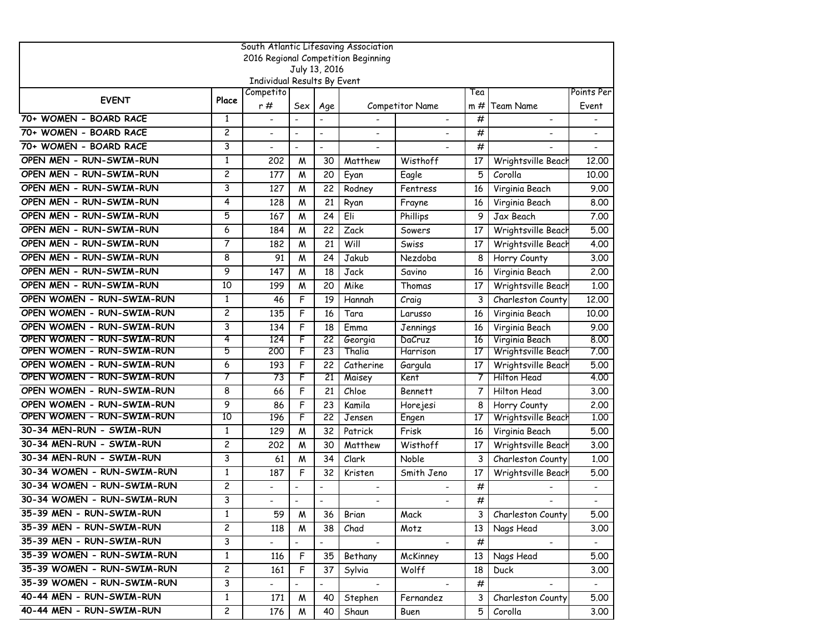| South Atlantic Lifesaving Association |                |                             |                |                          |                                     |                        |                 |                          |                |  |  |
|---------------------------------------|----------------|-----------------------------|----------------|--------------------------|-------------------------------------|------------------------|-----------------|--------------------------|----------------|--|--|
|                                       |                |                             |                |                          | 2016 Regional Competition Beginning |                        |                 |                          |                |  |  |
|                                       |                |                             |                | July 13, 2016            |                                     |                        |                 |                          |                |  |  |
|                                       |                | Individual Results By Event |                |                          |                                     |                        |                 |                          |                |  |  |
| <b>EVENT</b>                          | Place          | Competito                   |                |                          |                                     |                        | Tea             |                          | Points Per     |  |  |
|                                       |                | r #                         | Sex            | Age                      |                                     | <b>Competitor Name</b> | $m \#$          | <b>Team Name</b>         | Event          |  |  |
| 70+ WOMEN - BOARD RACE                | $\mathbf{1}$   | L.                          |                | L.                       |                                     | $\blacksquare$         | #               | $\overline{\phantom{a}}$ |                |  |  |
| 70+ WOMEN - BOARD RACE                | $\overline{c}$ | $\overline{\phantom{0}}$    | $\blacksquare$ | $\overline{a}$           |                                     |                        | #               |                          |                |  |  |
| 70+ WOMEN - BOARD RACE                | 3              |                             | $\blacksquare$ | $\blacksquare$           |                                     |                        | #               |                          |                |  |  |
| OPEN MEN - RUN-SWIM-RUN               | $\mathbf{1}$   | 202                         | M              | 30                       | Matthew                             | Wisthoff               | 17              | Wrightsville Beach       | 12,00          |  |  |
| OPEN MEN - RUN-SWIM-RUN               | $\overline{c}$ | 177                         | M              | 20                       | Eyan                                | Eagle                  | 5               | Corolla                  | 10.00          |  |  |
| OPEN MEN - RUN-SWIM-RUN               | 3              | 127                         | W              | 22                       | Rodney                              | Fentress               | 16              | Virginia Beach           | 9.00           |  |  |
| OPEN MEN - RUN-SWIM-RUN               | 4              | 128                         | W              | 21                       | Ryan                                | Frayne                 | 16              | Virginia Beach           | 8.00           |  |  |
| OPEN MEN - RUN-SWIM-RUN               | 5              | 167                         | M              | 24                       | Eli                                 | Phillips               | 9               | Jax Beach                | 7.00           |  |  |
| OPEN MEN - RUN-SWIM-RUN               | 6              | 184                         | М              | 22                       | Zack                                | Sowers                 | 17              | Wrightsville Beach       | 5.00           |  |  |
| OPEN MEN - RUN-SWIM-RUN               | 7              | 182                         | M              | 21                       | Will                                | Swiss                  | 17              | Wrightsville Beach       | 4.00           |  |  |
| OPEN MEN - RUN-SWIM-RUN               | 8              | 91                          | М              | 24                       | Jakub                               | Nezdoba                | 8               | Horry County             | 3.00           |  |  |
| OPEN MEN - RUN-SWIM-RUN               | 9              | 147                         | W              | 18                       | Jack                                | Savino                 | 16              | Virginia Beach           | 2.00           |  |  |
| OPEN MEN - RUN-SWIM-RUN               | 10             | 199                         | M              | 20                       | Mike                                | Thomas                 | 17              | Wrightsville Beach       | 1.00           |  |  |
| OPEN WOMEN - RUN-SWIM-RUN             | $\mathbf{1}$   | 46                          | F              | 19                       | Hannah                              | Craig                  | 3               | Charleston County        | 12.00          |  |  |
| OPEN WOMEN - RUN-SWIM-RUN             | $\overline{c}$ | 135                         | F              | 16                       | Tara                                | Larusso                | 16              | Virginia Beach           | 10.00          |  |  |
| OPEN WOMEN - RUN-SWIM-RUN             | 3              | 134                         | F              | 18                       | Emma                                | Jennings               | 16              | Virginia Beach           | 9.00           |  |  |
| OPEN WOMEN - RUN-SWIM-RUN             | 4              | 124                         | F              | 22                       | Georgia                             | DaCruz                 | 16              | Virginia Beach           | 8.00           |  |  |
| OPEN WOMEN - RUN-SWIM-RUN             | 5              | 200                         | F              | 23                       | Thalia                              | Harrison               | 17              | Wrightsville Beach       | 7.00           |  |  |
| OPEN WOMEN - RUN-SWIM-RUN             | 6              | 193                         | F              | 22                       | Catherine                           | Gargula                | 17              | Wrightsville Beach       | 5.00           |  |  |
| OPEN WOMEN - RUN-SWIM-RUN             | 7              | 73                          | F              | 21                       | Maisey                              | Kent                   |                 | Hilton Head              | 4.00           |  |  |
| OPEN WOMEN - RUN-SWIM-RUN             | 8              | 66                          | F              | 21                       | Chloe                               | <b>Bennett</b>         | 7               | Hilton Head              | 3.00           |  |  |
| OPEN WOMEN - RUN-SWIM-RUN             | 9              | 86                          | F              | 23                       | Kamila                              | Horejesi               | 8               | Horry County             | 2.00           |  |  |
| OPEN WOMEN - RUN-SWIM-RUN             | 10             | 196                         | F              | 22                       | Jensen                              | Engen                  | 17              | Wrightsville Beach       | 1.00           |  |  |
| 30-34 MEN-RUN - SWIM-RUN              | 1              | 129                         | M              | 32                       | Patrick                             | Frisk                  | 16              | Virginia Beach           | 5.00           |  |  |
| 30-34 MEN-RUN - SWIM-RUN              | $\overline{c}$ | 202                         | W              | 30                       | Matthew                             | Wisthoff               | 17              | Wrightsville Beach       | 3.00           |  |  |
| 30-34 MEN-RUN - SWIM-RUN              | 3              | 61                          | M              | 34                       | Clark                               | Noble                  | 3               | Charleston County        | 1.00           |  |  |
| 30-34 WOMEN - RUN-SWIM-RUN            | $\mathbf{1}$   | 187                         | F              | 32                       | Kristen                             | Smith Jeno             | 17              | Wrightsville Beach       | 5.00           |  |  |
| 30-34 WOMEN - RUN-SWIM-RUN            | $\overline{c}$ | $\blacksquare$              |                | $\overline{a}$           | $\blacksquare$                      |                        | #               |                          | $\blacksquare$ |  |  |
| 30-34 WOMEN - RUN-SWIM-RUN            | 3              |                             | $\blacksquare$ | $\overline{a}$           |                                     |                        | #               |                          |                |  |  |
| 35-39 MEN - RUN-SWIM-RUN              | $\overline{1}$ | 59                          | $\overline{M}$ |                          | 36 Brian                            | Mack                   |                 | 3 Charleston County      | 5.00           |  |  |
| 35-39 MEN - RUN-SWIM-RUN              | 2              | 118                         | M              | 38                       | Chad                                | Motz                   | 13              | Nags Head                | 3.00           |  |  |
| 35-39 MEN - RUN-SWIM-RUN              | 3              | $\blacksquare$              | $\blacksquare$ | $\overline{\phantom{0}}$ | $\blacksquare$                      |                        | #               | $\blacksquare$           | $\blacksquare$ |  |  |
| 35-39 WOMEN - RUN-SWIM-RUN            | $\mathbf{1}$   | 116                         | F.             | 35                       | Bethany                             | McKinney               | 13 <sup>1</sup> | Nags Head                | 5.00           |  |  |
| 35-39 WOMEN - RUN-SWIM-RUN            | $\mathsf{S}$   | 161                         | F              | 37                       | Sylvia                              | Wolff                  | 18              | <b>Duck</b>              | 3.00           |  |  |
| 35-39 WOMEN - RUN-SWIM-RUN            | 3              |                             | $\blacksquare$ | $\overline{\phantom{0}}$ |                                     |                        | #               |                          | $\blacksquare$ |  |  |
| 40-44 MEN - RUN-SWIM-RUN              | $\mathbf{1}$   | 171                         | M              | 40                       | Stephen                             | Fernandez              | 3               | Charleston County        | 5.00           |  |  |
| 40-44 MEN - RUN-SWIM-RUN              | $\overline{2}$ | 176                         | M              | 40                       | Shaun                               | Buen                   | 5               | Corolla                  | 3.00           |  |  |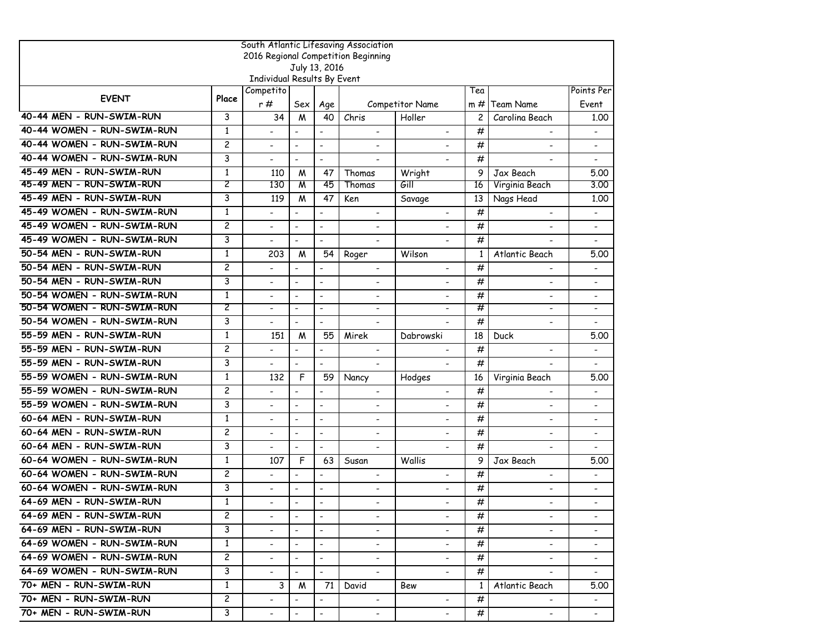| South Atlantic Lifesaving Association |                |                             |                          |                              |                                     |                          |                |                              |                              |  |  |
|---------------------------------------|----------------|-----------------------------|--------------------------|------------------------------|-------------------------------------|--------------------------|----------------|------------------------------|------------------------------|--|--|
|                                       |                |                             |                          | July 13, 2016                | 2016 Regional Competition Beginning |                          |                |                              |                              |  |  |
|                                       |                | Individual Results By Event |                          |                              |                                     |                          |                |                              |                              |  |  |
|                                       |                | Competito                   |                          |                              |                                     |                          | Tea            |                              | Points Per                   |  |  |
| <b>EVENT</b>                          | Place          | r#                          | Sex                      | Age                          |                                     | Competitor Name          | $m \#$         | Team Name                    | Event                        |  |  |
| 40-44 MEN - RUN-SWIM-RUN              | 3              | 34                          | M                        | 40                           | Chris                               | Holler                   | $\overline{c}$ | Carolina Beach               | 1.00                         |  |  |
| 40-44 WOMEN - RUN-SWIM-RUN            | $\mathbf{1}$   |                             | $\overline{\phantom{a}}$ | $\overline{\phantom{a}}$     |                                     |                          | #              |                              |                              |  |  |
| 40-44 WOMEN - RUN-SWIM-RUN            | $\overline{c}$ |                             | $\overline{\phantom{a}}$ | $\overline{\phantom{a}}$     |                                     |                          | #              |                              |                              |  |  |
| 40-44 WOMEN - RUN-SWIM-RUN            | 3              |                             | $\blacksquare$           | $\overline{\phantom{a}}$     | $\overline{\phantom{a}}$            |                          | #              |                              |                              |  |  |
| 45-49 MEN - RUN-SWIM-RUN              | $\mathbf{1}$   | 110                         | M                        | 47                           | Thomas                              | Wright                   | 9              | Jax Beach                    | 5.00                         |  |  |
| 45-49 MEN - RUN-SWIM-RUN              | 2              | 130                         | M                        | 45                           | Thomas                              | Gill                     | 16             | Virginia Beach               | 3.00                         |  |  |
| 45-49 MEN - RUN-SWIM-RUN              | 3              | 119                         | M                        | 47                           | Ken                                 | Savage                   | 13             | Nags Head                    | 1.00                         |  |  |
| 45-49 WOMEN - RUN-SWIM-RUN            | $\mathbf{1}$   |                             | $\blacksquare$           |                              | $\overline{\phantom{a}}$            |                          | #              |                              |                              |  |  |
| 45-49 WOMEN - RUN-SWIM-RUN            | $\overline{c}$ | $\blacksquare$              | $\blacksquare$           | $\overline{\phantom{a}}$     | $\blacksquare$                      |                          | #              |                              | $\overline{\phantom{a}}$     |  |  |
| 45-49 WOMEN - RUN-SWIM-RUN            | 3              |                             | $\blacksquare$           | $\overline{\phantom{a}}$     | $\blacksquare$                      |                          | #              |                              | $\overline{\phantom{a}}$     |  |  |
| 50-54 MEN - RUN-SWIM-RUN              | $\mathbf{1}$   | 203                         | M                        | 54                           | Roger                               | Wilson                   | 1              | Atlantic Beach               | 5.00                         |  |  |
| 50-54 MEN - RUN-SWIM-RUN              | $\overline{c}$ | $\overline{\phantom{0}}$    | $\blacksquare$           | $\blacksquare$               | $\overline{\phantom{a}}$            | $\overline{\phantom{a}}$ | #              | $\overline{\phantom{0}}$     | $\overline{\phantom{a}}$     |  |  |
| 50-54 MEN - RUN-SWIM-RUN              | 3              |                             | $\overline{\phantom{a}}$ | $\qquad \qquad \blacksquare$ |                                     |                          | #              |                              |                              |  |  |
| 50-54 WOMEN - RUN-SWIM-RUN            | $\mathbf{1}$   |                             | $\overline{\phantom{a}}$ | $\overline{\phantom{a}}$     | $\overline{\phantom{a}}$            |                          | #              |                              |                              |  |  |
| 50-54 WOMEN - RUN-SWIM-RUN            | 2              | $\blacksquare$              | $\overline{\phantom{a}}$ | $\overline{\phantom{a}}$     | $\overline{\phantom{a}}$            |                          | #              | $\overline{\phantom{a}}$     | $\overline{\phantom{a}}$     |  |  |
| 50-54 WOMEN - RUN-SWIM-RUN            | 3              |                             | $\blacksquare$           | $\blacksquare$               | $\overline{\phantom{a}}$            |                          | #              | $\blacksquare$               |                              |  |  |
| 55-59 MEN - RUN-SWIM-RUN              | $\mathbf{1}$   | 151                         | M                        | 55                           | Mirek                               | Dabrowski                | 18             | Duck                         | 5.00                         |  |  |
| 55-59 MEN - RUN-SWIM-RUN              | $\overline{c}$ |                             | $\blacksquare$           | $\overline{a}$               | $\blacksquare$                      |                          | #              | $\blacksquare$               | $\overline{\phantom{a}}$     |  |  |
| 55-59 MEN - RUN-SWIM-RUN              | 3              |                             | $\overline{a}$           | $\overline{a}$               | $\blacksquare$                      |                          | #              | $\overline{\phantom{0}}$     |                              |  |  |
| 55-59 WOMEN - RUN-SWIM-RUN            | $\mathbf{1}$   | 132                         | F                        | 59                           | Nancy                               | Hodges                   | 16             | Virginia Beach               | 5.00                         |  |  |
| 55-59 WOMEN - RUN-SWIM-RUN            | $\overline{c}$ |                             | $\overline{\phantom{a}}$ | $\overline{\phantom{a}}$     | $\overline{\phantom{a}}$            |                          | #              | $\qquad \qquad \blacksquare$ | -                            |  |  |
| 55-59 WOMEN - RUN-SWIM-RUN            | 3              |                             | $\blacksquare$           | $\overline{\phantom{a}}$     |                                     |                          | #              | $\overline{\phantom{a}}$     | $\qquad \qquad \blacksquare$ |  |  |
| 60-64 MEN - RUN-SWIM-RUN              | $\mathbf{1}$   | $\overline{\phantom{0}}$    | $\blacksquare$           | $\overline{a}$               | $\overline{a}$                      | $\overline{a}$           | #              | $\blacksquare$               | $\overline{\phantom{0}}$     |  |  |
| 60-64 MEN - RUN-SWIM-RUN              | $\overline{c}$ | $\blacksquare$              | $\blacksquare$           | L.                           | $\blacksquare$                      |                          | #              | $\blacksquare$               | $\overline{a}$               |  |  |
| 60-64 MEN - RUN-SWIM-RUN              | 3              |                             | $\blacksquare$           | $\overline{a}$               | $\blacksquare$                      |                          | #              |                              |                              |  |  |
| 60-64 WOMEN - RUN-SWIM-RUN            | $\mathbf{1}$   | 107                         | F                        | 63                           | Susan                               | Wallis                   | 9              | Jax Beach                    | 5.00                         |  |  |
| 60-64 WOMEN - RUN-SWIM-RUN            | $\overline{c}$ |                             | $\overline{\phantom{a}}$ |                              | $\overline{\phantom{a}}$            | $\overline{\phantom{a}}$ | #              | $\overline{\phantom{a}}$     | $\qquad \qquad \blacksquare$ |  |  |
| 60-64 WOMEN - RUN-SWIM-RUN            | 3              |                             | $\blacksquare$           | $\blacksquare$               | $\blacksquare$                      |                          | #              | $\blacksquare$               | $\overline{\phantom{0}}$     |  |  |
| 64-69 MEN - RUN-SWIM-RUN              | $\mathbf{1}$   |                             | $\blacksquare$           | $\blacksquare$               |                                     |                          | #              |                              |                              |  |  |
| 64-69 MEN - RUN-SWIM-RUN              | $\mathbf{2}$   |                             |                          | $\overline{\phantom{a}}$     | $\overline{\phantom{0}}$            |                          | #              |                              |                              |  |  |
| 64-69 MEN - RUN-SWIM-RUN              | 3              |                             | $\overline{\phantom{a}}$ | $\blacksquare$               | $\blacksquare$                      |                          | #              | $\blacksquare$               | $\overline{\phantom{a}}$     |  |  |
| 64-69 WOMEN - RUN-SWIM-RUN            | $\mathbf{1}$   | $\blacksquare$              | $\blacksquare$           | $\blacksquare$               | $\blacksquare$                      | $\blacksquare$           | #              | $\blacksquare$               | $\overline{\phantom{a}}$     |  |  |
| 64-69 WOMEN - RUN-SWIM-RUN            | $\mathbf{2}$   | $\overline{\phantom{0}}$    | $\blacksquare$           | $\overline{\phantom{a}}$     | $\blacksquare$                      | $\overline{\phantom{0}}$ | #              | $\blacksquare$               | $\qquad \qquad \blacksquare$ |  |  |
| 64-69 WOMEN - RUN-SWIM-RUN            | 3              | $\overline{\phantom{0}}$    | $\sim$                   | $\blacksquare$               |                                     | $\sim$                   | #              |                              |                              |  |  |
| 70+ MEN - RUN-SWIM-RUN                | $\mathbf{1}$   | 3                           | M                        | 71                           | David                               | Bew                      | $\mathbf{1}$   | Atlantic Beach               | 5.00                         |  |  |
| 70+ MEN - RUN-SWIM-RUN                | 2              |                             |                          | $\overline{\phantom{a}}$     | $\blacksquare$                      |                          | #              |                              | $\blacksquare$               |  |  |
| 70+ MEN - RUN-SWIM-RUN                | 3              | $\overline{\phantom{a}}$    |                          | $\blacksquare$               | $\blacksquare$                      | $\blacksquare$           | #              | $\blacksquare$               | $\blacksquare$               |  |  |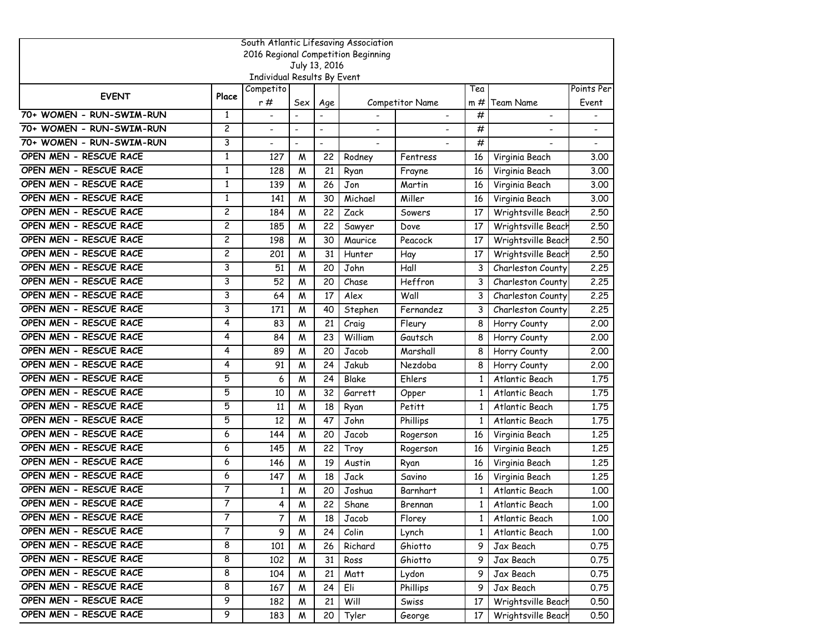|                          | South Atlantic Lifesaving Association |                             |                          |                          |                                     |                        |              |                    |            |  |  |
|--------------------------|---------------------------------------|-----------------------------|--------------------------|--------------------------|-------------------------------------|------------------------|--------------|--------------------|------------|--|--|
|                          |                                       |                             |                          |                          | 2016 Regional Competition Beginning |                        |              |                    |            |  |  |
|                          |                                       | Individual Results By Event |                          | July 13, 2016            |                                     |                        |              |                    |            |  |  |
|                          |                                       | Competito                   |                          |                          |                                     |                        | Tea          |                    | Points Per |  |  |
| <b>EVENT</b>             | Place                                 | r#                          | Sex                      | Age                      |                                     | <b>Competitor Name</b> | $m \#$       | Team Name          | Event      |  |  |
| 70+ WOMEN - RUN-SWIM-RUN | 1                                     | $\blacksquare$              | $\blacksquare$           | $\overline{a}$           |                                     |                        | #            |                    |            |  |  |
| 70+ WOMEN - RUN-SWIM-RUN | $\overline{c}$                        | $\overline{\phantom{a}}$    | $\blacksquare$           | $\overline{\phantom{a}}$ |                                     |                        | #            |                    |            |  |  |
| 70+ WOMEN - RUN-SWIM-RUN | 3                                     |                             | $\overline{\phantom{a}}$ | $\overline{a}$           |                                     |                        | #            |                    |            |  |  |
| OPEN MEN - RESCUE RACE   | 1                                     | 127                         | M                        | 22                       | Rodney                              | Fentress               | 16           | Virginia Beach     | 3.00       |  |  |
| OPEN MEN - RESCUE RACE   | $\mathbf{1}$                          | 128                         | W                        | 21                       | Ryan                                | Frayne                 | 16           | Virginia Beach     | 3.00       |  |  |
| OPEN MEN - RESCUE RACE   | $\mathbf{1}$                          | 139                         | W                        | 26                       | Jon                                 | Martin                 | 16           | Virginia Beach     | 3.00       |  |  |
| OPEN MEN - RESCUE RACE   | $\mathbf{1}$                          | 141                         | M                        | 30                       | Michael                             | Miller                 | 16           | Virginia Beach     | 3.00       |  |  |
| OPEN MEN - RESCUE RACE   | $\overline{c}$                        | 184                         | M                        | 22                       | Zack                                | Sowers                 | 17           | Wrightsville Beach | 2,50       |  |  |
| OPEN MEN - RESCUE RACE   | $\overline{c}$                        | 185                         | M                        | 22                       | Sawyer                              | Dove                   | 17           | Wrightsville Beach | 2.50       |  |  |
| OPEN MEN - RESCUE RACE   | $\overline{\mathbf{c}}$               | 198                         | W                        | 30                       | Maurice                             | Peacock                | 17           | Wrightsville Beach | 2.50       |  |  |
| OPEN MEN - RESCUE RACE   | $\overline{c}$                        | 201                         | W                        | 31                       | Hunter                              | Hay                    | 17           | Wrightsville Beach | 2.50       |  |  |
| OPEN MEN - RESCUE RACE   | 3                                     | 51                          | M                        | 20                       | John                                | Hall                   | 3            | Charleston County  | 2.25       |  |  |
| OPEN MEN - RESCUE RACE   | 3                                     | 52                          | M                        | 20                       | Chase                               | Heffron                | 3            | Charleston County  | 2,25       |  |  |
| OPEN MEN - RESCUE RACE   | 3                                     | 64                          | M                        | 17                       | Alex                                | Wall                   | 3            | Charleston County  | 2.25       |  |  |
| OPEN MEN - RESCUE RACE   | 3                                     | 171                         | M                        | 40                       | Stephen                             | Fernandez              | 3            | Charleston County  | 2.25       |  |  |
| OPEN MEN - RESCUE RACE   | 4                                     | 83                          | M                        | 21                       | Craig                               | Fleury                 | 8            | Horry County       | 2.00       |  |  |
| OPEN MEN - RESCUE RACE   | 4                                     | 84                          | M                        | 23                       | William                             | Gautsch                | 8            | Horry County       | 2,00       |  |  |
| OPEN MEN - RESCUE RACE   | 4                                     | 89                          | W                        | 20                       | Jacob                               | Marshall               | 8            | Horry County       | 2,00       |  |  |
| OPEN MEN - RESCUE RACE   | 4                                     | 91                          | M                        | 24                       | Jakub                               | Nezdoba                | 8            | Horry County       | 2,00       |  |  |
| OPEN MEN - RESCUE RACE   | 5                                     | 6                           | W                        | 24                       | Blake                               | Ehlers                 | $\mathbf{1}$ | Atlantic Beach     | 1.75       |  |  |
| OPEN MEN - RESCUE RACE   | 5                                     | 10                          | W                        | 32                       | Garrett                             | Opper                  | $\mathbf{1}$ | Atlantic Beach     | 1.75       |  |  |
| OPEN MEN - RESCUE RACE   | 5                                     | 11                          | M                        | 18                       | Ryan                                | Petitt                 | $\mathbf{1}$ | Atlantic Beach     | 1.75       |  |  |
| OPEN MEN - RESCUE RACE   | 5                                     | 12                          | M                        | 47                       | John                                | Phillips               | $\mathbf{1}$ | Atlantic Beach     | 1.75       |  |  |
| OPEN MEN - RESCUE RACE   | 6                                     | 144                         | M                        | 20                       | Jacob                               | Rogerson               | 16           | Virginia Beach     | 1.25       |  |  |
| OPEN MEN - RESCUE RACE   | 6                                     | 145                         | W                        | 22                       | Troy                                | Rogerson               | 16           | Virginia Beach     | 1,25       |  |  |
| OPEN MEN - RESCUE RACE   | 6                                     | 146                         | M                        | 19                       | Austin                              | Ryan                   | 16           | Virginia Beach     | 1,25       |  |  |
| OPEN MEN - RESCUE RACE   | 6                                     | 147                         | M                        | 18                       | Jack                                | Savino                 | 16           | Virginia Beach     | 1.25       |  |  |
| OPEN MEN - RESCUE RACE   | 7                                     | 1                           | W                        | 20                       | Joshua                              | Barnhart               | 1            | Atlantic Beach     | 1.00       |  |  |
| OPEN MEN - RESCUE RACE   | 7                                     | 4                           | M                        | 22                       | Shane                               | Brennan                | $\mathbf{1}$ | Atlantic Beach     | 1.00       |  |  |
| OPEN MEN - RESCUE RACE   | $\overline{7}$                        | $\overline{7}$              | W                        | 18                       | Jacob                               | Florey                 | $\mathbf{1}$ | Atlantic Beach     | 1.00       |  |  |
| OPEN MEN - RESCUE RACE   | $\overline{7}$                        | 9                           | W                        | 24                       | Colin                               | Lynch                  | $\mathbf{1}$ | Atlantic Beach     | 1.00       |  |  |
| OPEN MEN - RESCUE RACE   | 8                                     | 101                         | W                        | 26                       | Richard                             | Ghiotto                | 9            | Jax Beach          | 0.75       |  |  |
| OPEN MEN - RESCUE RACE   | 8                                     | 102                         | W                        | 31                       | Ross                                | Ghiotto                | 9            | Jax Beach          | 0.75       |  |  |
| OPEN MEN - RESCUE RACE   | 8                                     | 104                         | W                        | 21                       | Matt                                | Lydon                  | 9            | Jax Beach          | 0.75       |  |  |
| OPEN MEN - RESCUE RACE   | 8                                     | 167                         | Μ                        | 24                       | Eli                                 | Phillips               | 9.           | Jax Beach          | 0.75       |  |  |
| OPEN MEN - RESCUE RACE   | $\overline{9}$                        | 182                         | W                        | 21                       | Will                                | Swiss                  | 17           | Wrightsville Beach | 0.50       |  |  |
| OPEN MEN - RESCUE RACE   | 9                                     | 183                         | M                        | 20                       | Tyler                               | George                 | 17           | Wrightsville Beach | 0.50       |  |  |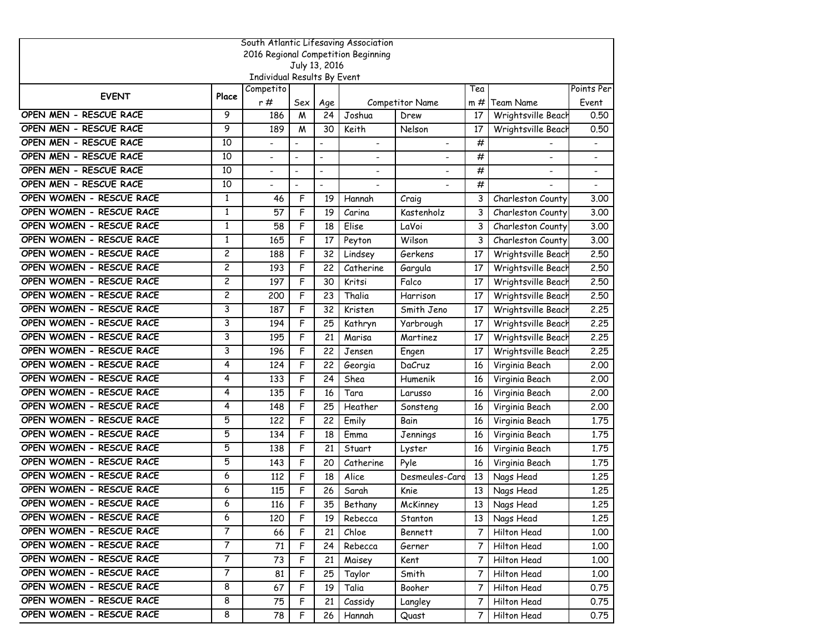| South Atlantic Lifesaving Association |                         |                             |                          |                          |                                     |                 |             |                          |                          |  |  |  |
|---------------------------------------|-------------------------|-----------------------------|--------------------------|--------------------------|-------------------------------------|-----------------|-------------|--------------------------|--------------------------|--|--|--|
|                                       |                         |                             |                          |                          | 2016 Regional Competition Beginning |                 |             |                          |                          |  |  |  |
|                                       |                         | Individual Results By Event |                          | July 13, 2016            |                                     |                 |             |                          |                          |  |  |  |
|                                       |                         | Competito                   |                          |                          |                                     |                 | Tea         |                          | Points Per               |  |  |  |
| <b>EVENT</b>                          | Place                   | r#                          | Sex                      | Age                      |                                     | Competitor Name | m#          | Team Name                | Event                    |  |  |  |
| OPEN MEN - RESCUE RACE                | 9                       | 186                         | M                        | 24                       | Joshua                              | Drew            | 17          | Wrightsville Beach       | 0.50                     |  |  |  |
| OPEN MEN - RESCUE RACE                | 9                       | 189                         | M                        | 30                       | Keith                               | Nelson          | 17          | Wrightsville Beach       | 0.50                     |  |  |  |
| OPEN MEN - RESCUE RACE                | 10                      | $\overline{\phantom{0}}$    | $\overline{\phantom{a}}$ | $\overline{\phantom{a}}$ | $\blacksquare$                      |                 | #           |                          | $\overline{a}$           |  |  |  |
| OPEN MEN - RESCUE RACE                | 10                      |                             | $\overline{\phantom{a}}$ | $\overline{a}$           | $\overline{a}$                      |                 | #           | $\overline{\phantom{a}}$ | $\overline{a}$           |  |  |  |
| OPEN MEN - RESCUE RACE                | 10                      | $\overline{\phantom{a}}$    | $\blacksquare$           | $\overline{\phantom{a}}$ | $\overline{\phantom{a}}$            |                 | #           | $\blacksquare$           | $\overline{\phantom{0}}$ |  |  |  |
| OPEN MEN - RESCUE RACE                | 10                      | $\overline{\phantom{a}}$    | $\blacksquare$           | $\blacksquare$           | $\blacksquare$                      | $\blacksquare$  | #           |                          |                          |  |  |  |
| OPEN WOMEN - RESCUE RACE              | $\mathbf{1}$            | 46                          | F                        | 19                       | Hannah                              | Craig           | 3           | Charleston County        | 3.00                     |  |  |  |
| OPEN WOMEN - RESCUE RACE              | $\mathbf{1}$            | 57                          | F                        | 19                       | Carina                              | Kastenholz      | 3           | Charleston County        | 3.00                     |  |  |  |
| OPEN WOMEN - RESCUE RACE              | 1                       | 58                          | F                        | 18                       | Elise                               | LaVoi           | 3           | Charleston County        | 3.00                     |  |  |  |
| OPEN WOMEN - RESCUE RACE              | $\mathbf{1}$            | 165                         | F                        | 17                       | Peyton                              | Wilson          | 3           | Charleston County        | 3.00                     |  |  |  |
| OPEN WOMEN - RESCUE RACE              | $\overline{\mathbf{c}}$ | 188                         | F                        | 32                       | Lindsey                             | Gerkens         | 17          | Wrightsville Beach       | 2.50                     |  |  |  |
| OPEN WOMEN - RESCUE RACE              | $\overline{c}$          | 193                         | F                        | 22                       | Catherine                           | Gargula         | 17          | Wrightsville Beach       | 2.50                     |  |  |  |
| OPEN WOMEN - RESCUE RACE              | 2                       | 197                         | F                        | 30                       | Kritsi                              | Falco           | 17          | Wrightsville Beach       | 2.50                     |  |  |  |
| OPEN WOMEN - RESCUE RACE              | $\overline{c}$          | 200                         | F                        | 23                       | Thalia                              | Harrison        | 17          | Wrightsville Beach       | 2.50                     |  |  |  |
| OPEN WOMEN - RESCUE RACE              | 3                       | 187                         | F                        | 32                       | Kristen                             | Smith Jeno      | 17          | Wrightsville Beach       | 2.25                     |  |  |  |
| OPEN WOMEN - RESCUE RACE              | 3                       | 194                         | F                        | 25                       | Kathryn                             | Yarbrough       | 17          | Wrightsville Beach       | 2.25                     |  |  |  |
| OPEN WOMEN - RESCUE RACE              | 3                       | 195                         | F                        | 21                       | Marisa                              | Martinez        | 17          | Wrightsville Beach       | 2.25                     |  |  |  |
| OPEN WOMEN - RESCUE RACE              | 3                       | 196                         | F                        | 22                       | Jensen                              | Engen           | 17          | Wrightsville Beach       | 2,25                     |  |  |  |
| OPEN WOMEN - RESCUE RACE              | 4                       | 124                         | F                        | 22                       | Georgia                             | DaCruz          | 16          | Virginia Beach           | 2.00                     |  |  |  |
| OPEN WOMEN - RESCUE RACE              | 4                       | 133                         | F                        | 24                       | Shea                                | Humenik         | 16          | Virginia Beach           | 2,00                     |  |  |  |
| OPEN WOMEN - RESCUE RACE              | 4                       | 135                         | F                        | 16                       | Tara                                | Larusso         | 16          | Virginia Beach           | 2.00                     |  |  |  |
| OPEN WOMEN - RESCUE RACE              | 4                       | 148                         | F                        | 25                       | Heather                             | Sonsteng        | 16          | Virginia Beach           | 2,00                     |  |  |  |
| OPEN WOMEN - RESCUE RACE              | 5                       | 122                         | F                        | 22                       | Emily                               | Bain            | 16          | Virginia Beach           | 1.75                     |  |  |  |
| OPEN WOMEN - RESCUE RACE              | 5                       | 134                         | F                        | 18                       | Emma                                | Jennings        | 16          | Virginia Beach           | 1.75                     |  |  |  |
| OPEN WOMEN - RESCUE RACE              | 5                       | 138                         | F                        | 21                       | Stuart                              | Lyster          | 16          | Virginia Beach           | 1.75                     |  |  |  |
| OPEN WOMEN - RESCUE RACE              | 5                       | 143                         | F                        | 20                       | Catherine                           | Pyle            | 16          | Virginia Beach           | 1,75                     |  |  |  |
| OPEN WOMEN - RESCUE RACE              | 6                       | 112                         | F                        | 18                       | Alice                               | Desmeules-Card  | 13          | Nags Head                | 1.25                     |  |  |  |
| OPEN WOMEN - RESCUE RACE              | 6                       | 115                         | F                        | 26                       | Sarah                               | Knie            | 13          | Nags Head                | 1.25                     |  |  |  |
| OPEN WOMEN - RESCUE RACE              | 6                       | 116                         | F                        | 35                       | Bethany                             | McKinney        | 13          | Nags Head                | 1.25                     |  |  |  |
| OPEN WOMEN - RESCUE RACE              | 6                       | 120                         | F                        | 19                       | Rebecca                             | Stanton         |             | 13 Nags Head             | 1.25                     |  |  |  |
| OPEN WOMEN - RESCUE RACE              | $\overline{7}$          | 66                          | F                        | 21                       | Chloe                               | Bennett         | $7^{\circ}$ | Hilton Head              | 1.00                     |  |  |  |
| OPEN WOMEN - RESCUE RACE              | $\overline{7}$          | 71                          | F                        | 24                       | Rebecca                             | Gerner          | $7^{\circ}$ | Hilton Head              | 1.00                     |  |  |  |
| OPEN WOMEN - RESCUE RACE              | $\overline{7}$          | 73                          | F                        | 21                       | Maisey                              | Kent            | $7^{\circ}$ | Hilton Head              | 1.00                     |  |  |  |
| OPEN WOMEN - RESCUE RACE              | $\overline{7}$          | 81                          | F                        | 25                       | Taylor                              | Smith           | 7           | Hilton Head              | 1.00                     |  |  |  |
| OPEN WOMEN - RESCUE RACE              | 8                       | 67                          | F                        | 19                       | Talia                               | Booher          | 7           | Hilton Head              | 0.75                     |  |  |  |
| OPEN WOMEN - RESCUE RACE              | 8                       | 75                          | F                        | 21                       | Cassidy                             | Langley         | 7           | Hilton Head              | 0.75                     |  |  |  |
| OPEN WOMEN - RESCUE RACE              | 8                       | 78                          | F                        | 26                       | Hannah                              | Quast           | $7^{\circ}$ | Hilton Head              | 0.75                     |  |  |  |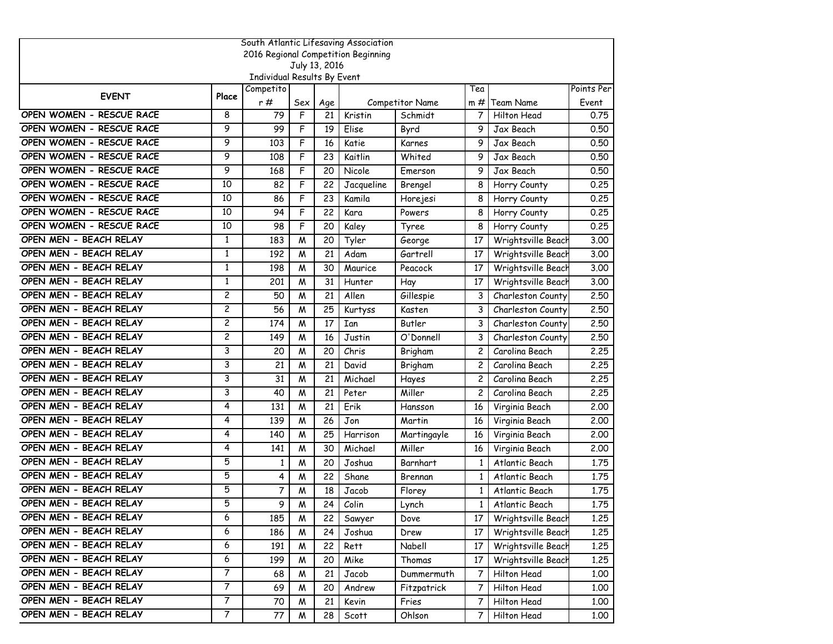| South Atlantic Lifesaving Association |                |                             |     |               |                                     |                 |                |                    |            |  |  |
|---------------------------------------|----------------|-----------------------------|-----|---------------|-------------------------------------|-----------------|----------------|--------------------|------------|--|--|
|                                       |                |                             |     |               | 2016 Regional Competition Beginning |                 |                |                    |            |  |  |
|                                       |                | Individual Results By Event |     | July 13, 2016 |                                     |                 |                |                    |            |  |  |
|                                       |                | Competito                   |     |               |                                     |                 | Tea            |                    | Points Per |  |  |
| <b>EVENT</b>                          | Place          | r#                          | Sex | Age           |                                     | Competitor Name | $m \#$         | Team Name          | Event      |  |  |
| OPEN WOMEN - RESCUE RACE              | 8              | 79                          | F   | 21            | Kristin                             | Schmidt         | 7              | Hilton Head        | 0.75       |  |  |
| OPEN WOMEN - RESCUE RACE              | 9              | 99                          | F   | 19            | Elise                               | Byrd            | 9              | Jax Beach          | 0.50       |  |  |
| OPEN WOMEN - RESCUE RACE              | 9              | 103                         | F   | 16            | Katie                               | Karnes          | 9              | Jax Beach          | 0.50       |  |  |
| OPEN WOMEN - RESCUE RACE              | 9              | 108                         | F   | 23            | Kaitlin                             | Whited          | 9              | Jax Beach          | 0.50       |  |  |
| OPEN WOMEN - RESCUE RACE              | 9              | 168                         | F   | 20            | Nicole                              | Emerson         | 9              | Jax Beach          | 0.50       |  |  |
| OPEN WOMEN - RESCUE RACE              | 10             | 82                          | F   | 22            | Jacqueline                          | Brengel         | 8              | Horry County       | 0.25       |  |  |
| OPEN WOMEN - RESCUE RACE              | 10             | 86                          | F   | 23            | Kamila                              | Horejesi        | 8              | Horry County       | 0.25       |  |  |
| OPEN WOMEN - RESCUE RACE              | 10             | 94                          | F   | 22            | Kara                                | Powers          | 8              | Horry County       | 0.25       |  |  |
| OPEN WOMEN - RESCUE RACE              | 10             | 98                          | F   | 20            | Kaley                               | Tyree           | 8              | Horry County       | 0.25       |  |  |
| OPEN MEN - BEACH RELAY                | 1              | 183                         | M   | 20            | Tyler                               | George          | 17             | Wrightsville Beach | 3.00       |  |  |
| OPEN MEN - BEACH RELAY                | $\mathbf{1}$   | 192                         | M   | 21            | Adam                                | Gartrell        | 17             | Wrightsville Beach | 3.00       |  |  |
| OPEN MEN - BEACH RELAY                | $\mathbf{1}$   | 198                         | M   | 30            | Maurice                             | Peacock         | 17             | Wrightsville Beach | 3.00       |  |  |
| OPEN MEN - BEACH RELAY                | $\mathbf{1}$   | 201                         | M   | 31            | Hunter                              | Hay             | 17             | Wrightsville Beach | 3.00       |  |  |
| OPEN MEN - BEACH RELAY                | $\overline{c}$ | 50                          | M   | 21            | Allen                               | Gillespie       | 3              | Charleston County  | 2.50       |  |  |
| OPEN MEN - BEACH RELAY                | 2              | 56                          | W   | 25            | Kurtyss                             | Kasten          | 3              | Charleston County  | 2.50       |  |  |
| OPEN MEN - BEACH RELAY                | $\overline{c}$ | 174                         | M   | 17            | Ian                                 | Butler          | 3              | Charleston County  | 2.50       |  |  |
| OPEN MEN - BEACH RELAY                | $\overline{c}$ | 149                         | M   | 16            | Justin                              | O'Donnell       | 3              | Charleston County  | 2.50       |  |  |
| OPEN MEN - BEACH RELAY                | 3              | 20                          | M   | 20            | Chris                               | Brigham         | 2              | Carolina Beach     | 2,25       |  |  |
| OPEN MEN - BEACH RELAY                | 3              | 21                          | M   | 21            | David                               | Brigham         | $\overline{c}$ | Carolina Beach     | 2.25       |  |  |
| OPEN MEN - BEACH RELAY                | 3              | 31                          | M   | 21            | Michael                             | Hayes           | 2              | Carolina Beach     | 2.25       |  |  |
| OPEN MEN - BEACH RELAY                | 3              | 40                          | W   | 21            | Peter                               | Miller          | $\overline{c}$ | Carolina Beach     | 2.25       |  |  |
| OPEN MEN - BEACH RELAY                | 4              | 131                         | M   | 21            | Erik                                | Hansson         | 16             | Virginia Beach     | 2.00       |  |  |
| OPEN MEN - BEACH RELAY                | 4              | 139                         | M   | 26            | Jon                                 | Martin          | 16             | Virginia Beach     | 2,00       |  |  |
| OPEN MEN - BEACH RELAY                | 4              | 140                         | M   | 25            | Harrison                            | Martingayle     | 16             | Virginia Beach     | 2,00       |  |  |
| OPEN MEN - BEACH RELAY                | 4              | 141                         | M   | 30            | Michael                             | Miller          | 16             | Virginia Beach     | 2.00       |  |  |
| OPEN MEN - BEACH RELAY                | 5              | 1                           | W   | 20            | Joshua                              | Barnhart        | 1              | Atlantic Beach     | 1.75       |  |  |
| OPEN MEN - BEACH RELAY                | 5              | 4                           | W   | 22            | Shane                               | Brennan         | $\mathbf{1}$   | Atlantic Beach     | 1.75       |  |  |
| OPEN MEN - BEACH RELAY                | 5              | 7                           | M   | 18            | Jacob                               | Florey          | $\mathbf{1}$   | Atlantic Beach     | 1.75       |  |  |
| OPEN MEN - BEACH RELAY                | 5              | 9                           | M   | 24            | Colin                               | Lynch           | $\mathbf{1}$   | Atlantic Beach     | 1.75       |  |  |
| OPEN MEN - BEACH RELAY                | 6              | 185                         | W   | 22            | Sawyer                              | Dove            | 17             | Wrightsville Beach | 1.25       |  |  |
| OPEN MEN - BEACH RELAY                | 6              | 186                         | W   | 24            | Joshua                              | Drew            | 17             | Wrightsville Beach | 1.25       |  |  |
| OPEN MEN - BEACH RELAY                | 6              | 191                         | Μ   | 22            | Rett                                | Nabell          | 17             | Wrightsville Beach | 1.25       |  |  |
| OPEN MEN - BEACH RELAY                | 6              | 199                         | W   | 20            | Mike                                | Thomas          | 17             | Wrightsville Beach | 1.25       |  |  |
| OPEN MEN - BEACH RELAY                | 7              | 68                          | M   | 21            | Jacob                               | Dummermuth      | 7              | Hilton Head        | 1.00       |  |  |
| OPEN MEN - BEACH RELAY                | 7              | 69                          | W   | 20            | Andrew                              | Fitzpatrick     | 7              | Hilton Head        | 1.00       |  |  |
| OPEN MEN - BEACH RELAY                | $\overline{7}$ | 70                          | W   | 21            | Kevin                               | Fries           | 7              | Hilton Head        | 1.00       |  |  |
| OPEN MEN - BEACH RELAY                | $\overline{7}$ | 77                          | M   | 28            | Scott                               | Ohlson          | 7              | Hilton Head        | 1.00       |  |  |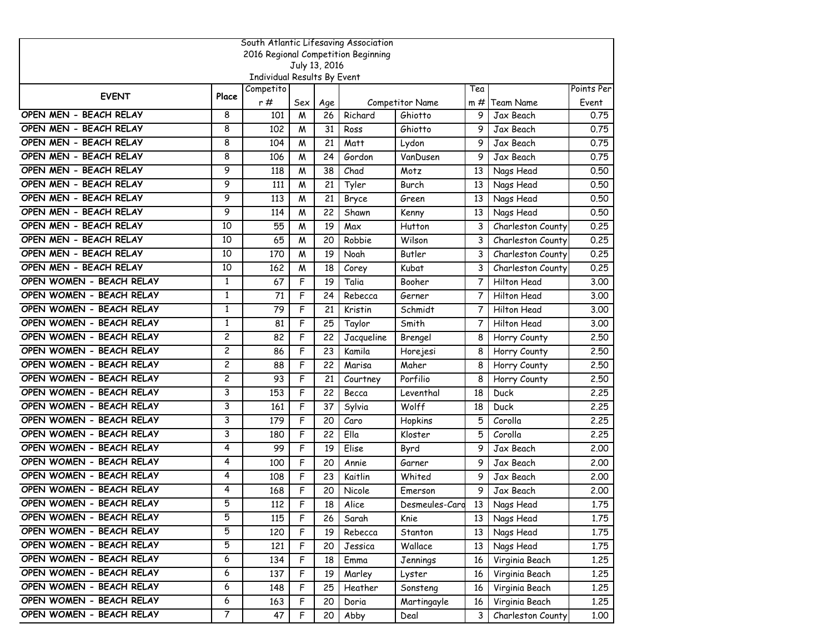| South Atlantic Lifesaving Association |                |                             |     |               |                                     |                 |        |                   |            |  |
|---------------------------------------|----------------|-----------------------------|-----|---------------|-------------------------------------|-----------------|--------|-------------------|------------|--|
|                                       |                |                             |     |               | 2016 Regional Competition Beginning |                 |        |                   |            |  |
|                                       |                | Individual Results By Event |     | July 13, 2016 |                                     |                 |        |                   |            |  |
|                                       |                | Competito                   |     |               |                                     |                 | Tea    |                   | Points Per |  |
| <b>EVENT</b>                          | Place          | r#                          | Sex | Age           |                                     | Competitor Name | $m \#$ | Team Name         | Event      |  |
| OPEN MEN - BEACH RELAY                | 8              | 101                         | M   | 26            | Richard                             | Ghiotto         | 9      | Jax Beach         | 0.75       |  |
| OPEN MEN - BEACH RELAY                | 8              | 102                         | M   | 31            | Ross                                | Ghiotto         | 9      | Jax Beach         | 0.75       |  |
| OPEN MEN - BEACH RELAY                | 8              | 104                         | М   | 21            | Matt                                | Lydon           | 9      | Jax Beach         | 0.75       |  |
| OPEN MEN - BEACH RELAY                | 8              | 106                         | M   | 24            | Gordon                              | VanDusen        | 9      | Jax Beach         | 0.75       |  |
| OPEN MEN - BEACH RELAY                | 9              | 118                         | M   | 38            | Chad                                | Motz            | 13     | Nags Head         | 0.50       |  |
| OPEN MEN - BEACH RELAY                | 9              | 111                         | W   | 21            | Tyler                               | Burch           | 13     | Nags Head         | 0.50       |  |
| OPEN MEN - BEACH RELAY                | 9              | 113                         | M   | 21            | Bryce                               | Green           | 13     | Nags Head         | 0.50       |  |
| OPEN MEN - BEACH RELAY                | 9              | 114                         | W   | 22            | Shawn                               | Kenny           | 13     | Nags Head         | 0.50       |  |
| OPEN MEN - BEACH RELAY                | 10             | 55                          | M   | 19            | Max                                 | Hutton          | 3      | Charleston County | 0.25       |  |
| OPEN MEN - BEACH RELAY                | 10             | 65                          | M   | 20            | Robbie                              | Wilson          | 3      | Charleston County | 0.25       |  |
| OPEN MEN - BEACH RELAY                | 10             | 170                         | W   | 19            | Noah                                | Butler          | 3      | Charleston County | 0.25       |  |
| OPEN MEN - BEACH RELAY                | 10             | 162                         | M   | 18            | Corey                               | Kubat           | 3      | Charleston County | 0.25       |  |
| OPEN WOMEN - BEACH RELAY              | $\mathbf{1}$   | 67                          | F   | 19            | Talia                               | Booher          | 7      | Hilton Head       | 3.00       |  |
| OPEN WOMEN - BEACH RELAY              | 1              | 71                          | F   | 24            | Rebecca                             | Gerner          | 7      | Hilton Head       | 3.00       |  |
| OPEN WOMEN - BEACH RELAY              | $\mathbf{1}$   | 79                          | F   | 21            | Kristin                             | Schmidt         | 7      | Hilton Head       | 3.00       |  |
| OPEN WOMEN - BEACH RELAY              | $\mathbf{1}$   | 81                          | F   | 25            | Taylor                              | Smith           | 7      | Hilton Head       | 3.00       |  |
| OPEN WOMEN - BEACH RELAY              | $\overline{c}$ | 82                          | F   | 22            | Jacqueline                          | Brengel         | 8      | Horry County      | 2.50       |  |
| OPEN WOMEN - BEACH RELAY              | 2              | 86                          | F   | 23            | Kamila                              | Horejesi        | 8      | Horry County      | 2.50       |  |
| OPEN WOMEN - BEACH RELAY              | 2              | 88                          | F   | 22            | Marisa                              | Maher           | 8      | Horry County      | 2.50       |  |
| OPEN WOMEN - BEACH RELAY              | $\overline{c}$ | 93                          | F   | 21            | Courtney                            | Porfilio        | 8      | Horry County      | 2.50       |  |
| OPEN WOMEN - BEACH RELAY              | 3              | 153                         | F   | 22            | Becca                               | Leventhal       | 18     | Duck              | 2.25       |  |
| OPEN WOMEN - BEACH RELAY              | 3              | 161                         | F   | 37            | Sylvia                              | Wolff           | 18     | Duck              | 2,25       |  |
| OPEN WOMEN - BEACH RELAY              | 3              | 179                         | F   | 20            | Caro                                | Hopkins         | 5      | Corolla           | 2,25       |  |
| OPEN WOMEN - BEACH RELAY              | 3              | 180                         | F   | 22            | Ella                                | Kloster         | 5      | Corolla           | 2.25       |  |
| OPEN WOMEN - BEACH RELAY              | 4              | 99                          | F   | 19            | Elise                               | Byrd            | 9      | Jax Beach         | 2.00       |  |
| OPEN WOMEN - BEACH RELAY              | 4              | 100                         | F   | 20            | Annie                               | Garner          | 9      | Jax Beach         | 2,00       |  |
| OPEN WOMEN - BEACH RELAY              | 4              | 108                         | F   | 23            | Kaitlin                             | Whited          | 9      | Jax Beach         | 2,00       |  |
| OPEN WOMEN - BEACH RELAY              | 4              | 168                         | F   | 20            | Nicole                              | Emerson         | 9      | Jax Beach         | 2.00       |  |
| OPEN WOMEN - BEACH RELAY              | 5              | 112                         | F   | 18            | Alice                               | Desmeules-Cara  |        | 13 Nags Head      | 1.75       |  |
| OPEN WOMEN - BEACH RELAY              | 5              | 115                         | F   | 26            | Sarah                               | Knie            | 13     | Nags Head         | 1.75       |  |
| OPEN WOMEN - BEACH RELAY              | 5              | 120                         | F   | 19            | Rebecca                             | Stanton         | 13     | Nags Head         | 1.75       |  |
| OPEN WOMEN - BEACH RELAY              | 5              | 121                         | F   | 20            | Jessica                             | Wallace         | 13     | Nags Head         | 1.75       |  |
| OPEN WOMEN - BEACH RELAY              | 6              | 134                         | F   | 18            | Emma                                | Jennings        | 16     | Virginia Beach    | 1.25       |  |
| OPEN WOMEN - BEACH RELAY              | 6              | 137                         | F   | 19            | Marley                              | Lyster          | 16     | Virginia Beach    | 1.25       |  |
| OPEN WOMEN - BEACH RELAY              | 6              | 148                         | F   | 25            | Heather                             | Sonsteng        | 16     | Virginia Beach    | 1.25       |  |
| OPEN WOMEN - BEACH RELAY              | 6              | 163                         | F   | 20            | Doria                               | Martingayle     | 16     | Virginia Beach    | 1.25       |  |
| OPEN WOMEN - BEACH RELAY              | 7              | 47                          | F   | 20            | Abby                                | Deal            | 3      | Charleston County | 1.00       |  |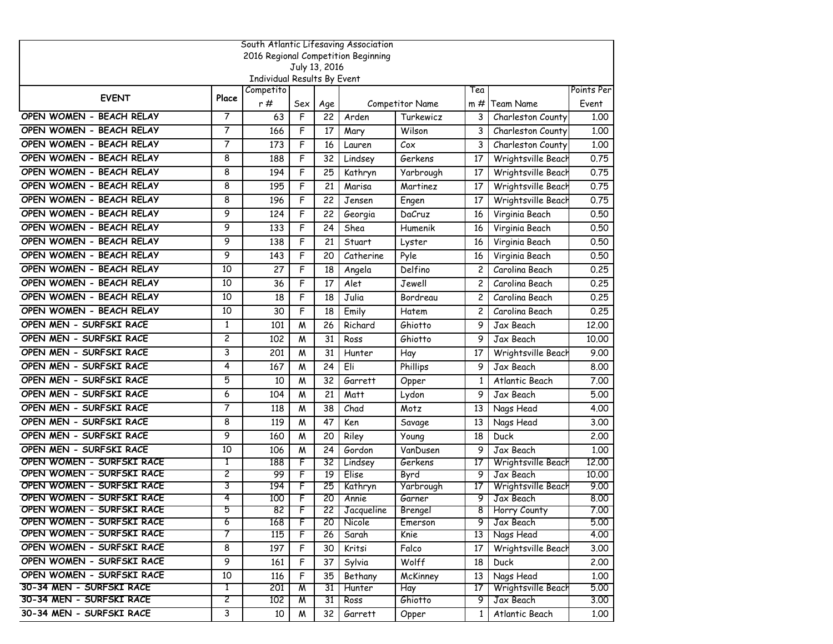|                                                        |                |                             |                |                 | South Atlantic Lifesaving Association |                     |                |                                 |              |
|--------------------------------------------------------|----------------|-----------------------------|----------------|-----------------|---------------------------------------|---------------------|----------------|---------------------------------|--------------|
|                                                        |                |                             |                |                 | 2016 Regional Competition Beginning   |                     |                |                                 |              |
|                                                        |                | Individual Results By Event |                | July 13, 2016   |                                       |                     |                |                                 |              |
|                                                        |                | Competito                   |                |                 |                                       |                     | Tea            |                                 | Points Per   |
| <b>EVENT</b>                                           | Place          | r#                          | Sex            | Age             |                                       | Competitor Name     | $m \#$         | Team Name                       | Event        |
| OPEN WOMEN - BEACH RELAY                               | $\overline{7}$ | 63                          | F              | 22              | Arden                                 | Turkewicz           | 3              | Charleston County               | 1.00         |
| OPEN WOMEN - BEACH RELAY                               | 7              | 166                         | F              | 17              | Mary                                  | Wilson              | 3              | Charleston County               | 1.00         |
| OPEN WOMEN - BEACH RELAY                               | 7              | 173                         | F              | 16              | Lauren                                | Cox                 | 3              | Charleston County               | 1.00         |
| OPEN WOMEN - BEACH RELAY                               | 8              | 188                         | F              | 32              | Lindsey                               | Gerkens             | 17             | Wrightsville Beach              | 0.75         |
| OPEN WOMEN - BEACH RELAY                               | 8              | 194                         | F              | 25              | Kathryn                               | Yarbrough           | 17             | Wrightsville Beach              | 0.75         |
| OPEN WOMEN - BEACH RELAY                               | 8              | 195                         | F              | 21              | Marisa                                | Martinez            | 17             | Wrightsville Beach              | 0.75         |
| OPEN WOMEN - BEACH RELAY                               | 8              | 196                         | F              | 22              | Jensen                                | Engen               | 17             | Wrightsville Beach              | 0.75         |
| OPEN WOMEN - BEACH RELAY                               | 9              | 124                         | F              | 22              | Georgia                               | DaCruz              | 16             | Virginia Beach                  | 0.50         |
| OPEN WOMEN - BEACH RELAY                               | 9              | 133                         | F              | 24              | Shea                                  | Humenik             | 16             | Virginia Beach                  | 0.50         |
| OPEN WOMEN - BEACH RELAY                               | 9              | 138                         | F              | 21              | Stuart                                | Lyster              | 16             | Virginia Beach                  | 0.50         |
| OPEN WOMEN - BEACH RELAY                               | 9              | 143                         | F              | 20              | Catherine                             | Pyle                | 16             | Virginia Beach                  | 0.50         |
| OPEN WOMEN - BEACH RELAY                               | 10             | 27                          | F              | 18              | Angela                                | Delfino             | $\overline{c}$ | Carolina Beach                  | 0.25         |
| OPEN WOMEN - BEACH RELAY                               | 10             | 36                          | F              | 17              | Alet                                  | Jewell              | $\mathbf{2}$   | Carolina Beach                  | 0.25         |
| OPEN WOMEN - BEACH RELAY                               | 10             | 18                          | F              | 18              | Julia                                 | Bordreau            | 2              | Carolina Beach                  | 0.25         |
| OPEN WOMEN - BEACH RELAY                               | 10             | 30                          | F              | 18              | Emily                                 | Hatem               | $\overline{c}$ | Carolina Beach                  | 0.25         |
| OPEN MEN - SURFSKI RACE                                | $\mathbf{1}$   | 101                         | W              | 26              | Richard                               | Ghiotto             | 9              | Jax Beach                       | 12.00        |
| OPEN MEN - SURFSKI RACE                                | $\overline{c}$ | 102                         | M              | 31              | Ross                                  | Ghiotto             | 9              | Jax Beach                       | 10.00        |
| OPEN MEN - SURFSKI RACE                                | 3              | 201                         | М              | 31              | Hunter                                | Hay                 | 17             | Wrightsville Beach              | 9.00         |
| OPEN MEN - SURFSKI RACE                                | 4              | 167                         | M              | 24              | Eli                                   | Phillips            | 9              | Jax Beach                       | 8.00         |
| OPEN MEN - SURFSKI RACE                                | 5              | 10                          | M              | 32              | Garrett                               | Opper               | 1              | Atlantic Beach                  | 7.00         |
| OPEN MEN - SURFSKI RACE                                | 6              | 104                         | М              | 21              | Matt                                  | Lydon               | 9              | Jax Beach                       | 5.00         |
| OPEN MEN - SURFSKI RACE                                | 7              | 118                         | M              | 38              | Chad                                  | Motz                | 13             | Nags Head                       | 4.00         |
| OPEN MEN - SURFSKI RACE                                | 8              | 119                         | М              | 47              | Ken                                   | Savage              | 13             | Nags Head                       | 3.00         |
| OPEN MEN - SURFSKI RACE                                | 9              | 160                         | M              | 20              | Riley                                 | Young               | 18             | Duck                            | 2,00         |
| OPEN MEN - SURFSKI RACE                                | 10             | 106                         | M              | 24              | Gordon                                | VanDusen            | 9              | Jax Beach                       | 1.00         |
| OPEN WOMEN - SURFSKI RACE                              | T              | 188                         | $\overline{F}$ | 32              | Lindsey                               | Gerkens             | 17             | Wrightsville Beach              | 12.00        |
| OPEN WOMEN - SURFSKI RACE<br>OPEN WOMEN - SURFSKI RACE | 2<br>3         | 99                          | F              | 19              | Elise                                 | Byrd                | 9              | Jax Beach                       | 10.00        |
| OPEN WOMEN - SURFSKI RACE                              | 4              | 194<br>100                  | F<br>F         | 25<br>20        | Kathryn<br>Annie                      | Yarbrough<br>Garner | 17<br>9        | Wrightsville Beach<br>Jax Beach | 9.00<br>8.00 |
| OPEN WOMEN - SURFSKI RACE                              |                | 82                          | r              |                 | 22 Jacqueline                         | Brengel             |                | 8 Horry County                  | 7.00         |
| OPEN WOMEN - SURFSKI RACE                              | 6              | 168                         | F              | $\overline{20}$ | Nicole                                | Emerson             | 9              | Jax Beach                       | 5.00         |
| OPEN WOMEN - SURFSKI RACE                              | 7              | 115                         | F              | 26              | Sarah                                 | Knie                |                | 13 Nags Head                    | 4.00         |
| OPEN WOMEN - SURFSKI RACE                              | 8              | 197                         | F              | 30              | Kritsi                                | Falco               | 17             | Wrightsville Beach              | 3.00         |
| OPEN WOMEN - SURFSKI RACE                              | 9              | 161                         | F              | 37              | Sylvia                                | Wolff               | 18             | Duck                            | 2.00         |
| OPEN WOMEN - SURFSKI RACE                              | 10             | 116                         | F              | 35              | Bethany                               | McKinney            | 13             | Nags Head                       | 1.00         |
| 30-34 MEN - SURFSKI RACE                               | 1              | 201                         | W              | 31              | Hunter                                | Hay                 | 17             | Wrightsville Beach              | 5.00         |
| 30-34 MEN - SURFSKI RACE                               | 2              | 102                         | M              | 31              | Ross                                  | Ghiotto             | 9              | Jax Beach                       | 3.00         |
| 30-34 MEN - SURFSKI RACE                               | 3              | 10                          | M              | 32              | Garrett                               | Opper               | $\mathbf{1}$   | Atlantic Beach                  | 1.00         |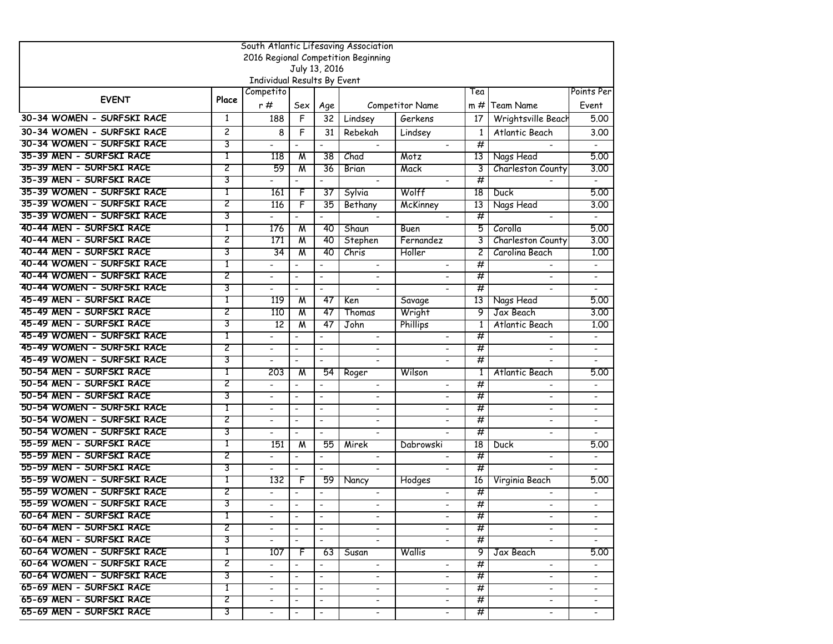| South Atlantic Lifesaving Association |                |                             |                          |                              |                                     |                          |              |                              |                              |  |
|---------------------------------------|----------------|-----------------------------|--------------------------|------------------------------|-------------------------------------|--------------------------|--------------|------------------------------|------------------------------|--|
|                                       |                |                             |                          |                              | 2016 Regional Competition Beginning |                          |              |                              |                              |  |
|                                       |                |                             | July 13, 2016            |                              |                                     |                          |              |                              |                              |  |
|                                       |                | Individual Results By Event |                          |                              |                                     |                          |              |                              |                              |  |
| <b>EVENT</b>                          | Place          | Competito                   |                          |                              |                                     |                          | Tea          |                              | Points Per                   |  |
|                                       |                | r#                          | Sex                      | Age                          |                                     | Competitor Name          | m#           | Team Name                    | Event                        |  |
| 30-34 WOMEN - SURFSKI RACE            | 1              | 188                         | F                        | 32                           | Lindsey                             | Gerkens                  | 17           | Wrightsville Beach           | 5.00                         |  |
| 30-34 WOMEN - SURFSKI RACE            | $\overline{c}$ | 8                           | F                        | 31                           | Rebekah                             | Lindsey                  | $\mathbf{1}$ | Atlantic Beach               | 3.00                         |  |
| 30-34 WOMEN - SURFSKI RACE            | 3              |                             |                          | $\overline{\phantom{0}}$     |                                     |                          | #            |                              |                              |  |
| 35-39 MEN - SURFSKI RACE              | 1              | 118                         | M                        | 38                           | Chad                                | Motz                     | 13           | Nags Head                    | 5.00                         |  |
| 35-39 MEN - SURFSKI RACE              | 2              | 59                          | $\overline{\mathsf{M}}$  | 36                           | Brian                               | Mack                     | 3            | Charleston County            | 3.00                         |  |
| 35-39 MEN - SURFSKI RACE              | 3              |                             | $\blacksquare$           | $\overline{\phantom{a}}$     | $\blacksquare$                      |                          | $^{\#}$      |                              | $\overline{a}$               |  |
| 35-39 WOMEN - SURFSKI RACE            | T              | 161                         | F                        | 37                           | Sylvia                              | Wolff                    | 18           | Duck                         | 5.00                         |  |
| 35-39 WOMEN - SURFSKI RACE            | 2              | 116                         | F                        | 35                           | Bethany                             | McKinney                 | 13           | Nags Head                    | 3.00                         |  |
| 35-39 WOMEN - SURFSKI RACE            | 3              |                             |                          |                              | $\blacksquare$                      |                          | #            |                              |                              |  |
| 40-44 MEN - SURFSKI RACE              | 1              | 176                         | $\overline{\mathsf{M}}$  | 40                           | Shaun                               | <b>Buen</b>              | 5            | Corolla                      | 5.00                         |  |
| 40-44 MEN - SURFSKI RACE              | 2              | 171                         | M                        | 40                           | Stephen                             | Fernandez                | 3            | Charleston County            | 3.00                         |  |
| 40-44 MEN - SURFSKI RACE              | 3              | 34                          | M                        | 40                           | Chris                               | Holler                   | 2            | Carolina Beach               | 1.00                         |  |
| 40-44 WOMEN - SURFSKI RACE            | 1              |                             |                          | $\qquad \qquad \blacksquare$ | $\overline{\phantom{a}}$            |                          | #            |                              |                              |  |
| 40-44 WOMEN - SURFSKI RACE            | 2              | $\blacksquare$              | $\blacksquare$           | $\blacksquare$               | $\blacksquare$                      |                          | #            | $\overline{\phantom{a}}$     | $\overline{\phantom{a}}$     |  |
| 40-44 WOMEN - SURFSKI RACE            | 3              | ٠                           | $\blacksquare$           | $\blacksquare$               |                                     |                          | #            |                              |                              |  |
| 45-49 MEN - SURFSKI RACE              | 1              | 119                         | M                        | -47                          | Ken                                 | Savage                   | 13           | Nags Head                    | 5.00                         |  |
| 45-49 MEN - SURFSKI RACE              | 2              | 110                         | M                        | 47                           | Thomas                              | Wright                   | 9            | Jax Beach                    | 3.00                         |  |
| 45-49 MEN - SURFSKI RACE              | 3              | 12                          | M                        | 47                           | John                                | Phillips                 | 1            | Atlantic Beach               | 1.00                         |  |
| 45-49 WOMEN - SURFSKI RACE            | 1              |                             |                          |                              | $\overline{\phantom{a}}$            |                          | #            |                              |                              |  |
| 45-49 WOMEN - SURFSKI RACE            | 2              |                             | $\overline{\phantom{a}}$ | $\overline{\phantom{0}}$     |                                     |                          | #            |                              | $\qquad \qquad \blacksquare$ |  |
| 45-49 WOMEN - SURFSKI RACE            | 3              |                             | $\sim$                   | $\blacksquare$               |                                     |                          | #            |                              |                              |  |
| 50-54 MEN - SURFSKI RACE              | T              | 203                         | $\overline{\mathsf{M}}$  | 54                           | Roger                               | Wilson                   | $\mathbf{1}$ | Atlantic Beach               | 5.00                         |  |
| 50-54 MEN - SURFSKI RACE              | 2              | $\overline{\phantom{0}}$    | $\overline{\phantom{a}}$ | $\blacksquare$               | $\overline{\phantom{a}}$            |                          | #            |                              |                              |  |
| 50-54 MEN - SURFSKI RACE              | 3              | $\blacksquare$              | $\blacksquare$           | $\blacksquare$               | $\overline{\phantom{a}}$            |                          | #            | $\overline{\phantom{a}}$     | $\overline{\phantom{a}}$     |  |
| 50-54 WOMEN - SURFSKI RACE            | 1              | $\blacksquare$              | $\blacksquare$           | $\blacksquare$               |                                     |                          | #            |                              |                              |  |
| 50-54 WOMEN - SURFSKI RACE            | 2              | ٠                           | $\blacksquare$           | $\blacksquare$               | $\overline{\phantom{a}}$            | $\overline{\phantom{a}}$ | #            | $\blacksquare$               | $\blacksquare$               |  |
| 50-54 WOMEN - SURFSKI RACE            | 3              | $\overline{\phantom{a}}$    | $\blacksquare$           | $\overline{\phantom{a}}$     | $\blacksquare$                      |                          | #            | $\overline{\phantom{0}}$     | $\overline{\phantom{0}}$     |  |
| 55-59 MEN - SURFSKI RACE              | 1              | 151                         | M                        | 55                           | Mirek                               | Dabrowski                | 18           | Duck                         | 5.00                         |  |
| 55-59 MEN - SURFSKI RACE              | 2              | $\overline{\phantom{0}}$    | $\overline{\phantom{a}}$ | $\overline{\phantom{a}}$     | $\overline{\phantom{a}}$            |                          | #            | $\overline{\phantom{a}}$     | $\overline{\phantom{0}}$     |  |
| 55-59 MEN - SURFSKI RACE              | 3              |                             | $\overline{\phantom{a}}$ | $\overline{\phantom{a}}$     | $\overline{\phantom{a}}$            |                          | #            |                              |                              |  |
| 55-59 WOMEN - SURFSKI RACE            | 1              | 132                         | F                        | 59                           | Nancy                               | Hodges                   | 16           | Virginia Beach               | 5.00                         |  |
| 55-59 WOMEN - SURFSKI RACE            | 2              | $\overline{\phantom{0}}$    | $\overline{\phantom{a}}$ | $\overline{\phantom{a}}$     | $\overline{\phantom{a}}$            |                          | #            |                              | $\qquad \qquad \blacksquare$ |  |
| 55-59 WOMEN - SURFSKI RACE            | 3              |                             | $\overline{\phantom{a}}$ | $\overline{\phantom{a}}$     |                                     | $\blacksquare$           | #            | $\qquad \qquad \blacksquare$ |                              |  |
| 60-64 MEN - SURFSKI RACE              | 1              | $\blacksquare$              | $\overline{\phantom{a}}$ | $\overline{\phantom{a}}$     | $\blacksquare$                      | $\blacksquare$           | #            | $\sim$                       |                              |  |
| 60-64 MEN - SURFSKI RACE              | 2              | $\overline{\phantom{0}}$    | $\blacksquare$           | $\blacksquare$               | $\overline{\phantom{a}}$            |                          | #            |                              |                              |  |
| 60-64 MEN - SURFSKI RACE              | 3              | $\blacksquare$              | $\sim$                   | $\sim$                       | $\blacksquare$                      | $\overline{\phantom{a}}$ | #            | $\blacksquare$               | $\blacksquare$               |  |
| 60-64 WOMEN - SURFSKI RACE            | T              | 107                         | F                        | 63                           | Susan                               | Wallis                   | 9.           | Jax Beach                    | 5.00                         |  |
| 60-64 WOMEN - SURFSKI RACE            | 2              | $\overline{\phantom{0}}$    | $\overline{\phantom{a}}$ | $\overline{\phantom{a}}$     | $\blacksquare$                      | $\overline{\phantom{0}}$ | #            | $\blacksquare$               | $\overline{\phantom{a}}$     |  |
| 60-64 WOMEN - SURFSKI RACE            | 3              | $\blacksquare$              | $\overline{\phantom{a}}$ | $\overline{\phantom{a}}$     | $\blacksquare$                      | $\blacksquare$           | #            | $\blacksquare$               | $\blacksquare$               |  |
| 65-69 MEN - SURFSKI RACE              | T              |                             | $\overline{\phantom{a}}$ | $\blacksquare$               | $\overline{\phantom{a}}$            |                          | #            |                              |                              |  |
| 65-69 MEN - SURFSKI RACE              | 2              | $\blacksquare$              | $\overline{\phantom{a}}$ | $\overline{\phantom{a}}$     | $\blacksquare$                      | $\blacksquare$           | #            | $\overline{\phantom{a}}$     | $\qquad \qquad \blacksquare$ |  |
| 65-69 MEN - SURFSKI RACE              | 3              |                             | $\overline{\phantom{a}}$ | $\blacksquare$               | $\overline{\phantom{a}}$            | $\overline{\phantom{a}}$ | #            | $\overline{\phantom{a}}$     |                              |  |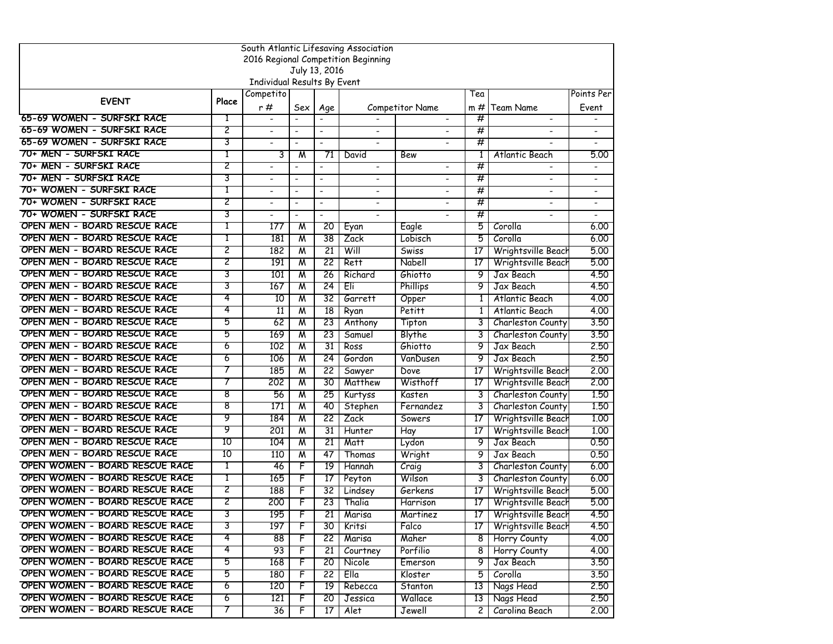|                                                              |       |                              |                          |                          | South Atlantic Lifesaving Association<br>2016 Regional Competition Beginning |                 |                 |                                          |                          |
|--------------------------------------------------------------|-------|------------------------------|--------------------------|--------------------------|------------------------------------------------------------------------------|-----------------|-----------------|------------------------------------------|--------------------------|
|                                                              |       |                              | July 13, 2016            |                          |                                                                              |                 |                 |                                          |                          |
|                                                              |       | Individual Results By Event  |                          |                          |                                                                              |                 |                 |                                          |                          |
|                                                              |       | Competito                    |                          |                          |                                                                              |                 | Tea             |                                          | Points Per               |
| <b>EVENT</b>                                                 | Place | r#                           | Sex                      | Age                      |                                                                              | Competitor Name | m #             | <b>Team Name</b>                         | Event                    |
| 65-69 WOMEN - SURFSKI RACE                                   | 1     | $\blacksquare$               | $\overline{\phantom{a}}$ | $\overline{\phantom{a}}$ |                                                                              | $\blacksquare$  | #               | $\blacksquare$                           |                          |
| 65-69 WOMEN - SURFSKI RACE                                   | 2     | $\overline{\phantom{a}}$     | $\overline{\phantom{a}}$ | $\overline{\phantom{a}}$ | $\blacksquare$                                                               |                 | #               |                                          |                          |
| 65-69 WOMEN - SURFSKI RACE                                   | 3     | $\qquad \qquad \blacksquare$ |                          | $\overline{\phantom{a}}$ | $\overline{\phantom{a}}$                                                     |                 | #               |                                          |                          |
| 70+ MEN - SURFSKI RACE                                       | 1     | 3                            | M                        | 71                       | David                                                                        | Bew             | 1               | Atlantic Beach                           | 5.00                     |
| 70+ MEN - SURFSKI RACE                                       | 2     | $\overline{\phantom{a}}$     | $\blacksquare$           | $\blacksquare$           | $\overline{\phantom{a}}$                                                     |                 | $\overline{\#}$ |                                          |                          |
| 70+ MEN - SURFSKI RACE                                       | 3     | $\qquad \qquad \blacksquare$ | $\overline{\phantom{a}}$ | $\overline{\phantom{a}}$ | $\overline{\phantom{0}}$                                                     |                 | #               |                                          |                          |
| 70+ WOMEN - SURFSKI RACE                                     | 1     |                              |                          | $\overline{\phantom{a}}$ | $\blacksquare$                                                               |                 | #               |                                          |                          |
| 70+ WOMEN - SURFSKI RACE                                     | 2     |                              | $\overline{\phantom{a}}$ | $\overline{\phantom{a}}$ | $\overline{\phantom{0}}$                                                     |                 | #               |                                          |                          |
| 70+ WOMEN - SURFSKI RACE                                     | 3     | $\blacksquare$               | $\blacksquare$           | $\blacksquare$           | $\blacksquare$                                                               | $\sim$          | #               |                                          | $\overline{\phantom{0}}$ |
| OPEN MEN - BOARD RESCUE RACE                                 | Т     | 177                          | $\overline{M}$           | 20                       | Eyan                                                                         | Eagle           | 5               | Corolla                                  | 6,00                     |
| OPEN MEN - BOARD RESCUE RACE                                 | Т     | 181                          | M                        | 38                       | Zack                                                                         | Lobisch         | 5               | Corolla                                  | 6,00                     |
| OPEN MEN - BOARD RESCUE RACE                                 | 2     | 182                          | M                        | $\overline{21}$          | Will                                                                         | Swiss           | 17              | Wrightsville Beach                       | 5.00                     |
| OPEN MEN - BOARD RESCUE RACE                                 | 2     | 191                          | W                        | 22                       | Rett                                                                         | Nabell          | 17              | Wrightsville Beacl                       | 5.00                     |
| OPEN MEN - BOARD RESCUE RACE                                 | 3     | 101                          | W                        | 26                       | Richard                                                                      | Ghiotto         | 9               | Jax Beach                                | 4.50                     |
| OPEN MEN - BOARD RESCUE RACE                                 | 3     | 167                          | W                        | 24                       | Eli                                                                          | Phillips        | 9               | Jax Beach                                | 4.50                     |
| OPEN MEN - BOARD RESCUE RACE                                 | 4     | 10                           | W                        | 32                       | Garrett                                                                      | Opper           | 1               | Atlantic Beach                           | 4.00                     |
| OPEN MEN - BOARD RESCUE RACE                                 | 4     | 11                           | $\overline{\mathsf{M}}$  | $\overline{18}$          | Ryan                                                                         | Petitt          | $\mathbf{1}$    | Atlantic Beach                           | 4.00                     |
| OPEN MEN - BOARD RESCUE RACE                                 | 5     | 62                           | W                        | 23                       | Anthony                                                                      | Tipton          | 3               | Charleston County                        | 3.50                     |
| OPEN MEN - BOARD RESCUE RACE                                 | 5     | 169                          | W                        | 23                       | Samuel                                                                       | Blythe          | 3               | Charleston County                        | 3.50                     |
| OPEN MEN - BOARD RESCUE RACE                                 | 6     | 102                          | W                        | 31                       | Ross                                                                         | Ghiotto         | 9               | Jax Beach                                | 2.50                     |
| OPEN MEN - BOARD RESCUE RACE                                 | 6     | 106                          | M                        | 24                       | Gordon                                                                       | VanDusen        | 9               | Jax Beach                                | 2.50                     |
| OPEN MEN - BOARD RESCUE RACE<br>OPEN MEN - BOARD RESCUE RACE | 7     | 185                          | $\overline{\mathsf{M}}$  | 22                       | Sawyer                                                                       | Dove            | 17              | Wrightsville Beach                       | 2.00                     |
| OPEN MEN - BOARD RESCUE RACE                                 | 8     | 202                          | W                        | 30                       | Matthew                                                                      | Wisthoff        | 17              | Wrightsville Beacl                       | 2.00                     |
| OPEN MEN - BOARD RESCUE RACE                                 | 8     | 56<br>171                    | $\overline{\mathsf{M}}$  | 25                       | Kurtyss                                                                      | Kasten          | 3               | Charleston County                        | 1,50                     |
| OPEN MEN - BOARD RESCUE RACE                                 | 9     | 184                          | W<br>W                   | 40<br>22                 | Stephen<br>Zack                                                              | Fernandez       | 3<br>17         | Charleston County                        | 1,50<br>1.00             |
| OPEN MEN - BOARD RESCUE RACE                                 | 9     | 201                          | $\overline{\mathsf{M}}$  | 31                       | Hunter                                                                       | Sowers          | 17              | Wrightsville Beach<br>Wrightsville Beach | 1.00                     |
| OPEN MEN - BOARD RESCUE RACE                                 | 10    | 104                          | W                        | 21                       | Matt                                                                         | Hay             | 9               | Jax Beach                                | 0.50                     |
| OPEN MEN - BOARD RESCUE RACE                                 | 10    | 110                          | $\overline{\mathsf{M}}$  | 47                       | Thomas                                                                       | Lydon<br>Wright | 9               | Jax Beach                                | 0.50                     |
| OPEN WOMEN - BOARD RESCUE RACE                               | т     | 46                           | F                        | 19                       | Hannah                                                                       | Craig           | 3               | Charleston County                        | 6.00                     |
| OPEN WOMEN - BOARD RESCUE RACE                               | T     | 165                          | F                        | 17                       | Peyton                                                                       | Wilson          | 3               | Charleston County                        | 6.00                     |
| OPEN WOMEN - BOARD RESCUE RACE                               | 2     | 188                          | F                        | $\overline{32}$          | Lindsey                                                                      | Gerkens         | 17              | Wrightsville Beacl                       | 5.00                     |
| OPEN WOMEN - BOARD RESCUE RACE                               | 2     | 200                          | F                        | 23                       | Thalia                                                                       | Harrison        | 17              | Wrightsville Beach                       | 5.00                     |
| OPEN WOMEN - BOARD RESCUE RACE                               | J     | 195                          | r                        | 21                       | Marisa                                                                       | Martinez        |                 | 17   Wrightsville Beach                  | 4.50                     |
| OPEN WOMEN - BOARD RESCUE RACE                               | 3     | 197                          | F                        | 30                       | Kritsi                                                                       | Falco           | 17 <sup>1</sup> | Wrightsville Beach                       | 4.50                     |
| OPEN WOMEN - BOARD RESCUE RACE                               | 4     | 88                           | F                        | 22                       | Marisa                                                                       | Maher           |                 | 8 Horry County                           | 4.00                     |
| OPEN WOMEN - BOARD RESCUE RACE                               | 4     | 93                           | F                        | 21                       | Courtney                                                                     | Porfilio        | 81              | Horry County                             | 4.00                     |
| OPEN WOMEN - BOARD RESCUE RACE                               | 5     | 168                          | F                        | 20                       | Nicole                                                                       | Emerson         | 9               | Jax Beach                                | 3.50                     |
| OPEN WOMEN - BOARD RESCUE RACE                               | 5     | 180                          | F                        | $\overline{22}$          | Ella                                                                         | Kloster         | 5.              | Corolla                                  | 3.50                     |
| OPEN WOMEN - BOARD RESCUE RACE                               | 6     | 120                          | F                        | $\overline{19}$          | Rebecca                                                                      | Stanton         | 13              | Nags Head                                | 2,50                     |
| OPEN WOMEN - BOARD RESCUE RACE                               | 6     | 121                          | F                        | 20                       | Jessica                                                                      | Wallace         | 13              | Nags Head                                | 2.50                     |
| OPEN WOMEN - BOARD RESCUE RACE                               | 7     | 36                           | F                        | 17                       | Alet                                                                         | Jewell          | $\mathsf{2}$    | Carolina Beach                           | 2,00                     |
|                                                              |       |                              |                          |                          |                                                                              |                 |                 |                                          |                          |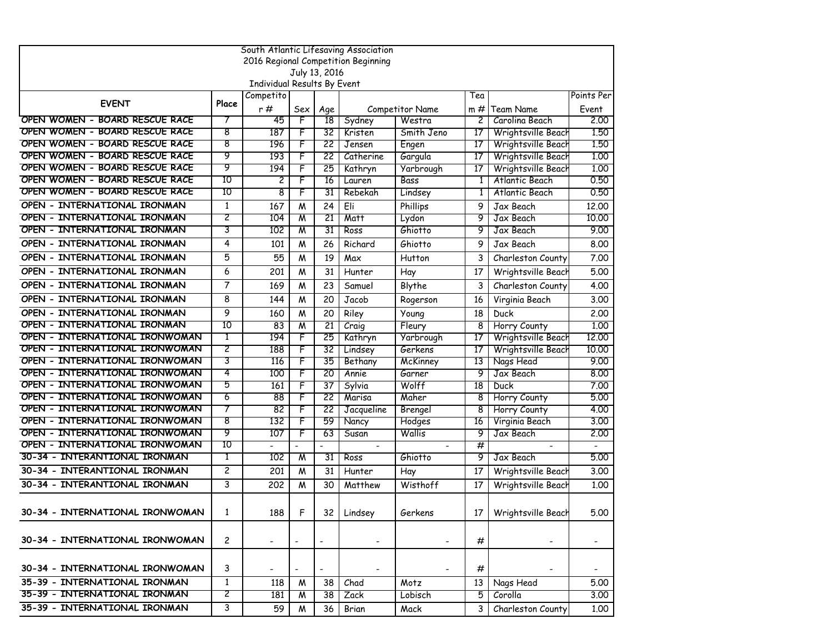| South Atlantic Lifesaving Association                           |                       |                             |                          |                      |                                     |                 |        |                         |                |  |
|-----------------------------------------------------------------|-----------------------|-----------------------------|--------------------------|----------------------|-------------------------------------|-----------------|--------|-------------------------|----------------|--|
|                                                                 |                       |                             |                          |                      | 2016 Regional Competition Beginning |                 |        |                         |                |  |
|                                                                 |                       | Individual Results By Event |                          | July 13, 2016        |                                     |                 |        |                         |                |  |
|                                                                 |                       | Competito                   |                          |                      |                                     |                 | Tea    |                         | Points Per     |  |
| <b>EVENT</b>                                                    | Place                 | r#                          | Sex                      | Age                  |                                     | Competitor Name | m #    | Team Name               | Event          |  |
| OPEN WOMEN - BOARD RESCUE RACE                                  | 7                     | 45                          | F                        | $\overline{18}$      | Sydney                              | Westra          | 2      | Carolina Beach          | 2,00           |  |
| OPEN WOMEN - BOARD RESCUE RACE                                  | 8                     | 187                         | F                        | 32                   | Kristen                             | Smith Jeno      | 17     | Wrightsville Beach      | 1.50           |  |
| OPEN WOMEN - BOARD RESCUE RACE                                  | 8                     | 196                         | F                        | 22                   | Jensen                              | Engen           | 17     | Wrightsville Beach      | 1.50           |  |
| OPEN WOMEN - BOARD RESCUE RACE                                  | 9                     | 193                         | F                        | 22                   | Catherine                           | Gargula         | 17     | Wrightsville Beach      | 1.00           |  |
| OPEN WOMEN - BOARD RESCUE RACE                                  | 9                     | 194                         | F                        | 25                   | Kathryn                             | Yarbrough       | 17     | Wrightsville Beach      | 1.00           |  |
| OPEN WOMEN - BOARD RESCUE RACE                                  | 10                    | 2                           | F                        | 16                   | Lauren                              | Bass            | 1      | Atlantic Beach          | 0.50           |  |
| OPEN WOMEN - BOARD RESCUE RACE                                  | 10                    | 8                           | F                        | 31                   | Rebekah                             | Lindsey         | 1      | Atlantic Beach          | 0.50           |  |
| OPEN - INTERNATIONAL IRONMAN                                    | 1                     | 167                         | M                        | 24                   | Eli                                 | Phillips        | 9      | Jax Beach               | 12,00          |  |
| OPEN - INTERNATIONAL IRONMAN                                    | 2                     | 104                         | $\overline{\mathsf{M}}$  | 21                   | <b>Matt</b>                         | Lydon           | 9      | Jax Beach               | 10,00          |  |
| OPEN - INTERNATIONAL IRONMAN                                    | 3                     | 102                         | M                        | 31                   | Ross                                | Ghiotto         | 9      | Jax Beach               | 9.00           |  |
| OPEN - INTERNATIONAL IRONMAN                                    | 4                     | 101                         | M                        | 26                   | Richard                             | Ghiotto         | 9      | Jax Beach               | 8,00           |  |
| OPEN - INTERNATIONAL IRONMAN                                    | 5                     | 55                          | M                        | 19                   | Max                                 | Hutton          | 3      | Charleston County       | 7.00           |  |
| OPEN - INTERNATIONAL IRONMAN                                    | 6                     | 201                         | M                        | 31                   | Hunter                              | Hay             | 17     | Wrightsville Beach      | 5.00           |  |
| OPEN - INTERNATIONAL IRONMAN                                    | 7                     | 169                         | M                        | 23                   | Samuel                              | Blythe          | 3      | Charleston County       | 4.00           |  |
| OPEN - INTERNATIONAL IRONMAN                                    | 8                     | 144                         | M                        | 20                   | Jacob                               | Rogerson        | 16     | Virginia Beach          | 3.00           |  |
| OPEN - INTERNATIONAL IRONMAN                                    | 9                     | 160                         | M                        | 20                   | Riley                               | Young           | 18     | Duck                    | 2,00           |  |
| OPEN - INTERNATIONAL IRONMAN                                    | 10                    | 83                          | W                        | 21                   | Craig                               | Fleury          | 8      | Horry County            | 1.00           |  |
| OPEN - INTERNATIONAL IRONWOMAN                                  | 1                     | 194                         | F                        | 25                   | Kathryn                             | Yarbrough       | 17     | Wrightsville Beach      | 12.00          |  |
| OPEN - INTERNATIONAL IRONWOMAN                                  | 2                     | 188                         | F                        | 32                   | Lindsey                             | Gerkens         | 17     | Wrightsville Beach      | 10.00          |  |
| OPEN - INTERNATIONAL IRONWOMAN                                  | 3                     | 116                         | F                        | 35                   | Bethany                             | <b>McKinney</b> | 13     | Nags Head               | 9.00           |  |
| OPEN - INTERNATIONAL IRONWOMAN                                  | 4                     | 100                         | F                        | 20                   | Annie                               | Garner          | 9      | Jax Beach               | 8.00           |  |
| OPEN - INTERNATIONAL IRONWOMAN                                  | 5                     | 161                         | F                        | 37                   | Sylvia                              | Wolff           | 18     | Duck                    | 7.00           |  |
| OPEN - INTERNATIONAL IRONWOMAN                                  | 6                     | 88                          | F                        | 22                   | Marisa                              | Maher           | 8      | Horry County            | 5.00           |  |
| OPEN - INTERNATIONAL IRONWOMAN                                  | 7                     | 82                          | F                        | $\overline{22}$      | Jacqueline                          | Brengel         | 8      | Horry County            | 4.00           |  |
| OPEN - INTERNATIONAL IRONWOMAN                                  | 8                     | 132                         | F                        | 59                   | Nancy                               | Hodges          | 16     | Virginia Beach          | 3.00           |  |
| OPEN - INTERNATIONAL IRONWOMAN                                  | 9<br>10               | 107                         | F                        | 63                   | Susan                               | Wallis          | 9      | Jax Beach               | 2,00           |  |
| OPEN - INTERNATIONAL IRONWOMAN<br>30-34 - INTERANTIONAL IRONMAN | 1                     | 102                         | M                        | $\overline{a}$<br>31 | $\overline{\phantom{a}}$<br>Ross    | Ghiotto         | #<br>9 | Jax Beach               | 5.00           |  |
|                                                                 | 2                     |                             |                          |                      |                                     |                 |        |                         |                |  |
| 30-34 - INTERANTIONAL IRONMAN                                   |                       | 201                         | M                        | 31                   | Hunter                              | Hay             | 17     | Wrightsville Beach      | 3.00           |  |
| 30-34 - INTERANTIONAL IRONMAN                                   | 3                     | 202                         | M                        | 30                   | Matthew                             | Wisthoff        | 17     | Wrightsville Beach      | 1.00           |  |
| 30-34 - INTERNATIONAL IRONWOMAN                                 | 1                     | 188                         | F                        |                      | 32 Lindsey                          | Gerkens         |        | 17   Wrightsville Beach | 5.00           |  |
|                                                                 |                       |                             |                          |                      |                                     |                 |        |                         |                |  |
| 30-34 - INTERNATIONAL IRONWOMAN                                 | $\mathbf{2}^{\prime}$ |                             | $\overline{\phantom{a}}$ |                      |                                     |                 | #      |                         |                |  |
| 30-34 - INTERNATIONAL IRONWOMAN                                 | 3                     |                             | $\blacksquare$           | $\blacksquare$       |                                     |                 | #      |                         | $\blacksquare$ |  |
| 35-39 - INTERNATIONAL IRONMAN                                   | $\mathbf{1}$          | 118                         | M                        | 38                   | Chad                                | Motz            | 13     | Nags Head               | 5.00           |  |
| 35-39 - INTERNATIONAL IRONMAN                                   | 2                     | 181                         | W                        | 38                   | Zack                                | Lobisch         | 5      | Corolla                 | 3.00           |  |
| 35-39 - INTERNATIONAL IRONMAN                                   | 3                     | 59                          | M                        | 36                   | Brian                               | Mack            | 3      | Charleston County       | 1.00           |  |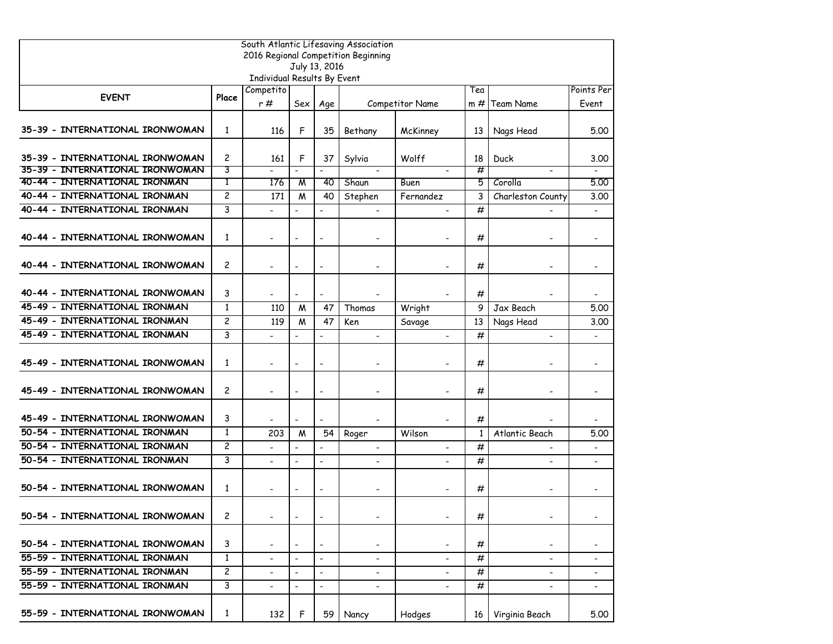| South Atlantic Lifesaving Association<br>2016 Regional Competition Beginning |                |                              |                          |                          |                              |                          |              |                          |                          |  |
|------------------------------------------------------------------------------|----------------|------------------------------|--------------------------|--------------------------|------------------------------|--------------------------|--------------|--------------------------|--------------------------|--|
|                                                                              |                |                              |                          | July 13, 2016            |                              |                          |              |                          |                          |  |
|                                                                              |                | Individual Results By Event  |                          |                          |                              |                          |              |                          |                          |  |
|                                                                              |                | Competito                    |                          |                          |                              |                          | Tea          |                          | Points Per               |  |
| <b>EVENT</b>                                                                 | Place          | r#                           | Sex                      | Age                      |                              | <b>Competitor Name</b>   | m#           | <b>Team Name</b>         | Event                    |  |
| 35-39 - INTERNATIONAL IRONWOMAN                                              | 1              | 116                          | F                        | 35                       | Bethany                      | McKinney                 | 13           | Nags Head                | 5.00                     |  |
| 35-39 - INTERNATIONAL IRONWOMAN                                              | 2              | 161                          | F                        | 37                       | Sylvia                       | Wolff                    | 18           | Duck                     | 3.00                     |  |
| 35-39 - INTERNATIONAL IRONWOMAN                                              | 3              |                              | $\overline{\phantom{a}}$ |                          |                              |                          | #            |                          |                          |  |
| 40-44 - INTERNATIONAL IRONMAN                                                | 1              | 176                          | M                        | 40                       | Shaun                        | Buen                     | 5.           | Corolla                  | 5.00                     |  |
| 40-44 - INTERNATIONAL IRONMAN                                                | $\overline{c}$ | 171                          | M                        | 40                       | Stephen                      | Fernandez                | 3            | Charleston County        | 3.00                     |  |
| 40-44 - INTERNATIONAL IRONMAN                                                | 3              | $\overline{\phantom{a}}$     | $\overline{a}$           | $\blacksquare$           |                              |                          | #            |                          |                          |  |
| 40-44 - INTERNATIONAL IRONWOMAN                                              | $\mathbf{1}$   |                              | $\overline{\phantom{a}}$ | $\overline{\phantom{a}}$ |                              |                          | #            |                          |                          |  |
| 40-44 - INTERNATIONAL IRONWOMAN                                              | $\overline{c}$ | $\overline{\phantom{a}}$     | $\overline{\phantom{a}}$ | $\overline{\phantom{a}}$ | $\overline{\phantom{a}}$     |                          | #            | $\overline{\phantom{a}}$ | $\overline{\phantom{a}}$ |  |
| 40-44 - INTERNATIONAL IRONWOMAN                                              | 3              |                              | $\blacksquare$           | $\blacksquare$           |                              |                          | #            |                          |                          |  |
| 45-49 - INTERNATIONAL IRONMAN                                                | $\mathbf{1}$   | 110                          | M                        | 47                       | Thomas                       | Wright                   | 9            | Jax Beach                | 5.00                     |  |
| 45-49 - INTERNATIONAL IRONMAN                                                | $\overline{c}$ | 119                          | M                        | 47                       | Ken                          | Savage                   | 13           | Nags Head                | 3.00                     |  |
| 45-49 - INTERNATIONAL IRONMAN                                                | 3              | $\blacksquare$               | $\overline{\phantom{0}}$ | $\blacksquare$           | $\blacksquare$               | ٠                        | #            | $\blacksquare$           | $\blacksquare$           |  |
| 45-49 - INTERNATIONAL IRONWOMAN                                              | $\mathbf{1}$   |                              | $\blacksquare$           | $\blacksquare$           | -                            |                          | #            |                          |                          |  |
| 45-49 - INTERNATIONAL IRONWOMAN                                              | $\overline{c}$ | $\overline{\phantom{a}}$     | $\overline{\phantom{a}}$ | $\blacksquare$           | -                            | $\overline{\phantom{0}}$ | #            |                          | -                        |  |
| 45-49 - INTERNATIONAL IRONWOMAN                                              | 3              |                              | $\overline{a}$           | $\blacksquare$           |                              |                          | #            |                          |                          |  |
| 50-54 - INTERNATIONAL IRONMAN                                                | $\mathbf{1}$   | 203                          | M                        | 54                       | Roger                        | Wilson                   | $\mathbf{1}$ | Atlantic Beach           | 5.00                     |  |
| 50-54 - INTERNATIONAL IRONMAN                                                | 2              |                              | $\overline{\phantom{a}}$ | $\overline{\phantom{a}}$ | $\overline{\phantom{a}}$     |                          | #            |                          |                          |  |
| 50-54 - INTERNATIONAL IRONMAN                                                | 3              |                              | $\overline{\phantom{a}}$ | $\blacksquare$           | $\overline{\phantom{0}}$     |                          | #            | $\overline{\phantom{a}}$ |                          |  |
| 50-54 - INTERNATIONAL IRONWOMAN                                              | 1              | $\overline{\phantom{a}}$     | $\blacksquare$           | $\blacksquare$           | $\qquad \qquad \blacksquare$ |                          | #            |                          |                          |  |
| 50-54 - INTERNATIONAL IRONWOMAN                                              | 2              |                              | $\blacksquare$           | $\overline{\phantom{a}}$ | $\qquad \qquad \blacksquare$ |                          | #            |                          | $\hbox{\small -}$        |  |
| 50-54 - INTERNATIONAL IRONWOMAN                                              | 3              | $\qquad \qquad \blacksquare$ | $\overline{\phantom{a}}$ | $\blacksquare$           | $\qquad \qquad \blacksquare$ | $\overline{\phantom{a}}$ | #            | $\overline{\phantom{a}}$ | $\overline{\phantom{a}}$ |  |
| 55-59 - INTERNATIONAL IRONMAN                                                | $\mathbf{1}$   | $\blacksquare$               | $\overline{\phantom{a}}$ | $\blacksquare$           | $\overline{\phantom{a}}$     | $\blacksquare$           | #            | $\overline{\phantom{a}}$ |                          |  |
| 55-59 - INTERNATIONAL IRONMAN                                                | $\overline{c}$ |                              |                          |                          | $\qquad \qquad \blacksquare$ |                          | #            |                          | $\overline{\phantom{a}}$ |  |
| 55-59 - INTERNATIONAL IRONMAN                                                | 3              | $\blacksquare$               | $\blacksquare$           | $\blacksquare$           | $\overline{\phantom{a}}$     | $\overline{\phantom{0}}$ | #            | $\blacksquare$           | $\blacksquare$           |  |
| 55-59 - INTERNATIONAL IRONWOMAN                                              | 1              | 132                          | F                        | 59 <sub>1</sub>          | Nancy                        | Hodges                   | 16           | Virginia Beach           | 5.00                     |  |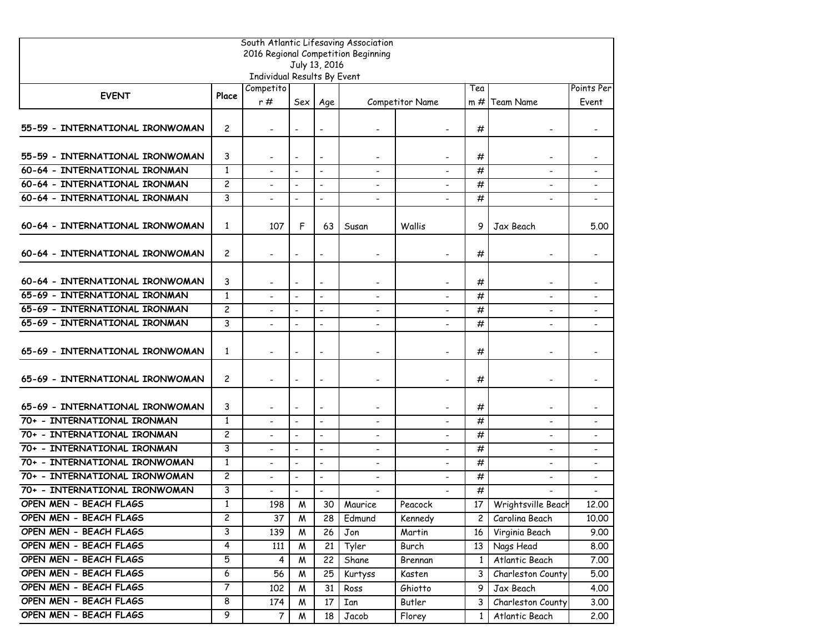|                                 |                       |                             |                          |                              | South Atlantic Lifesaving Association |                          |                |                          |                          |
|---------------------------------|-----------------------|-----------------------------|--------------------------|------------------------------|---------------------------------------|--------------------------|----------------|--------------------------|--------------------------|
|                                 |                       |                             |                          | July 13, 2016                | 2016 Regional Competition Beginning   |                          |                |                          |                          |
|                                 |                       | Individual Results By Event |                          |                              |                                       |                          |                |                          |                          |
|                                 |                       | Competito                   |                          |                              |                                       |                          | Tea            |                          | Points Per               |
| <b>EVENT</b>                    | Place                 | r#                          | Sex                      | Age                          |                                       | Competitor Name          |                | $m \#$ Team Name         | Event                    |
| 55-59 - INTERNATIONAL IRONWOMAN | $\mathbf{2}$          |                             | $\overline{\phantom{a}}$ | $\qquad \qquad \blacksquare$ |                                       |                          | #              |                          |                          |
| 55-59 - INTERNATIONAL IRONWOMAN | 3                     |                             | $\overline{\phantom{a}}$ | $\overline{\phantom{a}}$     | $\overline{\phantom{a}}$              |                          | #              | $\overline{\phantom{a}}$ |                          |
| 60-64 - INTERNATIONAL IRONMAN   | $\mathbf{1}$          |                             | $\blacksquare$           | $\blacksquare$               |                                       |                          | #              |                          |                          |
| 60-64 - INTERNATIONAL IRONMAN   | $\overline{c}$        |                             | $\blacksquare$           | $\overline{a}$               |                                       |                          | #              |                          |                          |
| 60-64 - INTERNATIONAL IRONMAN   | 3                     |                             | $\blacksquare$           | $\overline{\phantom{a}}$     | $\overline{\phantom{a}}$              |                          | #              | $\overline{\phantom{a}}$ |                          |
| 60-64 - INTERNATIONAL IRONWOMAN | 1                     | 107                         | F                        | 63                           | Susan                                 | Wallis                   | 9              | Jax Beach                | 5.00                     |
| 60-64 - INTERNATIONAL IRONWOMAN | $\mathbf{2}$          |                             | $\overline{\phantom{0}}$ |                              |                                       |                          | #              |                          |                          |
| 60-64 - INTERNATIONAL IRONWOMAN | 3                     |                             | $\blacksquare$           | $\hbox{\small -}$            | $\overline{\phantom{a}}$              |                          | #              |                          |                          |
| 65-69 - INTERNATIONAL IRONMAN   | $\mathbf{1}$          | $\blacksquare$              | $\blacksquare$           | $\blacksquare$               | $\blacksquare$                        | $\sim$                   | #              | $\blacksquare$           |                          |
| 65-69 - INTERNATIONAL IRONMAN   | $\overline{c}$        |                             | $\blacksquare$           | $\overline{a}$               |                                       |                          | #              |                          |                          |
| 65-69 - INTERNATIONAL IRONMAN   | 3                     |                             | $\blacksquare$           | $\blacksquare$               | $\blacksquare$                        |                          | #              |                          |                          |
| 65-69 - INTERNATIONAL IRONWOMAN | 1                     |                             | $\blacksquare$           | $\blacksquare$               | $\overline{\phantom{a}}$              |                          | #              |                          | $\overline{\phantom{a}}$ |
| 65-69 - INTERNATIONAL IRONWOMAN | $\mathbf{2}$          |                             | $\overline{\phantom{a}}$ | $\qquad \qquad \blacksquare$ | $\overline{\phantom{0}}$              |                          | #              |                          |                          |
| 65-69 - INTERNATIONAL IRONWOMAN | 3                     |                             | $\blacksquare$           | $\overline{\phantom{a}}$     |                                       |                          | #              |                          |                          |
| 70+ - INTERNATIONAL IRONMAN     | $\mathbf{1}$          |                             | $\blacksquare$           | $\blacksquare$               | $\blacksquare$                        |                          | #              | $\blacksquare$           | $\blacksquare$           |
| 70+ - INTERNATIONAL IRONMAN     | $\overline{c}$        | $\overline{\phantom{a}}$    | $\blacksquare$           | $\blacksquare$               | $\overline{\phantom{a}}$              | $\overline{\phantom{a}}$ | #              | $\blacksquare$           |                          |
| 70+ - INTERNATIONAL IRONMAN     | 3                     |                             |                          |                              |                                       |                          | #              |                          |                          |
| 70+ - INTERNATIONAL IRONWOMAN   | $\mathbf{1}$          | $\blacksquare$              | $\blacksquare$           | $\blacksquare$               | $\blacksquare$                        |                          | #              | $\blacksquare$           | $\overline{\phantom{a}}$ |
| 70+ - INTERNATIONAL IRONWOMAN   | $\overline{c}$        |                             | $\blacksquare$           | $\blacksquare$               | $\blacksquare$                        |                          | #              | $\blacksquare$           | $\overline{\phantom{a}}$ |
| 70+ - INTERNATIONAL IRONWOMAN   | 3                     |                             | $\blacksquare$           | $\blacksquare$               | $\overline{\phantom{a}}$              |                          | #              |                          | $\overline{\phantom{a}}$ |
| OPEN MEN - BEACH FLAGS          | $\mathbf{1}$          | 198                         | W                        |                              | 30 Maurice                            | Peacock                  |                | 17 Wrightsville Beach    | 12.00                    |
| OPEN MEN - BEACH FLAGS          | $\mathbf{2}^{\prime}$ | 37                          | M                        | 28                           | Edmund                                | Kennedy                  | $\mathsf{2}^-$ | Carolina Beach           | 10.00                    |
| OPEN MEN - BEACH FLAGS          | 3                     | 139                         | W                        | 26                           | Jon                                   | Martin                   | 16             | Virginia Beach           | 9.00                     |
| OPEN MEN - BEACH FLAGS          | $\overline{4}$        | 111                         | W                        | 21                           | Tyler                                 | Burch                    | 13 I           | Nags Head                | 8.00                     |
| OPEN MEN - BEACH FLAGS          | 5                     | 4                           | M                        | 22                           | Shane                                 | Brennan                  | $\mathbf{1}$   | Atlantic Beach           | 7.00                     |
| OPEN MEN - BEACH FLAGS          | 6                     | 56                          | W                        | 25                           | Kurtyss                               | Kasten                   | 3              | Charleston County        | 5.00                     |
| OPEN MEN - BEACH FLAGS          | $\overline{7}$        | 102                         | M                        | 31                           | Ross                                  | Ghiotto                  | 9              | Jax Beach                | 4.00                     |
| OPEN MEN - BEACH FLAGS          | 8                     | 174                         | Μ                        | 17                           | Ian                                   | Butler                   | 3              | Charleston County        | 3.00                     |
| OPEN MEN - BEACH FLAGS          | $\overline{9}$        | $\overline{7}$              | W                        | 18                           | Jacob                                 | Florey                   | $\mathbf{1}$   | Atlantic Beach           | 2.00                     |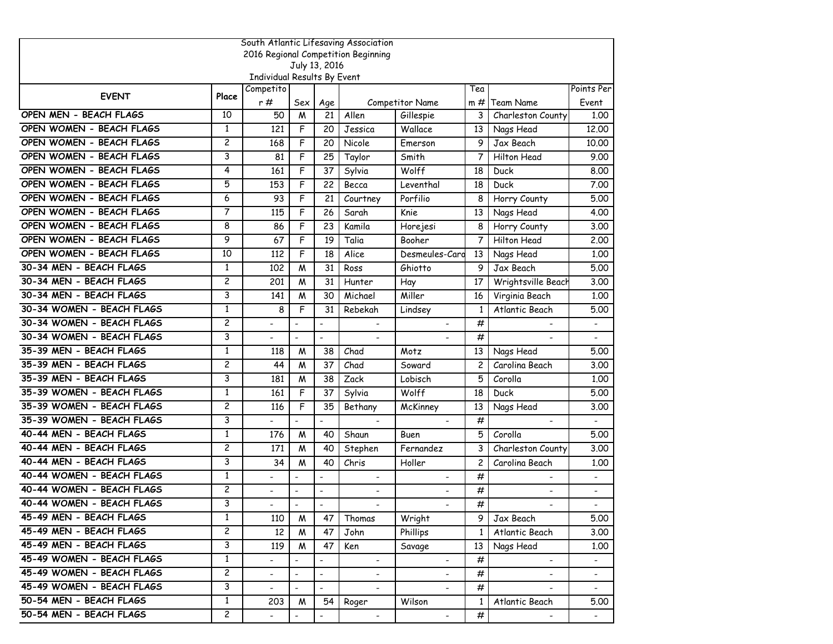| South Atlantic Lifesaving Association |                         |                             |                          |                              |                                     |                          |                |                              |                              |  |
|---------------------------------------|-------------------------|-----------------------------|--------------------------|------------------------------|-------------------------------------|--------------------------|----------------|------------------------------|------------------------------|--|
|                                       |                         |                             |                          |                              | 2016 Regional Competition Beginning |                          |                |                              |                              |  |
|                                       |                         | Individual Results By Event |                          | July 13, 2016                |                                     |                          |                |                              |                              |  |
|                                       |                         | Competito                   |                          |                              |                                     |                          | Tea            |                              | Points Per                   |  |
| <b>EVENT</b>                          | Place                   | r #                         | Sex                      | Age                          |                                     | <b>Competitor Name</b>   | $m \#$         | <b>Team Name</b>             | Event                        |  |
| OPEN MEN - BEACH FLAGS                | 10                      | 50                          | M                        | 21                           | Allen                               | Gillespie                | 3              | Charleston County            | 1.00                         |  |
| OPEN WOMEN - BEACH FLAGS              | 1                       | 121                         | F                        | 20                           | Jessica                             | Wallace                  | 13             | Nags Head                    | 12,00                        |  |
| OPEN WOMEN - BEACH FLAGS              | $\overline{\mathbf{c}}$ | 168                         | F                        | 20                           | Nicole                              | <b>Emerson</b>           | 9              | Jax Beach                    | 10.00                        |  |
| OPEN WOMEN - BEACH FLAGS              | 3                       | 81                          | F                        | 25                           | Taylor                              | Smith                    | 7              | Hilton Head                  | 9.00                         |  |
| OPEN WOMEN - BEACH FLAGS              | 4                       | 161                         | F                        | 37                           | Sylvia                              | Wolff                    | 18             | Duck                         | 8,00                         |  |
| OPEN WOMEN - BEACH FLAGS              | 5                       | 153                         | F                        | 22                           | Becca                               | Leventhal                | 18             | Duck                         | 7.00                         |  |
| OPEN WOMEN - BEACH FLAGS              | 6                       | 93                          | F                        | 21                           | Courtney                            | Porfilio                 | 8              | Horry County                 | 5.00                         |  |
| OPEN WOMEN - BEACH FLAGS              | 7                       | 115                         | F                        | 26                           | Sarah                               | Knie                     | 13             | Nags Head                    | 4.00                         |  |
| OPEN WOMEN - BEACH FLAGS              | 8                       | 86                          | F                        | 23                           | Kamila                              | Horejesi                 | 8              | Horry County                 | 3.00                         |  |
| OPEN WOMEN - BEACH FLAGS              | 9                       | 67                          | F                        | 19                           | Talia                               | Booher                   | 7              | Hilton Head                  | 2.00                         |  |
| OPEN WOMEN - BEACH FLAGS              | 10                      | 112                         | F                        | 18                           | Alice                               | Desmeules-Caro           | 13             | Nags Head                    | 1,00                         |  |
| 30-34 MEN - BEACH FLAGS               | 1                       | 102                         | M                        | 31                           | Ross                                | Ghiotto                  | 9              | Jax Beach                    | 5.00                         |  |
| 30-34 MEN - BEACH FLAGS               | $\overline{c}$          | 201                         | M                        | 31                           | Hunter                              | Hay                      | 17             | Wrightsville Beach           | 3.00                         |  |
| 30-34 MEN - BEACH FLAGS               | 3                       | 141                         | M                        | 30                           | Michael                             | Miller                   | 16             | Virginia Beach               | 1.00                         |  |
| 30-34 WOMEN - BEACH FLAGS             | $\mathbf{1}$            | 8                           | F                        | 31                           | Rebekah                             | Lindsey                  | $\mathbf{1}$   | Atlantic Beach               | 5.00                         |  |
| 30-34 WOMEN - BEACH FLAGS             | $\overline{c}$          | $\blacksquare$              | $\blacksquare$           | $\overline{a}$               |                                     |                          | #              |                              | $\blacksquare$               |  |
| 30-34 WOMEN - BEACH FLAGS             | 3                       |                             | $\blacksquare$           |                              | $\blacksquare$                      |                          | #              |                              |                              |  |
| 35-39 MEN - BEACH FLAGS               | $\mathbf{1}$            | 118                         | M                        | 38                           | Chad                                | Motz                     | 13             | Nags Head                    | 5.00                         |  |
| 35-39 MEN - BEACH FLAGS               | $\overline{c}$          | 44                          | M                        | 37                           | Chad                                | Soward                   | $\overline{c}$ | Carolina Beach               | 3.00                         |  |
| 35-39 MEN - BEACH FLAGS               | 3                       | 181                         | M                        | 38                           | Zack                                | Lobisch                  | 5              | Corolla                      | 1.00                         |  |
| 35-39 WOMEN - BEACH FLAGS             | $\mathbf{1}$            | 161                         | F                        | 37                           | Sylvia                              | Wolff                    | 18             | Duck                         | 5.00                         |  |
| 35-39 WOMEN - BEACH FLAGS             | $\overline{c}$          | 116                         | F                        | 35                           | Bethany                             | McKinney                 | 13             | Nags Head                    | 3.00                         |  |
| 35-39 WOMEN - BEACH FLAGS             | 3                       |                             | $\blacksquare$           | $\overline{a}$               |                                     |                          | #              |                              |                              |  |
| 40-44 MEN - BEACH FLAGS               | 1                       | 176                         | M                        | 40                           | Shaun                               | Buen                     | 5              | Corolla                      | 5.00                         |  |
| 40-44 MEN - BEACH FLAGS               | $\overline{c}$          | 171                         | M                        | 40                           | Stephen                             | Fernandez                | 3              | Charleston County            | 3.00                         |  |
| 40-44 MEN - BEACH FLAGS               | 3                       | 34                          | M                        | 40                           | Chris                               | Holler                   | 2              | Carolina Beach               | 1.00                         |  |
| 40-44 WOMEN - BEACH FLAGS             | 1                       |                             |                          | $\overline{a}$               | $\overline{\phantom{a}}$            |                          | #              |                              | $\overline{\phantom{0}}$     |  |
| 40-44 WOMEN - BEACH FLAGS             | $\overline{\mathbf{c}}$ |                             | $\overline{\phantom{a}}$ | $\qquad \qquad \blacksquare$ |                                     |                          | #              | $\qquad \qquad \blacksquare$ | $\qquad \qquad \blacksquare$ |  |
| 40-44 WOMEN - BEACH FLAGS             | 3                       |                             | $\overline{\phantom{a}}$ | $\overline{\phantom{a}}$     |                                     |                          | #              |                              |                              |  |
| 45-49 MEN - BEACH FLAGS               | $\mathbf{1}$            | 110                         | W                        | 47                           | Thomas                              | Wright                   | 9.             | Jax Beach                    | 5.00                         |  |
| 45-49 MEN - BEACH FLAGS               | $\overline{c}$          | 12                          | W                        | 47                           | John                                | <b>Phillips</b>          | $\mathbf{1}$   | Atlantic Beach               | 3.00                         |  |
| 45-49 MEN - BEACH FLAGS               | 3                       | 119                         | M                        | 47                           | Ken                                 | Savage                   | 13             | Nags Head                    | 1.00                         |  |
| 45-49 WOMEN - BEACH FLAGS             | $\mathbf{1}$            |                             | $\blacksquare$           | $\overline{a}$               | $\blacksquare$                      |                          | #              | $\blacksquare$               | $\blacksquare$               |  |
| 45-49 WOMEN - BEACH FLAGS             | $\overline{\mathsf{c}}$ | $\overline{\phantom{0}}$    | $\blacksquare$           | $\overline{\phantom{0}}$     | $\blacksquare$                      | $\overline{\phantom{a}}$ | #              | $\overline{\phantom{a}}$     | $\overline{\phantom{a}}$     |  |
| 45-49 WOMEN - BEACH FLAGS             | 3                       | $\overline{\phantom{0}}$    | $\blacksquare$           | $\Box$                       | $\blacksquare$                      |                          | #              |                              | $\blacksquare$               |  |
| 50-54 MEN - BEACH FLAGS               | $\mathbf{1}$            | 203                         | M                        | 54                           | Roger                               | Wilson                   | $\mathbf{1}$   | Atlantic Beach               | 5.00                         |  |
| 50-54 MEN - BEACH FLAGS               | $\mathbf{2}$            |                             |                          |                              |                                     | $\blacksquare$           | #              |                              |                              |  |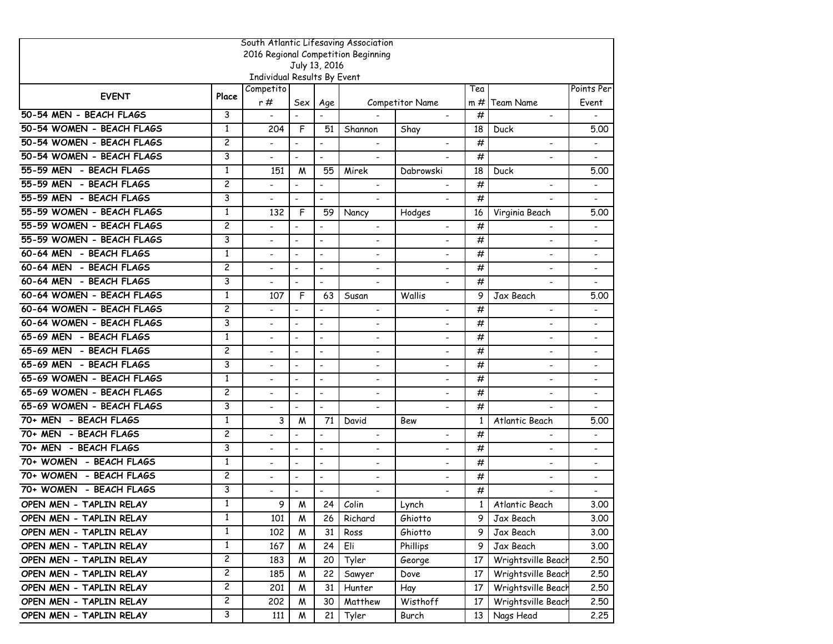| South Atlantic Lifesaving Association |                |                             |                          |                              |                                     |                          |              |                              |                              |
|---------------------------------------|----------------|-----------------------------|--------------------------|------------------------------|-------------------------------------|--------------------------|--------------|------------------------------|------------------------------|
|                                       |                |                             |                          |                              | 2016 Regional Competition Beginning |                          |              |                              |                              |
|                                       |                | Individual Results By Event |                          | July 13, 2016                |                                     |                          |              |                              |                              |
|                                       |                | Competito                   |                          |                              |                                     |                          | Tea          |                              | Points Per                   |
| <b>EVENT</b>                          | Place          | r#                          | Sex                      | Age                          |                                     | Competitor Name          | $m \#$       | Team Name                    | Event                        |
| 50-54 MEN - BEACH FLAGS               | 3              | $\overline{a}$              | $\overline{\phantom{a}}$ | $\overline{\phantom{a}}$     |                                     | $\overline{a}$           | #            | $\blacksquare$               |                              |
| 50-54 WOMEN - BEACH FLAGS             | $\mathbf{1}$   | 204                         | F                        | 51                           | Shannon                             | Shay                     | 18           | Duck                         | 5.00                         |
| 50-54 WOMEN - BEACH FLAGS             | $\overline{c}$ |                             | $\overline{\phantom{a}}$ | $\blacksquare$               |                                     |                          | #            | $\overline{\phantom{a}}$     |                              |
| 50-54 WOMEN - BEACH FLAGS             | 3              |                             | $\blacksquare$           | $\blacksquare$               | $\blacksquare$                      |                          | #            | $\qquad \qquad \blacksquare$ |                              |
| 55-59 MEN - BEACH FLAGS               | $\mathbf{1}$   | 151                         | M                        | 55                           | Mirek                               | Dabrowski                | 18           | Duck                         | 5.00                         |
| 55-59 MEN - BEACH FLAGS               | $\overline{c}$ |                             | $\overline{\phantom{a}}$ | $\overline{a}$               |                                     |                          | #            | $\blacksquare$               |                              |
| 55-59 MEN - BEACH FLAGS               | 3              |                             | ٠                        | $\blacksquare$               | $\blacksquare$                      |                          | #            |                              |                              |
| 55-59 WOMEN - BEACH FLAGS             | $\mathbf{1}$   | 132                         | F                        | 59                           | Nancy                               | Hodges                   | 16           | Virginia Beach               | 5.00                         |
| 55-59 WOMEN - BEACH FLAGS             | $\overline{c}$ |                             | $\overline{\phantom{a}}$ | $\qquad \qquad \blacksquare$ | $\blacksquare$                      | $\overline{\phantom{a}}$ | #            | $\overline{\phantom{a}}$     | $\qquad \qquad \blacksquare$ |
| 55-59 WOMEN - BEACH FLAGS             | 3              |                             | $\blacksquare$           | $\blacksquare$               | $\overline{a}$                      | ÷                        | #            | $\blacksquare$               | $\qquad \qquad \blacksquare$ |
| 60-64 MEN - BEACH FLAGS               | $\mathbf{1}$   |                             | $\blacksquare$           | $\blacksquare$               | $\blacksquare$                      | $\overline{\phantom{a}}$ | #            | $\blacksquare$               |                              |
| 60-64 MEN - BEACH FLAGS               | $\overline{c}$ |                             | $\blacksquare$           | $\overline{\phantom{a}}$     | $\overline{\phantom{a}}$            |                          | #            | $\overline{\phantom{0}}$     | $\overline{\phantom{0}}$     |
| 60-64 MEN - BEACH FLAGS               | 3              |                             | $\blacksquare$           | $\overline{\phantom{a}}$     |                                     |                          | #            |                              |                              |
| 60-64 WOMEN - BEACH FLAGS             | $\mathbf{1}$   | 107                         | F                        | 63                           | Susan                               | Wallis                   | 9            | Jax Beach                    | 5.00                         |
| 60-64 WOMEN - BEACH FLAGS             | $\overline{c}$ |                             |                          | $\overline{\phantom{a}}$     |                                     |                          | #            | $\overline{\phantom{0}}$     |                              |
| 60-64 WOMEN - BEACH FLAGS             | 3              |                             | $\blacksquare$           | $\blacksquare$               | $\blacksquare$                      |                          | #            | $\blacksquare$               | $\overline{a}$               |
| 65-69 MEN - BEACH FLAGS               | 1              |                             | $\overline{\phantom{a}}$ | $\overline{\phantom{a}}$     | $\overline{\phantom{a}}$            |                          | #            | $\overline{\phantom{0}}$     | $\blacksquare$               |
| 65-69 MEN - BEACH FLAGS               | $\overline{c}$ |                             | $\blacksquare$           | $\blacksquare$               | $\overline{a}$                      |                          | #            | $\qquad \qquad \blacksquare$ | $\qquad \qquad \blacksquare$ |
| 65-69 MEN - BEACH FLAGS               | 3              |                             | $\overline{\phantom{a}}$ | $\overline{\phantom{a}}$     | $\overline{\phantom{a}}$            |                          | #            | $\overline{\phantom{a}}$     | $\qquad \qquad \blacksquare$ |
| 65-69 WOMEN - BEACH FLAGS             | $\mathbf{1}$   |                             | $\blacksquare$           | $\blacksquare$               | $\overline{a}$                      | $\overline{a}$           | #            | $\blacksquare$               | $\qquad \qquad \blacksquare$ |
| 65-69 WOMEN - BEACH FLAGS             | $\overline{c}$ |                             | $\overline{\phantom{a}}$ | $\blacksquare$               | $\blacksquare$                      |                          | #            | $\blacksquare$               | $\overline{a}$               |
| 65-69 WOMEN - BEACH FLAGS             | 3              |                             | L.                       | $\overline{a}$               | $\blacksquare$                      |                          | #            |                              |                              |
| 70+ MEN - BEACH FLAGS                 | $\mathbf{1}$   | 3                           | M                        | 71                           | David                               | Bew                      | $\mathbf{1}$ | Atlantic Beach               | 5.00                         |
| 70+ MEN - BEACH FLAGS                 | $\overline{c}$ |                             | $\overline{\phantom{a}}$ | $\overline{\phantom{a}}$     | $\overline{\phantom{a}}$            | $\overline{\phantom{a}}$ | #            | $\overline{\phantom{a}}$     | $\qquad \qquad \blacksquare$ |
| 70+ MEN - BEACH FLAGS                 | 3              |                             | $\blacksquare$           | $\blacksquare$               |                                     |                          | #            | $\blacksquare$               | $\qquad \qquad \blacksquare$ |
| 70+ WOMEN - BEACH FLAGS               | $\mathbf{1}$   |                             | $\blacksquare$           | $\blacksquare$               | $\blacksquare$                      | $\overline{\phantom{a}}$ | #            | $\blacksquare$               | $\overline{a}$               |
| 70+ WOMEN - BEACH FLAGS               | $\overline{c}$ |                             | $\overline{a}$           | $\overline{a}$               | $\overline{\phantom{a}}$            |                          | #            | $\blacksquare$               | $\overline{\phantom{a}}$     |
| 70+ WOMEN - BEACH FLAGS               | 3              |                             |                          | $\qquad \qquad \blacksquare$ |                                     |                          | #            |                              | $\qquad \qquad \blacksquare$ |
| OPEN MEN - TAPLIN RELAY               | 1              | 9                           | M                        | 24                           | Colin                               | Lynch                    | $\mathbf{1}$ | Atlantic Beach               | 3.00                         |
| OPEN MEN - TAPLIN RELAY               | $\mathbf{1}$   | 101                         | W                        | 26                           | Richard                             | Ghiotto                  | 9.           | Jax Beach                    | 3.00                         |
| OPEN MEN - TAPLIN RELAY               | $\mathbf{1}$   | 102                         | M                        | 31                           | Ross                                | Ghiotto                  | 9            | Jax Beach                    | 3.00                         |
| OPEN MEN - TAPLIN RELAY               | 1              | 167                         | W                        | 24                           | Eli                                 | Phillips                 | 9            | Jax Beach                    | 3.00                         |
| OPEN MEN - TAPLIN RELAY               | $\overline{c}$ | 183                         | Μ                        | 20                           | Tyler                               | George                   | 17           | Wrightsville Beach           | 2.50                         |
| OPEN MEN - TAPLIN RELAY               | $\overline{c}$ | 185                         | M                        | 22                           | Sawyer                              | Dove                     | 17           | Wrightsville Beach           | 2.50                         |
| OPEN MEN - TAPLIN RELAY               | $\overline{c}$ | 201                         | W                        | 31                           | Hunter                              | Hay                      | 17           | Wrightsville Beach           | 2.50                         |
| OPEN MEN - TAPLIN RELAY               | $\overline{c}$ | 202                         | W                        | 30                           | Matthew                             | Wisthoff                 | 17           | Wrightsville Beach           | 2.50                         |
| OPEN MEN - TAPLIN RELAY               | 3              | 111                         | M                        | 21                           | Tyler                               | Burch                    | 13           | Nags Head                    | 2.25                         |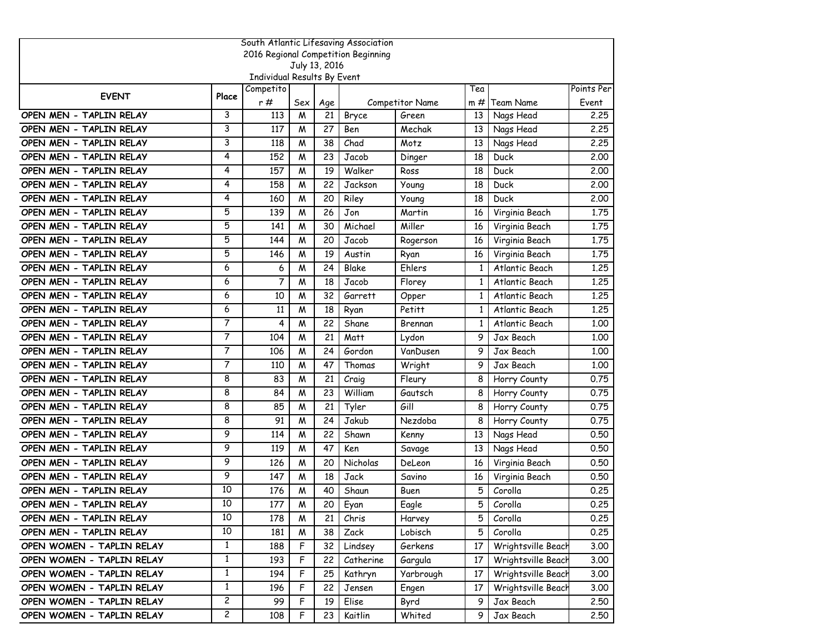|                           |                |                             |     |               | South Atlantic Lifesaving Association |                 |              |                    |            |
|---------------------------|----------------|-----------------------------|-----|---------------|---------------------------------------|-----------------|--------------|--------------------|------------|
|                           |                |                             |     |               | 2016 Regional Competition Beginning   |                 |              |                    |            |
|                           |                | Individual Results By Event |     | July 13, 2016 |                                       |                 |              |                    |            |
|                           |                | Competito                   |     |               |                                       |                 | Tea          |                    | Points Per |
| <b>EVENT</b>              | Place          | r #                         | Sex | Age           |                                       | Competitor Name | m #          | Team Name          | Event      |
| OPEN MEN - TAPLIN RELAY   | 3              | 113                         | M   | 21            | Bryce                                 | Green           | 13           | Nags Head          | 2.25       |
| OPEN MEN - TAPLIN RELAY   | 3              | 117                         | M   | 27            | Ben                                   | Mechak          | 13           | Nags Head          | 2,25       |
| OPEN MEN - TAPLIN RELAY   | 3              | 118                         | W   | 38            | Chad                                  | Motz            | 13           | Nags Head          | 2,25       |
| OPEN MEN - TAPLIN RELAY   | 4              | 152                         | M   | 23            | Jacob                                 | Dinger          | 18           | Duck               | 2.00       |
| OPEN MEN - TAPLIN RELAY   | 4              | 157                         | M   | 19            | Walker                                | Ross            | 18           | Duck               | 2,00       |
| OPEN MEN - TAPLIN RELAY   | 4              | 158                         | W   | 22            | Jackson                               | Young           | 18           | Duck               | 2,00       |
| OPEN MEN - TAPLIN RELAY   | 4              | 160                         | M   | 20            | Riley                                 | Young           | 18           | Duck               | 2,00       |
| OPEN MEN - TAPLIN RELAY   | 5              | 139                         | W   | 26            | Jon                                   | Martin          | 16           | Virginia Beach     | 1.75       |
| OPEN MEN - TAPLIN RELAY   | 5              | 141                         | M   | 30            | Michael                               | Miller          | 16           | Virginia Beach     | 1.75       |
| OPEN MEN - TAPLIN RELAY   | 5              | 144                         | M   | 20            | Jacob                                 | Rogerson        | 16           | Virginia Beach     | 1.75       |
| OPEN MEN - TAPLIN RELAY   | 5              | 146                         | W   | 19            | Austin                                | Ryan            | 16           | Virginia Beach     | 1.75       |
| OPEN MEN - TAPLIN RELAY   | 6              | 6                           | M   | 24            | Blake                                 | Ehlers          | $\mathbf{1}$ | Atlantic Beach     | 1.25       |
| OPEN MEN - TAPLIN RELAY   | 6              | 7                           | W   | 18            | Jacob                                 | Florey          | 1            | Atlantic Beach     | 1,25       |
| OPEN MEN - TAPLIN RELAY   | 6              | 10                          | M   | 32            | Garrett                               | Opper           | $\mathbf{1}$ | Atlantic Beach     | 1.25       |
| OPEN MEN - TAPLIN RELAY   | 6              | 11                          | M   | 18            | Ryan                                  | Petitt          | 1            | Atlantic Beach     | 1.25       |
| OPEN MEN - TAPLIN RELAY   | $\overline{7}$ | 4                           | M   | 22            | Shane                                 | Brennan         | 1            | Atlantic Beach     | 1,00       |
| OPEN MEN - TAPLIN RELAY   | 7              | 104                         | M   | 21            | Matt                                  | Lydon           | 9            | Jax Beach          | 1.00       |
| OPEN MEN - TAPLIN RELAY   | 7              | 106                         | M   | 24            | Gordon                                | VanDusen        | 9            | Jax Beach          | 1.00       |
| OPEN MEN - TAPLIN RELAY   | 7              | 110                         | M   | 47            | Thomas                                | Wright          | 9            | Jax Beach          | 1.00       |
| OPEN MEN - TAPLIN RELAY   | 8              | 83                          | M   | 21            | Craig                                 | Fleury          | 8            | Horry County       | 0.75       |
| OPEN MEN - TAPLIN RELAY   | 8              | 84                          | W   | 23            | William                               | Gautsch         | 8            | Horry County       | 0.75       |
| OPEN MEN - TAPLIN RELAY   | 8              | 85                          | M   | 21            | Tyler                                 | Gill            | 8            | Horry County       | 0.75       |
| OPEN MEN - TAPLIN RELAY   | 8              | 91                          | W   | 24            | Jakub                                 | Nezdoba         | 8            | Horry County       | 0.75       |
| OPEN MEN - TAPLIN RELAY   | 9              | 114                         | M   | 22            | Shawn                                 | Kenny           | 13           | Nags Head          | 0.50       |
| OPEN MEN - TAPLIN RELAY   | 9              | 119                         | M   | 47            | Ken                                   | Savage          | 13           | Nags Head          | 0.50       |
| OPEN MEN - TAPLIN RELAY   | 9              | 126                         | W   | 20            | Nicholas                              | DeLeon          | 16           | Virginia Beach     | 0.50       |
| OPEN MEN - TAPLIN RELAY   | 9              | 147                         | M   | 18            | Jack                                  | Savino          | 16           | Virginia Beach     | 0.50       |
| OPEN MEN - TAPLIN RELAY   | 10             | 176                         | W   | 40            | Shaun                                 | Buen            | 5            | Corolla            | 0.25       |
| OPEN MEN - TAPLIN RELAY   | 10             | 177                         | M   | 20            | Eyan                                  | Eagle           | 5            | Corolla            | 0.25       |
| OPEN MEN - TAPLIN RELAY   | 10             | 178                         | Μ   | 21            | Chris                                 | Harvey          | 5            | Corolla            | 0.25       |
| OPEN MEN - TAPLIN RELAY   | 10             | 181                         | М   | 38            | Zack                                  | Lobisch         | 5            | Corolla            | 0.25       |
| OPEN WOMEN - TAPLIN RELAY | $\mathbf{1}$   | 188                         | F   | 32            | Lindsey                               | Gerkens         | 17           | Wrightsville Beach | 3.00       |
| OPEN WOMEN - TAPLIN RELAY | $\mathbf{1}$   | 193                         | F   | 22            | Catherine                             | Gargula         | 17           | Wrightsville Beach | 3.00       |
| OPEN WOMEN - TAPLIN RELAY | $\mathbf{1}$   | 194                         | F   | 25            | Kathryn                               | Yarbrough       | 17           | Wrightsville Beach | 3.00       |
| OPEN WOMEN - TAPLIN RELAY | $\mathbf{1}$   | 196                         | F   | 22            | Jensen                                | Engen           | 17           | Wrightsville Beach | 3.00       |
| OPEN WOMEN - TAPLIN RELAY | $\overline{c}$ | 99                          | F   | 19            | Elise                                 | Byrd            | 9            | Jax Beach          | 2.50       |
| OPEN WOMEN - TAPLIN RELAY | 2              | 108                         | F   | 23            | Kaitlin                               | Whited          | 9.           | Jax Beach          | 2.50       |